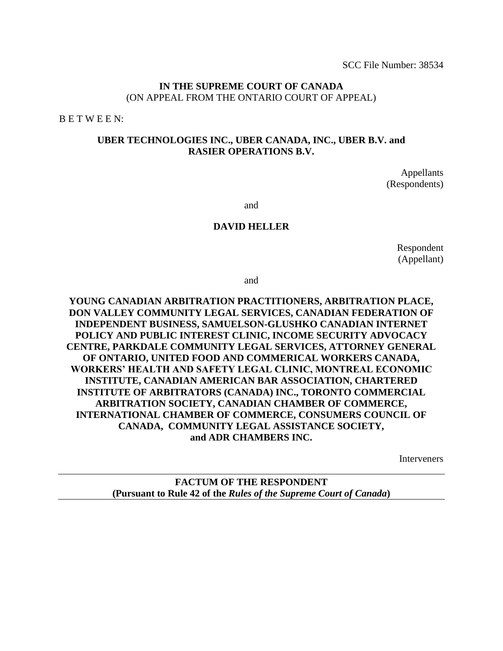SCC File Number: 38534

#### **IN THE SUPREME COURT OF CANADA** (ON APPEAL FROM THE ONTARIO COURT OF APPEAL)

B E T W E E N:

#### **UBER TECHNOLOGIES INC., UBER CANADA, INC., UBER B.V. and RASIER OPERATIONS B.V.**

Appellants (Respondents)

and

#### **DAVID HELLER**

Respondent (Appellant)

and

## **YOUNG CANADIAN ARBITRATION PRACTITIONERS, ARBITRATION PLACE, DON VALLEY COMMUNITY LEGAL SERVICES, CANADIAN FEDERATION OF INDEPENDENT BUSINESS, SAMUELSON-GLUSHKO CANADIAN INTERNET POLICY AND PUBLIC INTEREST CLINIC, INCOME SECURITY ADVOCACY CENTRE, PARKDALE COMMUNITY LEGAL SERVICES, ATTORNEY GENERAL OF ONTARIO, UNITED FOOD AND COMMERICAL WORKERS CANADA, WORKERS' HEALTH AND SAFETY LEGAL CLINIC, MONTREAL ECONOMIC INSTITUTE, CANADIAN AMERICAN BAR ASSOCIATION, CHARTERED INSTITUTE OF ARBITRATORS (CANADA) INC., TORONTO COMMERCIAL ARBITRATION SOCIETY, CANADIAN CHAMBER OF COMMERCE, INTERNATIONAL CHAMBER OF COMMERCE, CONSUMERS COUNCIL OF CANADA, COMMUNITY LEGAL ASSISTANCE SOCIETY, and ADR CHAMBERS INC.**

**Interveners** 

**FACTUM OF THE RESPONDENT (Pursuant to Rule 42 of the** *Rules of the Supreme Court of Canada***)**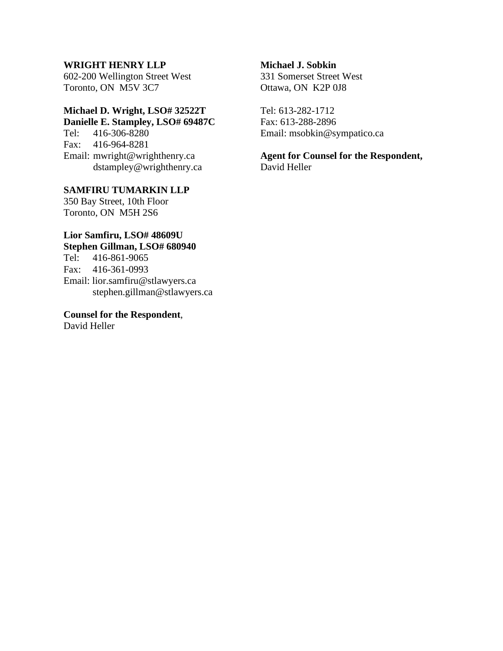#### **WRIGHT HENRY LLP**

602-200 Wellington Street West Toronto, ON M5V 3C7

# **Michael D. Wright, LSO# 32522T**

**Danielle E. Stampley, LSO# 69487C** Tel: 416-306-8280

Fax: 416-964-8281 Email: mwright@wrighthenry.ca dstampley@wrighthenry.ca

**SAMFIRU TUMARKIN LLP** 350 Bay Street, 10th Floor Toronto, ON M5H 2S6

## **Lior Samfiru, LSO# 48609U Stephen Gillman, LSO# 680940**

Tel: 416-861-9065 Fax: 416-361-0993 Email: lior.samfiru@stlawyers.ca stephen.gillman@stlawyers.ca

**Counsel for the Respondent**, David Heller

#### **Michael J. Sobkin**

331 Somerset Street West Ottawa, ON K2P 0J8

Tel: 613-282-1712 Fax: 613-288-2896 Email: msobkin@sympatico.ca

**Agent for Counsel for the Respondent,** David Heller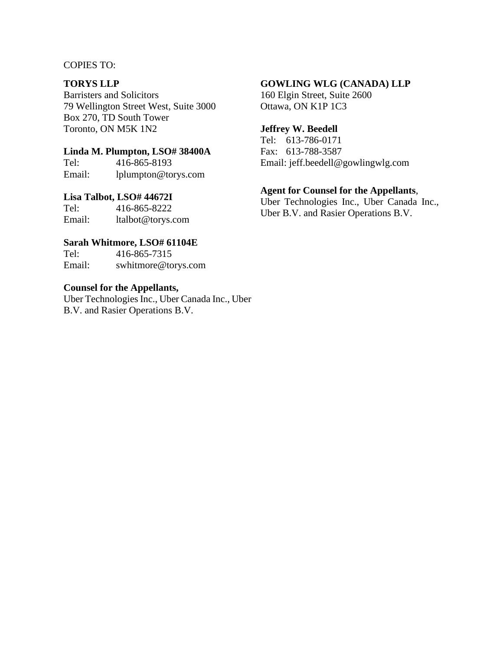#### COPIES TO:

#### **TORYS LLP**

Barristers and Solicitors 79 Wellington Street West, Suite 3000 Box 270, TD South Tower Toronto, ON M5K 1N2

#### **Linda M. Plumpton, LSO# 38400A**

Tel: 416-865-8193 Email: lplumpton@torys.com

# **Lisa Talbot, LSO# 44672I**

Tel: 416-865-8222 Email: ltalbot@torys.com

#### **Sarah Whitmore, LSO# 61104E**

Tel: 416-865-7315 Email: swhitmore@torys.com

#### **Counsel for the Appellants,**

Uber Technologies Inc., Uber Canada Inc., Uber B.V. and Rasier Operations B.V.

#### **GOWLING WLG (CANADA) LLP**

160 Elgin Street, Suite 2600 Ottawa, ON K1P 1C3

#### **Jeffrey W. Beedell**

Tel: 613-786-0171 Fax: 613-788-3587 Email: jeff.beedell@gowlingwlg.com

#### **Agent for Counsel for the Appellants**,

Uber Technologies Inc., Uber Canada Inc., Uber B.V. and Rasier Operations B.V.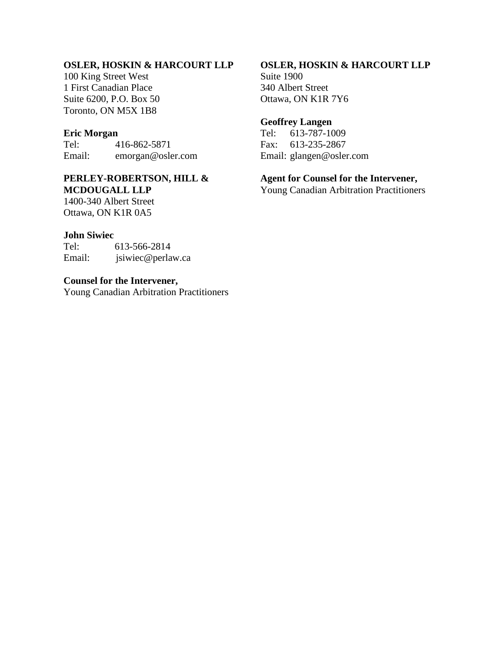## **OSLER, HOSKIN & HARCOURT LLP**

100 King Street West 1 First Canadian Place Suite 6200, P.O. Box 50 Toronto, ON M5X 1B8

#### **Eric Morgan**

Tel: 416-862-5871 Email: emorgan@osler.com

#### **PERLEY-ROBERTSON, HILL & MCDOUGALL LLP**

1400-340 Albert Street Ottawa, ON K1R 0A5

#### **John Siwiec**

Tel: 613-566-2814 Email: jsiwiec@perlaw.ca

#### **Counsel for the Intervener,**

Young Canadian Arbitration Practitioners

#### **OSLER, HOSKIN & HARCOURT LLP**

Suite 1900 340 Albert Street Ottawa, ON K1R 7Y6

## **Geoffrey Langen**

Tel: 613-787-1009 Fax: 613-235-2867 Email: glangen@osler.com

#### **Agent for Counsel for the Intervener,**

Young Canadian Arbitration Practitioners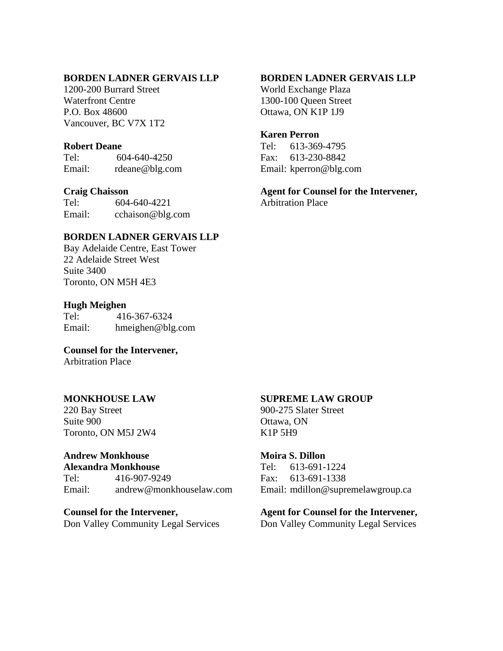#### **BORDEN LADNER GERVAIS LLP**

1200-200 Burrard Street Waterfront Centre P.O. Box 48600 Vancouver, BC V7X 1T2

#### **Robert Deane**

Tel: 604-640-4250 Email: rdeane@blg.com

#### **Craig Chaisson**

Tel: 604-640-4221 Email: cchaison@blg.com

#### **BORDEN LADNER GERVAIS LLP**

Bay Adelaide Centre, East Tower 22 Adelaide Street West Suite 3400 Toronto, ON M5H 4E3

## **Hugh Meighen**

Tel: 416-367-6324 Email: hmeighen@blg.com

**Counsel for the Intervener,**  Arbitration Place

#### **MONKHOUSE LAW**

220 Bay Street Suite 900 Toronto, ON M5J 2W4

# **Andrew Monkhouse**

**Alexandra Monkhouse** Tel: 416-907-9249<br>Email: andrew@monk andrew@monkhouselaw.com

**Counsel for the Intervener,** Don Valley Community Legal Services

## **BORDEN LADNER GERVAIS LLP**

World Exchange Plaza 1300-100 Queen Street Ottawa, ON K1P 1J9

#### **Karen Perron**

Tel: 613-369-4795 Fax: 613-230-8842 Email: kperron@blg.com

**Agent for Counsel for the Intervener,** Arbitration Place

### **SUPREME LAW GROUP**

900-275 Slater Street Ottawa, ON K1P 5H9

#### **Moira S. Dillon**

Tel: 613-691-1224 Fax: 613-691-1338 Email: mdillon@supremelawgroup.ca

#### **Agent for Counsel for the Intervener,**

Don Valley Community Legal Services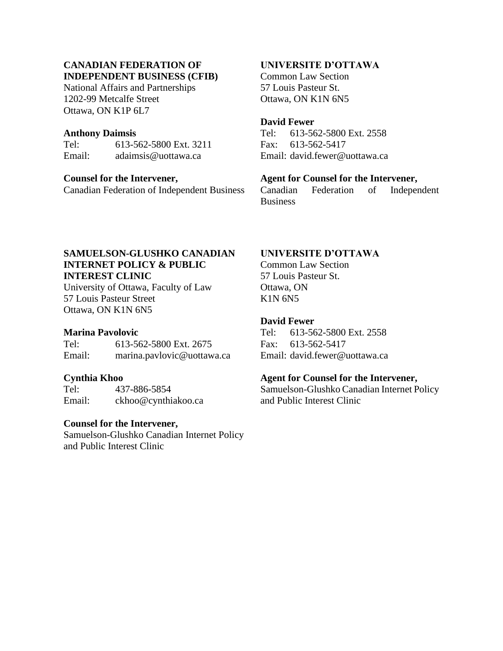# **CANADIAN FEDERATION OF INDEPENDENT BUSINESS (CFIB)**

National Affairs and Partnerships 1202-99 Metcalfe Street Ottawa, ON K1P 6L7

#### **Anthony Daimsis**

| Tel:   | 613-562-5800 Ext. 3211 |
|--------|------------------------|
| Email: | adaimsis@uottawa.ca    |

## **Counsel for the Intervener,**

Canadian Federation of Independent Business

# **UNIVERSITE D'OTTAWA**

Common Law Section 57 Louis Pasteur St. Ottawa, ON K1N 6N5

## **David Fewer**

Tel: 613-562-5800 Ext. 2558 Fax: 613-562-5417 Email: david.fewer@uottawa.ca

# **Agent for Counsel for the Intervener,**

Canadian Federation of Independent **Business** 

# **SAMUELSON-GLUSHKO CANADIAN INTERNET POLICY & PUBLIC INTEREST CLINIC**

University of Ottawa, Faculty of Law 57 Louis Pasteur Street Ottawa, ON K1N 6N5

# **Marina Pavolovic**

Tel: 613-562-5800 Ext. 2675 Email: marina.pavlovic@uottawa.ca

# **Cynthia Khoo**

Tel: 437-886-5854 Email: ckhoo@cynthiakoo.ca

# **Counsel for the Intervener,**

Samuelson-Glushko Canadian Internet Policy and Public Interest Clinic

# **UNIVERSITE D'OTTAWA**

Common Law Section 57 Louis Pasteur St. Ottawa, ON K1N 6N5

# **David Fewer**

Tel: 613-562-5800 Ext. 2558 Fax: 613-562-5417 Email: david.fewer@uottawa.ca

# **Agent for Counsel for the Intervener,**

Samuelson-Glushko Canadian Internet Policy and Public Interest Clinic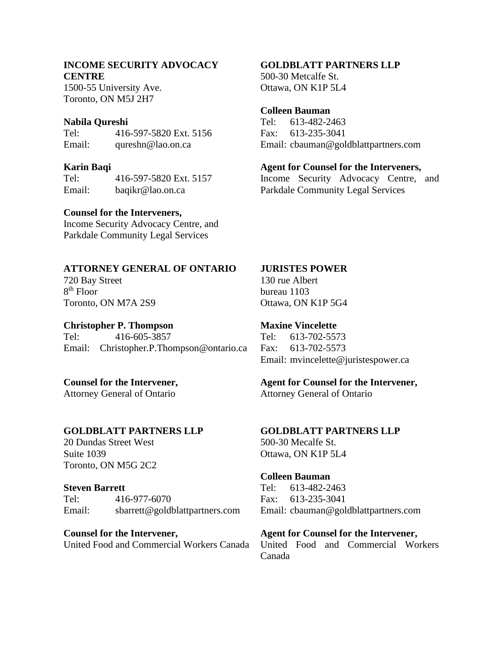#### **INCOME SECURITY ADVOCACY CENTRE**

1500-55 University Ave. Toronto, ON M5J 2H7

#### **Nabila Qureshi**

Tel: 416-597-5820 Ext. 5156 Email: qureshn@lao.on.ca

#### **Karin Baqi**

Tel: 416-597-5820 Ext. 5157 Email: baqikr@lao.on.ca

#### **Counsel for the Interveners,**

Income Security Advocacy Centre, and Parkdale Community Legal Services

# **ATTORNEY GENERAL OF ONTARIO**

720 Bay Street 8 th Floor Toronto, ON M7A 2S9

#### **Christopher P. Thompson**

Tel: 416-605-3857 Email: Christopher.P.Thompson@ontario.ca

# **Counsel for the Intervener,**

Attorney General of Ontario

# **GOLDBLATT PARTNERS LLP**

20 Dundas Street West Suite 1039 Toronto, ON M5G 2C2

#### **Steven Barrett**

Tel: 416-977-6070 Email: sbarrett@goldblattpartners.com

#### **Counsel for the Intervener,**

United Food and Commercial Workers Canada

#### **GOLDBLATT PARTNERS LLP**

500-30 Metcalfe St. Ottawa, ON K1P 5L4

#### **Colleen Bauman**

Tel: 613-482-2463 Fax: 613-235-3041 Email: cbauman@goldblattpartners.com

## **Agent for Counsel for the Interveners,**

Income Security Advocacy Centre, and Parkdale Community Legal Services

#### **JURISTES POWER**

130 rue Albert bureau 1103 Ottawa, ON K1P 5G4

#### **Maxine Vincelette**

Tel: 613-702-5573 Fax: 613-702-5573 Email: mvincelette@juristespower.ca

#### **Agent for Counsel for the Intervener,**

Attorney General of Ontario

#### **GOLDBLATT PARTNERS LLP**

500-30 Mecalfe St. Ottawa, ON K1P 5L4

#### **Colleen Bauman**

Tel: 613-482-2463 Fax: 613-235-3041 Email: cbauman@goldblattpartners.com

#### **Agent for Counsel for the Intervener,**

United Food and Commercial Workers Canada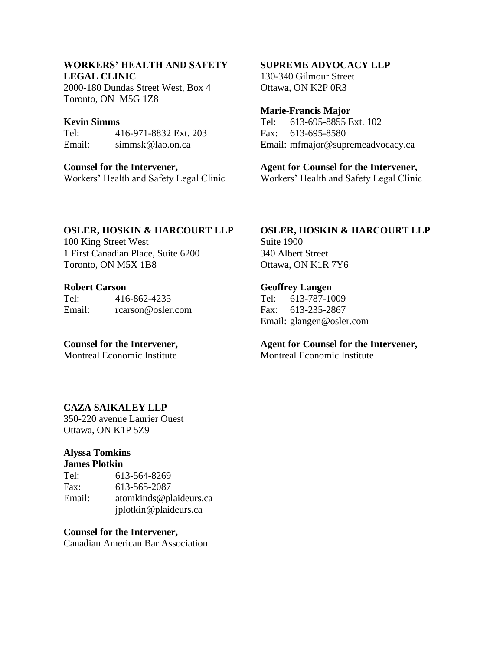# **WORKERS' HEALTH AND SAFETY LEGAL CLINIC**

2000-180 Dundas Street West, Box 4 Toronto, ON M5G 1Z8

#### **Kevin Simms**

Tel: 416-971-8832 Ext. 203 Email: simmsk@lao.on.ca

**Counsel for the Intervener,**  Workers' Health and Safety Legal Clinic

#### **SUPREME ADVOCACY LLP**

130-340 Gilmour Street Ottawa, ON K2P 0R3

#### **Marie-Francis Major**

Tel: 613-695-8855 Ext. 102 Fax: 613-695-8580 Email: mfmajor@supremeadvocacy.ca

**Agent for Counsel for the Intervener,**

Workers' Health and Safety Legal Clinic

#### **OSLER, HOSKIN & HARCOURT LLP**

100 King Street West 1 First Canadian Place, Suite 6200 Toronto, ON M5X 1B8

#### **Robert Carson**

Tel: 416-862-4235 Email: rcarson@osler.com

**Counsel for the Intervener,**  Montreal Economic Institute

#### **OSLER, HOSKIN & HARCOURT LLP** Suite 1900

340 Albert Street Ottawa, ON K1R 7Y6

#### **Geoffrey Langen**

Tel: 613-787-1009 Fax: 613-235-2867 Email: glangen@osler.com

# **Agent for Counsel for the Intervener,**

Montreal Economic Institute

# **CAZA SAIKALEY LLP**

350-220 avenue Laurier Ouest Ottawa, ON K1P 5Z9

# **Alyssa Tomkins**

# **James Plotkin**

| Tel:   | 613-564-8269           |
|--------|------------------------|
| Fax:   | 613-565-2087           |
| Email: | atomkinds@plaideurs.ca |
|        | jplotkin@plaideurs.ca  |

#### **Counsel for the Intervener,**

Canadian American Bar Association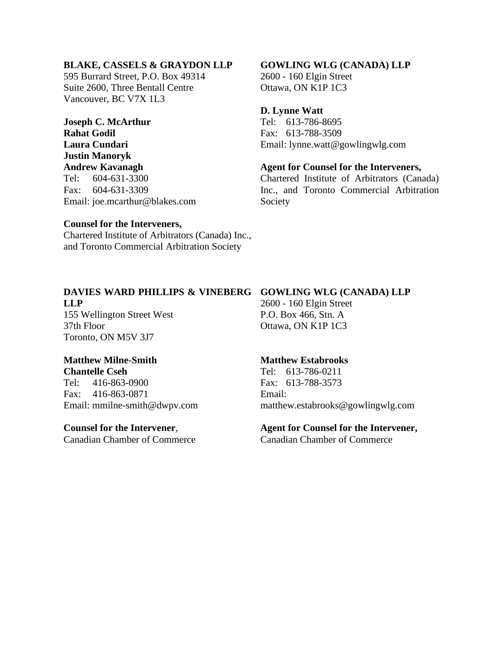#### **BLAKE, CASSELS & GRAYDON LLP**

595 Burrard Street, P.O. Box 49314 Suite 2600, Three Bentall Centre Vancouver, BC V7X 1L3

**Joseph C. McArthur Rahat Godil Laura Cundari Justin Manoryk Andrew Kavanagh** Tel: 604-631-3300 Fax: 604-631-3309 Email: joe.mcarthur@blakes.com

#### **GOWLING WLG (CANADA) LLP**

2600 - 160 Elgin Street Ottawa, ON K1P 1C3

#### **D. Lynne Watt**

Tel: 613-786-8695 Fax: 613-788-3509 Email: lynne.watt@gowlingwlg.com

#### **Agent for Counsel for the Interveners,**

Chartered Institute of Arbitrators (Canada) Inc., and Toronto Commercial Arbitration Society

#### **Counsel for the Interveners,**

Chartered Institute of Arbitrators (Canada) Inc., and Toronto Commercial Arbitration Society

# **DAVIES WARD PHILLIPS & VINEBERG GOWLING WLG (CANADA) LLP LLP**

155 Wellington Street West 37th Floor Toronto, ON M5V 3J7

# **Matthew Milne-Smith**

**Chantelle Cseh**

Tel: 416-863-0900 Fax: 416-863-0871 Email: mmilne-smith@dwpv.com

#### **Counsel for the Intervener**,

Canadian Chamber of Commerce

2600 - 160 Elgin Street P.O. Box 466, Stn. A Ottawa, ON K1P 1C3

#### **Matthew Estabrooks**

Tel: 613-786-0211 Fax: 613-788-3573 Email: matthew.estabrooks@gowlingwlg.com

# **Agent for Counsel for the Intervener,**

Canadian Chamber of Commerce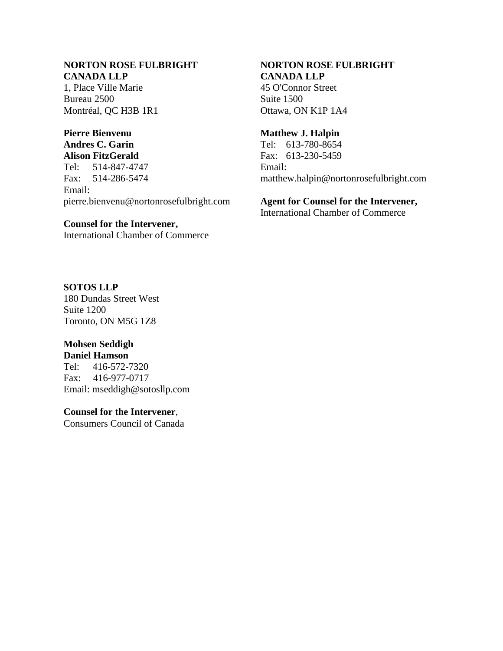### **NORTON ROSE FULBRIGHT CANADA LLP**

1, Place Ville Marie Bureau 2500 Montréal, QC H3B 1R1

# **Pierre Bienvenu**

**Andres C. Garin Alison FitzGerald** Tel: 514-847-4747

Fax: 514-286-5474 Email: pierre.bienvenu@nortonrosefulbright.com

#### **Counsel for the Intervener,**

International Chamber of Commerce

## **CANADA LLP** 45 O'Connor Street

**NORTON ROSE FULBRIGHT** 

Suite 1500 Ottawa, ON K1P 1A4

## **Matthew J. Halpin**

Tel: 613-780-8654 Fax: 613-230-5459 Email: matthew.halpin@nortonrosefulbright.com

# **Agent for Counsel for the Intervener,**

International Chamber of Commerce

# **SOTOS LLP**

180 Dundas Street West Suite 1200 Toronto, ON M5G 1Z8

# **Mohsen Seddigh**

**Daniel Hamson**

Tel: 416-572-7320 Fax: 416-977-0717 Email: mseddigh@sotosllp.com

# **Counsel for the Intervener**,

Consumers Council of Canada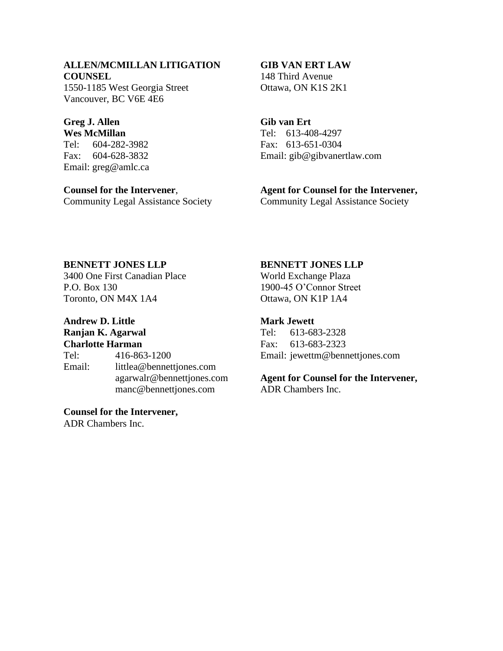## **ALLEN/MCMILLAN LITIGATION COUNSEL**

1550-1185 West Georgia Street Vancouver, BC V6E 4E6

#### **Greg J. Allen Wes McMillan**

Tel: 604-282-3982 Fax: 604-628-3832 Email: greg@amlc.ca

**Counsel for the Intervener**, Community Legal Assistance Society

#### **GIB VAN ERT LAW**

148 Third Avenue Ottawa, ON K1S 2K1

# **Gib van Ert**

Tel: 613-408-4297 Fax: 613-651-0304 Email: gib@gibvanertlaw.com

## **Agent for Counsel for the Intervener,**

Community Legal Assistance Society

# **BENNETT JONES LLP**

3400 One First Canadian Place P.O. Box 130 Toronto, ON M4X 1A4

# **Andrew D. Little**

**Ranjan K. Agarwal Charlotte Harman**

|        | Chul Ivite Tiul Muhl      |
|--------|---------------------------|
| Tel:   | 416-863-1200              |
| Email: | littlea@bennettjones.com  |
|        | agarwalr@bennettjones.com |
|        | manc@bennettjones.com     |

# **Counsel for the Intervener,**

ADR Chambers Inc.

## **BENNETT JONES LLP**

World Exchange Plaza 1900-45 O'Connor Street Ottawa, ON K1P 1A4

# **Mark Jewett**

Tel: 613-683-2328 Fax: 613-683-2323 Email: jewettm@bennettjones.com

# **Agent for Counsel for the Intervener,**

ADR Chambers Inc.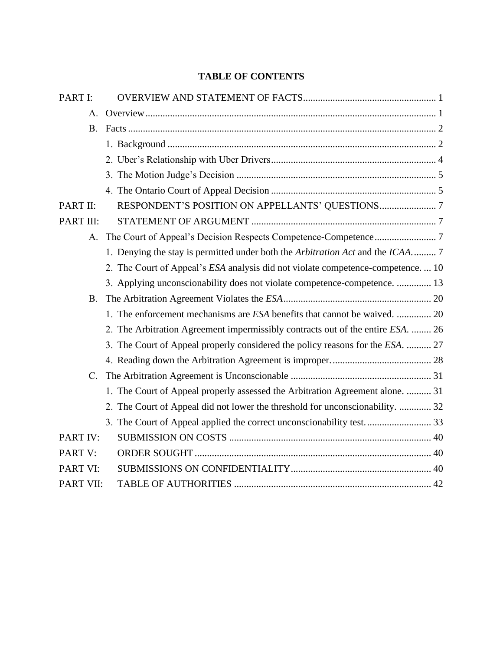# **TABLE OF CONTENTS**

| PART I:     |                                                                                 |
|-------------|---------------------------------------------------------------------------------|
| А.          |                                                                                 |
| <b>B.</b>   |                                                                                 |
|             |                                                                                 |
|             |                                                                                 |
|             |                                                                                 |
|             |                                                                                 |
| PART II:    |                                                                                 |
| PART III:   |                                                                                 |
| А.          |                                                                                 |
|             | 1. Denying the stay is permitted under both the Arbitration Act and the ICAA 7  |
|             | 2. The Court of Appeal's ESA analysis did not violate competence-competence 10  |
|             | 3. Applying unconscionability does not violate competence-competence.  13       |
| <b>B.</b>   |                                                                                 |
|             | 1. The enforcement mechanisms are ESA benefits that cannot be waived.  20       |
|             | 2. The Arbitration Agreement impermissibly contracts out of the entire ESA.  26 |
|             | 3. The Court of Appeal properly considered the policy reasons for the ESA.  27  |
|             |                                                                                 |
| $C_{\cdot}$ |                                                                                 |
|             | 1. The Court of Appeal properly assessed the Arbitration Agreement alone.  31   |
|             | 2. The Court of Appeal did not lower the threshold for unconscionability.  32   |
|             |                                                                                 |
| PART IV:    |                                                                                 |
| PART V:     |                                                                                 |
| PART VI:    |                                                                                 |
| PART VII:   |                                                                                 |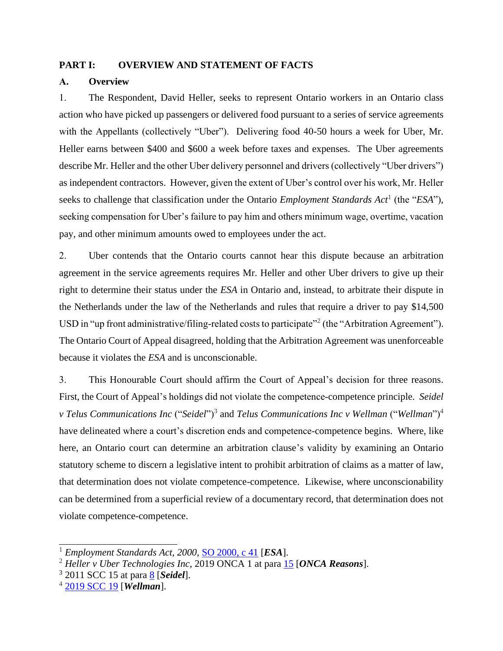#### <span id="page-12-0"></span>**PART I: OVERVIEW AND STATEMENT OF FACTS**

#### <span id="page-12-1"></span>**A. Overview**

1. The Respondent, David Heller, seeks to represent Ontario workers in an Ontario class action who have picked up passengers or delivered food pursuant to a series of service agreements with the Appellants (collectively "Uber"). Delivering food 40-50 hours a week for Uber, Mr. Heller earns between \$400 and \$600 a week before taxes and expenses. The Uber agreements describe Mr. Heller and the other Uber delivery personnel and drivers (collectively "Uber drivers") as independent contractors. However, given the extent of Uber's control over his work, Mr. Heller seeks to challenge that classification under the Ontario *Employment Standards Act*<sup>1</sup> (the "*ESA*"), seeking compensation for Uber's failure to pay him and others minimum wage, overtime, vacation pay, and other minimum amounts owed to employees under the act.

2. Uber contends that the Ontario courts cannot hear this dispute because an arbitration agreement in the service agreements requires Mr. Heller and other Uber drivers to give up their right to determine their status under the *ESA* in Ontario and, instead, to arbitrate their dispute in the Netherlands under the law of the Netherlands and rules that require a driver to pay \$14,500 USD in "up front administrative/filing-related costs to participate"<sup>2</sup> (the "Arbitration Agreement"). The Ontario Court of Appeal disagreed, holding that the Arbitration Agreement was unenforceable because it violates the *ESA* and is unconscionable.

3. This Honourable Court should affirm the Court of Appeal's decision for three reasons. First, the Court of Appeal's holdings did not violate the competence-competence principle. *Seidel v* Telus Communications Inc ("Seidel")<sup>3</sup> and Telus Communications Inc *v* Wellman ("Wellman")<sup>4</sup> have delineated where a court's discretion ends and competence-competence begins. Where, like here, an Ontario court can determine an arbitration clause's validity by examining an Ontario statutory scheme to discern a legislative intent to prohibit arbitration of claims as a matter of law, that determination does not violate competence-competence. Likewise, where unconscionability can be determined from a superficial review of a documentary record, that determination does not violate competence-competence.

<sup>1</sup> *Employment Standards Act, 2000*, [SO 2000, c 41](https://www.ontario.ca/laws/statute/00e41) [*ESA*].

<sup>&</sup>lt;sup>2</sup> *Heller v Uber Technologies Inc*, 2019 ONCA 1 at para **15** [ONCA Reasons].

<sup>3</sup> 2011 SCC 15 at para [8](https://www.canlii.org/en/ca/scc/doc/2011/2011scc15/2011scc15.html?autocompleteStr=2011%20scc%2015&autocompletePos=1#par8) [*Seidel*].

<sup>4</sup> [2019 SCC 19](https://www.canlii.org/en/ca/scc/doc/2019/2019scc19/2019scc19.html?autocompleteStr=2019%20SCC%2019&autocompletePos=1) [*Wellman*].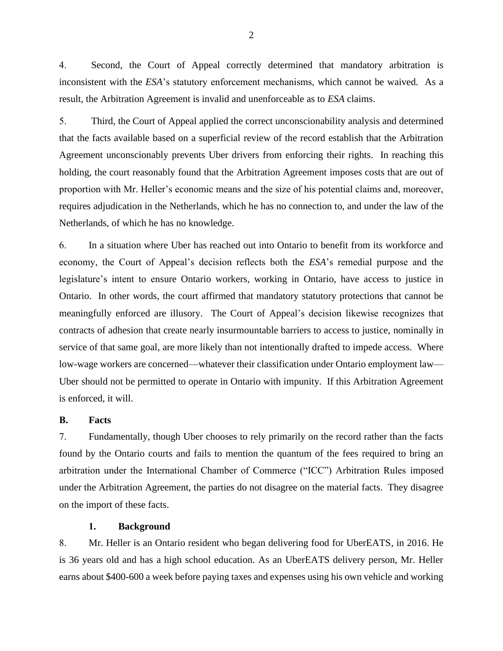4. Second, the Court of Appeal correctly determined that mandatory arbitration is inconsistent with the *ESA*'s statutory enforcement mechanisms, which cannot be waived. As a result, the Arbitration Agreement is invalid and unenforceable as to *ESA* claims.

5. Third, the Court of Appeal applied the correct unconscionability analysis and determined that the facts available based on a superficial review of the record establish that the Arbitration Agreement unconscionably prevents Uber drivers from enforcing their rights. In reaching this holding, the court reasonably found that the Arbitration Agreement imposes costs that are out of proportion with Mr. Heller's economic means and the size of his potential claims and, moreover, requires adjudication in the Netherlands, which he has no connection to, and under the law of the Netherlands, of which he has no knowledge.

6. In a situation where Uber has reached out into Ontario to benefit from its workforce and economy, the Court of Appeal's decision reflects both the *ESA*'s remedial purpose and the legislature's intent to ensure Ontario workers, working in Ontario, have access to justice in Ontario. In other words, the court affirmed that mandatory statutory protections that cannot be meaningfully enforced are illusory. The Court of Appeal's decision likewise recognizes that contracts of adhesion that create nearly insurmountable barriers to access to justice, nominally in service of that same goal, are more likely than not intentionally drafted to impede access. Where low-wage workers are concerned—whatever their classification under Ontario employment law— Uber should not be permitted to operate in Ontario with impunity. If this Arbitration Agreement is enforced, it will.

#### <span id="page-13-0"></span>**B. Facts**

7. Fundamentally, though Uber chooses to rely primarily on the record rather than the facts found by the Ontario courts and fails to mention the quantum of the fees required to bring an arbitration under the International Chamber of Commerce ("ICC") Arbitration Rules imposed under the Arbitration Agreement, the parties do not disagree on the material facts. They disagree on the import of these facts.

#### **1. Background**

<span id="page-13-1"></span>8. Mr. Heller is an Ontario resident who began delivering food for UberEATS, in 2016. He is 36 years old and has a high school education. As an UberEATS delivery person, Mr. Heller earns about \$400-600 a week before paying taxes and expenses using his own vehicle and working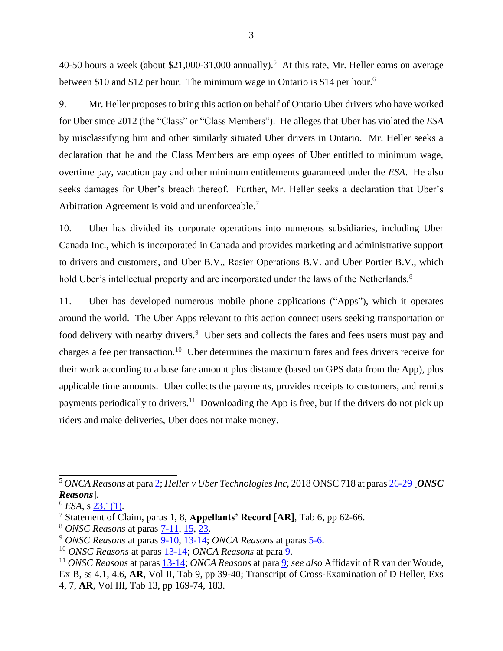40-50 hours a week (about \$21,000-31,000 annually).<sup>5</sup> At this rate, Mr. Heller earns on average between \$10 and \$12 per hour. The minimum wage in Ontario is \$14 per hour.<sup>6</sup>

9. Mr. Heller proposes to bring this action on behalf of Ontario Uber drivers who have worked for Uber since 2012 (the "Class" or "Class Members"). He alleges that Uber has violated the *ESA* by misclassifying him and other similarly situated Uber drivers in Ontario. Mr. Heller seeks a declaration that he and the Class Members are employees of Uber entitled to minimum wage, overtime pay, vacation pay and other minimum entitlements guaranteed under the *ESA*. He also seeks damages for Uber's breach thereof. Further, Mr. Heller seeks a declaration that Uber's Arbitration Agreement is void and unenforceable.<sup>7</sup>

10. Uber has divided its corporate operations into numerous subsidiaries, including Uber Canada Inc., which is incorporated in Canada and provides marketing and administrative support to drivers and customers, and Uber B.V., Rasier Operations B.V. and Uber Portier B.V., which hold Uber's intellectual property and are incorporated under the laws of the Netherlands.<sup>8</sup>

11. Uber has developed numerous mobile phone applications ("Apps"), which it operates around the world. The Uber Apps relevant to this action connect users seeking transportation or food delivery with nearby drivers.<sup>9</sup> Uber sets and collects the fares and fees users must pay and charges a fee per transaction.<sup>10</sup> Uber determines the maximum fares and fees drivers receive for their work according to a base fare amount plus distance (based on GPS data from the App), plus applicable time amounts. Uber collects the payments, provides receipts to customers, and remits payments periodically to drivers.<sup>11</sup> Downloading the App is free, but if the drivers do not pick up riders and make deliveries, Uber does not make money.

<sup>10</sup> *ONSC Reasons* at paras [13-14;](http://canlii.ca/t/hq4hk#par13) *ONCA Reasons* at para [9.](http://canlii.ca/t/hq4hk#par9)

<sup>5</sup> *ONCA Reasons* at par[a 2;](https://www.canlii.org/en/on/onca/doc/2019/2019onca1/2019onca1.html?autocompleteStr=2019%20onca%201&autocompletePos=1#par2) *Heller v Uber Technologies Inc*, 2018 ONSC 718 at para[s 26-29](http://canlii.ca/t/hq4hk#par26) [*ONSC Reasons*].

 $6$  *ESA*, s [23.1\(1\).](https://www.ontario.ca/laws/statute/00e41#BK45)

<sup>7</sup> Statement of Claim, paras 1, 8, **Appellants' Record** [**AR]**, Tab 6, pp 62-66.

<sup>8</sup> *ONSC Reasons* at paras [7-11,](http://canlii.ca/t/hq4hk#par7) [15,](http://canlii.ca/t/hq4hk#par15) [23.](http://canlii.ca/t/hq4hk#par23)

<sup>9</sup> *ONSC Reasons* at paras [9-10,](http://canlii.ca/t/hq4hk#par9) [13-14;](http://canlii.ca/t/hq4hk#par13) *ONCA Reasons* at paras [5-6.](http://canlii.ca/t/hwqzt#par5)

<sup>11</sup> *ONSC Reasons* at paras [13-14;](http://canlii.ca/t/hq4hk#par13) *ONCA Reasons* at par[a 9;](https://www.canlii.org/en/on/onca/doc/2019/2019onca1/2019onca1.html?autocompleteStr=2019%20onca%201&autocompletePos=1#par9) *see also* Affidavit of R van der Woude*,* Ex B, ss 4.1, 4.6, **AR**, Vol II, Tab 9, pp 39-40; Transcript of Cross-Examination of D Heller, Exs 4, 7, **AR**, Vol III, Tab 13, pp 169-74, 183.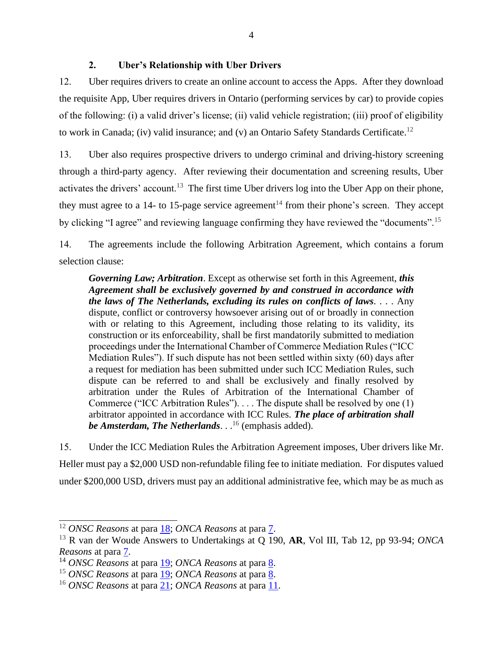#### **2. Uber's Relationship with Uber Drivers**

<span id="page-15-0"></span>12. Uber requires drivers to create an online account to access the Apps. After they download the requisite App, Uber requires drivers in Ontario (performing services by car) to provide copies of the following: (i) a valid driver's license; (ii) valid vehicle registration; (iii) proof of eligibility to work in Canada; (iv) valid insurance; and (v) an Ontario Safety Standards Certificate.<sup>12</sup>

13. Uber also requires prospective drivers to undergo criminal and driving-history screening through a third-party agency. After reviewing their documentation and screening results, Uber activates the drivers' account.<sup>13</sup> The first time Uber drivers log into the Uber App on their phone, they must agree to a 14- to 15-page service agreement<sup>14</sup> from their phone's screen. They accept by clicking "I agree" and reviewing language confirming they have reviewed the "documents".<sup>15</sup>

14. The agreements include the following Arbitration Agreement, which contains a forum selection clause:

*Governing Law; Arbitration*. Except as otherwise set forth in this Agreement, *this Agreement shall be exclusively governed by and construed in accordance with the laws of The Netherlands, excluding its rules on conflicts of laws*. . . . Any dispute, conflict or controversy howsoever arising out of or broadly in connection with or relating to this Agreement, including those relating to its validity, its construction or its enforceability, shall be first mandatorily submitted to mediation proceedings under the International Chamber of Commerce Mediation Rules ("ICC Mediation Rules"). If such dispute has not been settled within sixty (60) days after a request for mediation has been submitted under such ICC Mediation Rules, such dispute can be referred to and shall be exclusively and finally resolved by arbitration under the Rules of Arbitration of the International Chamber of Commerce ("ICC Arbitration Rules"). . . . The dispute shall be resolved by one (1) arbitrator appointed in accordance with ICC Rules. *The place of arbitration shall be Amsterdam, The Netherlands*. . . <sup>16</sup> (emphasis added).

15. Under the ICC Mediation Rules the Arbitration Agreement imposes, Uber drivers like Mr. Heller must pay a \$2,000 USD non-refundable filing fee to initiate mediation. For disputes valued under \$200,000 USD, drivers must pay an additional administrative fee, which may be as much as

<sup>12</sup> *ONSC Reasons* at para [18;](http://canlii.ca/t/hq4hk#par18) *ONCA Reasons* at para [7.](http://canlii.ca/t/hwqzt#par7)

<sup>13</sup> R van der Woude Answers to Undertakings at Q 190, **AR**, Vol III, Tab 12, pp 93-94; *ONCA Reasons* at para [7.](http://canlii.ca/t/hwqzt#par7)

<sup>&</sup>lt;sup>14</sup> *ONSC Reasons* at para <u>19</u>; *ONCA Reasons* at para <u>8</u>.

<sup>15</sup> *ONSC Reasons* at para [19;](http://canlii.ca/t/hq4hk#par19) *ONCA Reasons* at para [8.](http://canlii.ca/t/hwqzt#par8)

<sup>16</sup> *ONSC Reasons* at para [21;](http://canlii.ca/t/hq4hk#par21) *ONCA Reasons* at para [11.](http://canlii.ca/t/hq4hk#par11)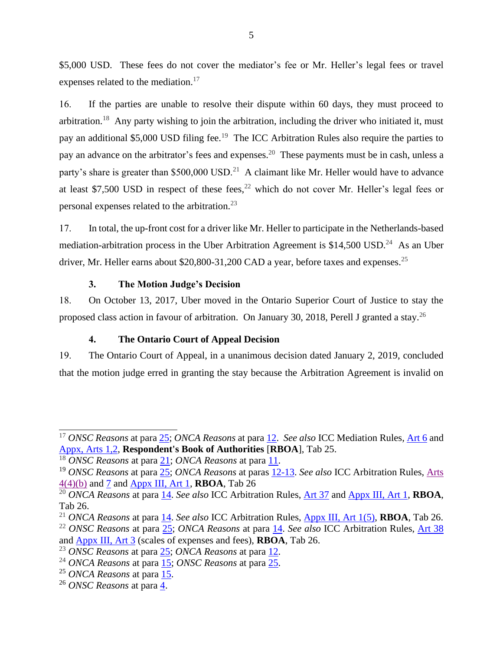\$5,000 USD. These fees do not cover the mediator's fee or Mr. Heller's legal fees or travel expenses related to the mediation.<sup>17</sup>

16. If the parties are unable to resolve their dispute within 60 days, they must proceed to arbitration.<sup>18</sup> Any party wishing to join the arbitration, including the driver who initiated it, must pay an additional \$5,000 USD filing fee.<sup>19</sup> The ICC Arbitration Rules also require the parties to pay an advance on the arbitrator's fees and expenses.<sup>20</sup> These payments must be in cash, unless a party's share is greater than  $$500,000$  USD.<sup>21</sup> A claimant like Mr. Heller would have to advance at least \$7,500 USD in respect of these fees, $^{22}$  which do not cover Mr. Heller's legal fees or personal expenses related to the arbitration.<sup>23</sup>

17. In total, the up-front cost for a driver like Mr. Heller to participate in the Netherlands-based mediation-arbitration process in the Uber Arbitration Agreement is  $$14,500$  USD.<sup>24</sup> As an Uber driver, Mr. Heller earns about \$20,800-31,200 CAD a year, before taxes and expenses.<sup>25</sup>

#### **3. The Motion Judge's Decision**

<span id="page-16-0"></span>18. On October 13, 2017, Uber moved in the Ontario Superior Court of Justice to stay the proposed class action in favour of arbitration. On January 30, 2018, Perell J granted a stay.<sup>26</sup>

# **4. The Ontario Court of Appeal Decision**

<span id="page-16-1"></span>19. The Ontario Court of Appeal, in a unanimous decision dated January 2, 2019, concluded that the motion judge erred in granting the stay because the Arbitration Agreement is invalid on

<sup>17</sup> *ONSC Reasons* at para [25;](http://canlii.ca/t/hq4hk#par25) *ONCA Reasons* at para [12.](http://canlii.ca/t/hq4hk#par12) *See also* ICC Mediation Rules*,* [Art 6](https://iccwbo.org/content/uploads/sites/3/2017/01/ICC-2017-Arbitration-and-2014-Mediation-Rules-english-version.pdf.pdf) and [Appx, Arts 1,2,](https://iccwbo.org/content/uploads/sites/3/2017/01/ICC-2017-Arbitration-and-2014-Mediation-Rules-english-version.pdf.pdf) **Respondent's Book of Authorities** [**RBOA**], Tab 25.

<sup>18</sup> *ONSC Reasons* at para [21;](http://canlii.ca/t/hq4hk#par21) *ONCA Reasons* at para [11.](http://canlii.ca/t/hq4hk#par11)

<sup>19</sup> *ONSC Reasons* at para [25;](http://canlii.ca/t/hq4hk#par25) *ONCA Reasons* at paras [12-13.](https://www.canlii.org/en/on/onca/doc/2019/2019onca1/2019onca1.html?autocompleteStr=2019%20onca%201&autocompletePos=1#par12) *See also* ICC Arbitration Rules, [Arts](https://iccwbo.org/content/uploads/sites/3/2017/01/ICC-2017-Arbitration-and-2014-Mediation-Rules-english-version.pdf.pdf)  [4\(4\)\(b\)](https://iccwbo.org/content/uploads/sites/3/2017/01/ICC-2017-Arbitration-and-2014-Mediation-Rules-english-version.pdf.pdf) and [7](https://iccwbo.org/content/uploads/sites/3/2017/01/ICC-2017-Arbitration-and-2014-Mediation-Rules-english-version.pdf.pdf) and [Appx III, Art 1,](https://iccwbo.org/content/uploads/sites/3/2017/01/ICC-2017-Arbitration-and-2014-Mediation-Rules-english-version.pdf.pdf) **RBOA**, Tab 26

<sup>20</sup> *ONCA Reasons* at para [14.](http://canlii.ca/t/hq4hk#par14) *See also* ICC Arbitration Rules, [Art 37](https://iccwbo.org/content/uploads/sites/3/2017/01/ICC-2017-Arbitration-and-2014-Mediation-Rules-english-version.pdf.pdf) an[d Appx III, Art 1,](https://iccwbo.org/content/uploads/sites/3/2017/01/ICC-2017-Arbitration-and-2014-Mediation-Rules-english-version.pdf.pdf) **RBOA**, Tab 26.

<sup>21</sup> *ONCA Reasons* at para [14.](http://canlii.ca/t/hq4hk#par14) *See also* ICC Arbitration Rules, [Appx III, Art 1\(5\),](https://iccwbo.org/content/uploads/sites/3/2017/01/ICC-2017-Arbitration-and-2014-Mediation-Rules-english-version.pdf.pdf) **RBOA**, Tab 26.

<sup>22</sup> *ONSC Reasons* at para [25;](http://canlii.ca/t/hq4hk#par25) *ONCA Reasons* at para [14.](http://canlii.ca/t/hwqzt#par14) *See also* ICC Arbitration Rules, [Art 38](https://iccwbo.org/content/uploads/sites/3/2017/01/ICC-2017-Arbitration-and-2014-Mediation-Rules-english-version.pdf.pdf) and [Appx III, Art 3](https://iccwbo.org/content/uploads/sites/3/2017/01/ICC-2017-Arbitration-and-2014-Mediation-Rules-english-version.pdf.pdf) (scales of expenses and fees), **RBOA**, Tab 26.

<sup>23</sup> *ONSC Reasons* at para [25;](http://canlii.ca/t/hq4hk#par25) *ONCA Reasons* at para [12.](http://canlii.ca/t/hwqzt#par12)

<sup>24</sup> *ONCA Reasons* at para [15;](http://canlii.ca/t/hwqzt#par15) *ONSC Reasons* at para [25.](http://canlii.ca/t/hq4hk#par25)

<sup>25</sup> *ONCA Reasons* at para [15.](https://www.canlii.org/en/on/onca/doc/2019/2019onca1/2019onca1.html?autocompleteStr=2019%20onca%201&autocompletePos=1#par15)

<sup>26</sup> *ONSC Reasons* at para [4.](http://canlii.ca/t/hq4hk#par4)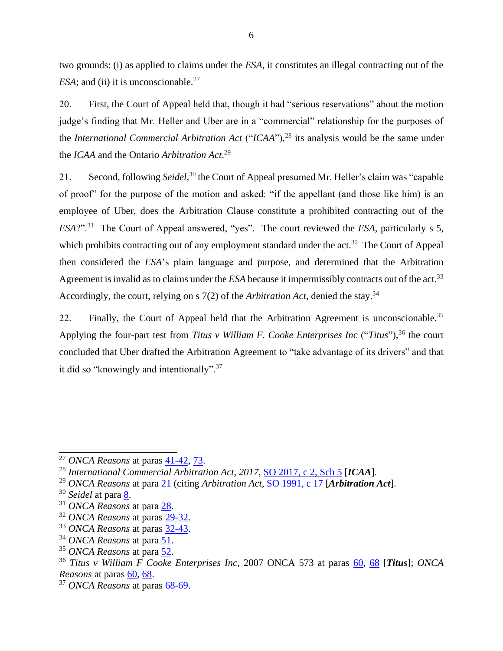two grounds: (i) as applied to claims under the *ESA*, it constitutes an illegal contracting out of the *ESA*; and (ii) it is unconscionable.<sup>27</sup>

20. First, the Court of Appeal held that, though it had "serious reservations" about the motion judge's finding that Mr. Heller and Uber are in a "commercial" relationship for the purposes of the *International Commercial Arbitration Act* ("*ICAA*"), <sup>28</sup> its analysis would be the same under the *ICAA* and the Ontario *Arbitration Act*. 29

21. Second, following *Seidel*, <sup>30</sup> the Court of Appeal presumed Mr. Heller's claim was "capable of proof" for the purpose of the motion and asked: "if the appellant (and those like him) is an employee of Uber, does the Arbitration Clause constitute a prohibited contracting out of the *ESA*?".<sup>31</sup> The Court of Appeal answered, "yes". The court reviewed the *ESA*, particularly s 5, which prohibits contracting out of any employment standard under the act.<sup>32</sup> The Court of Appeal then considered the *ESA*'s plain language and purpose, and determined that the Arbitration Agreement is invalid as to claims under the *ESA* because it impermissibly contracts out of the act. 33 Accordingly, the court, relying on s 7(2) of the *Arbitration Act*, denied the stay.<sup>34</sup>

22. Finally, the Court of Appeal held that the Arbitration Agreement is unconscionable.<sup>35</sup> Applying the four-part test from *Titus v William F. Cooke Enterprises Inc* ("*Titus*"), <sup>36</sup> the court concluded that Uber drafted the Arbitration Agreement to "take advantage of its drivers" and that it did so "knowingly and intentionally".<sup>37</sup>

<sup>&</sup>lt;sup>27</sup> *ONCA Reasons* at paras <u>41-42</u>, [73.](https://www.canlii.org/en/on/onca/doc/2019/2019onca1/2019onca1.html?autocompleteStr=2019%20onca%201&autocompletePos=1#par73)

<sup>&</sup>lt;sup>28</sup> International Commercial Arbitration Act, 2017, [SO 2017, c 2, Sch 5](https://www.ontario.ca/laws/statute/17i02b) [ICAA].

<sup>29</sup> *ONCA Reasons* at para [21](http://canlii.ca/t/hwqzt#par21) (citing *Arbitration Act,* [SO 1991, c 17](https://www.ontario.ca/laws/statute/91a17?search=arbitration) [*Arbitration Act*].

<sup>30</sup> *Seidel* at para [8.](https://www.canlii.org/en/ca/scc/doc/2011/2011scc15/2011scc15.html?autocompleteStr=2011%20scc%2015&autocompletePos=1#par8)

<sup>31</sup> *ONCA Reasons* at para [28.](https://www.canlii.org/en/on/onca/doc/2019/2019onca1/2019onca1.html?autocompleteStr=2019%20onca%201&autocompletePos=1#par28)

<sup>32</sup> *ONCA Reasons* at paras [29-32.](https://www.canlii.org/en/on/onca/doc/2019/2019onca1/2019onca1.html?autocompleteStr=2019%20onca%201&autocompletePos=1#par29)

<sup>33</sup> *ONCA Reasons* at paras [32-43.](https://www.canlii.org/en/on/onca/doc/2019/2019onca1/2019onca1.html?autocompleteStr=2019%20onca%201&autocompletePos=1#par32)

<sup>34</sup> *ONCA Reasons* at para [51.](http://canlii.ca/t/hwqzt#par51)

<sup>35</sup> *ONCA Reasons* at para [52.](https://www.canlii.org/en/on/onca/doc/2019/2019onca1/2019onca1.html?autocompleteStr=2019%20onca%201&autocompletePos=1#par52)

<sup>36</sup> *Titus v William F Cooke Enterprises Inc*, 2007 ONCA 573 at paras [60,](https://www.canlii.org/en/on/onca/doc/2007/2007onca573/2007onca573.html?autocompleteStr=2007%20onca%20573&autocompletePos=1#par60) [68](https://www.canlii.org/en/on/onca/doc/2007/2007onca573/2007onca573.html?autocompleteStr=2007%20onca%20573&autocompletePos=1#par68) [*Titus*]; *ONCA Reasons* at paras [60,](http://canlii.ca/t/hwqzt#par60) [68.](http://canlii.ca/t/hwqzt#par68)

<sup>37</sup> *ONCA Reasons* at paras [68-69.](https://www.canlii.org/en/on/onca/doc/2019/2019onca1/2019onca1.html?autocompleteStr=2019%20onca%201&autocompletePos=1#par68)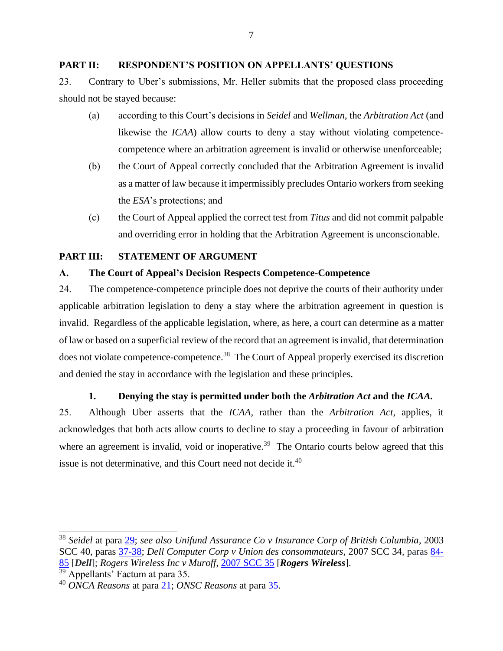#### <span id="page-18-0"></span>**PART II: RESPONDENT'S POSITION ON APPELLANTS' QUESTIONS**

23. Contrary to Uber's submissions, Mr. Heller submits that the proposed class proceeding should not be stayed because:

- (a) according to this Court's decisions in *Seidel* and *Wellman*, the *Arbitration Act* (and likewise the *ICAA*) allow courts to deny a stay without violating competencecompetence where an arbitration agreement is invalid or otherwise unenforceable;
- (b) the Court of Appeal correctly concluded that the Arbitration Agreement is invalid as a matter of law because it impermissibly precludes Ontario workers from seeking the *ESA*'s protections; and
- (c) the Court of Appeal applied the correct test from *Titus* and did not commit palpable and overriding error in holding that the Arbitration Agreement is unconscionable.

# <span id="page-18-1"></span>**PART III: STATEMENT OF ARGUMENT**

# <span id="page-18-2"></span>**A. The Court of Appeal's Decision Respects Competence-Competence**

24. The competence-competence principle does not deprive the courts of their authority under applicable arbitration legislation to deny a stay where the arbitration agreement in question is invalid. Regardless of the applicable legislation, where, as here, a court can determine as a matter of law or based on a superficial review of the record that an agreement is invalid, that determination does not violate competence-competence.<sup>38</sup> The Court of Appeal properly exercised its discretion and denied the stay in accordance with the legislation and these principles.

# **1. Denying the stay is permitted under both the** *Arbitration Act* **and the** *ICAA.*

<span id="page-18-3"></span>25. Although Uber asserts that the *ICAA*, rather than the *Arbitration Act*, applies, it acknowledges that both acts allow courts to decline to stay a proceeding in favour of arbitration where an agreement is invalid, void or inoperative.<sup>39</sup> The Ontario courts below agreed that this issue is not determinative, and this Court need not decide it. 40

<sup>38</sup> *Seidel* at para [29;](https://www.canlii.org/en/ca/scc/doc/2011/2011scc15/2011scc15.html?autocompleteStr=2011%20scc%2015&autocompletePos=1#par29) *see also Unifund Assurance Co v Insurance Corp of British Columbia*, 2003 SCC 40, paras [37-38;](https://www.canlii.org/en/ca/scc/doc/2003/2003scc40/2003scc40.html?autocompleteStr=2003%20scc%2040&autocompletePos=1#par37) *Dell Computer Corp v Union des consommateurs*, 2007 SCC 34, paras [84-](https://www.canlii.org/en/ca/scc/doc/2007/2007scc34/2007scc34.html?autocompleteStr=2007%20scc%2034&autocompletePos=1#par84) [85](https://www.canlii.org/en/ca/scc/doc/2007/2007scc34/2007scc34.html?autocompleteStr=2007%20scc%2034&autocompletePos=1#par84) [*Dell*]; *Rogers Wireless Inc v Muroff*, [2007 SCC 35](https://www.canlii.org/en/ca/scc/doc/2007/2007scc35/2007scc35.pdf) [*Rogers Wireless*].

<sup>&</sup>lt;sup>39</sup> Appellants' Factum at para 35.

<sup>40</sup> *ONCA Reasons* at para [21;](http://canlii.ca/t/hwqzt#par21) *ONSC Reasons* at para [35.](http://canlii.ca/t/hq4hk#par35)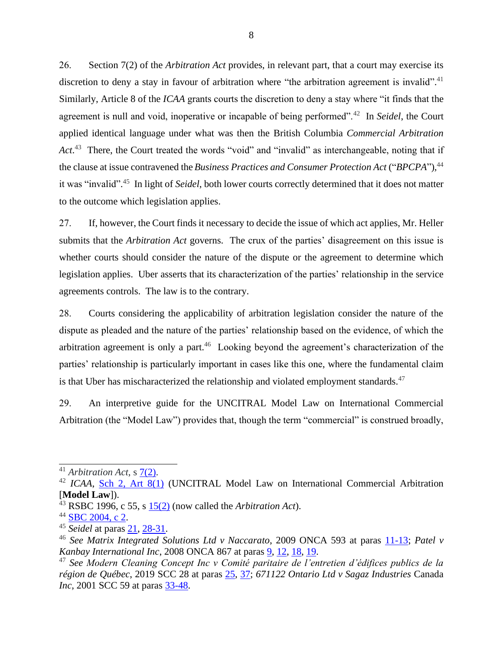26. Section 7(2) of the *Arbitration Act* provides, in relevant part, that a court may exercise its discretion to deny a stay in favour of arbitration where "the arbitration agreement is invalid".<sup>41</sup> Similarly, Article 8 of the *ICAA* grants courts the discretion to deny a stay where "it finds that the agreement is null and void, inoperative or incapable of being performed".<sup>42</sup> In *Seidel*, the Court applied identical language under what was then the British Columbia *Commercial Arbitration*  Act.<sup>43</sup> There, the Court treated the words "void" and "invalid" as interchangeable, noting that if the clause at issue contravened the*Business Practices and Consumer Protection Act* ("*BPCPA*")*,* 44 it was "invalid". 45 In light of *Seidel*, both lower courts correctly determined that it does not matter to the outcome which legislation applies.

27. If, however, the Court finds it necessary to decide the issue of which act applies, Mr. Heller submits that the *Arbitration Act* governs. The crux of the parties' disagreement on this issue is whether courts should consider the nature of the dispute or the agreement to determine which legislation applies. Uber asserts that its characterization of the parties' relationship in the service agreements controls. The law is to the contrary.

28. Courts considering the applicability of arbitration legislation consider the nature of the dispute as pleaded and the nature of the parties' relationship based on the evidence, of which the arbitration agreement is only a part.<sup>46</sup> Looking beyond the agreement's characterization of the parties' relationship is particularly important in cases like this one, where the fundamental claim is that Uber has mischaracterized the relationship and violated employment standards. $47$ 

29. An interpretive guide for the UNCITRAL Model Law on International Commercial Arbitration (the "Model Law") provides that, though the term "commercial" is construed broadly,

<sup>41</sup> *Arbitration Act*, s [7\(2\).](https://www.ontario.ca/laws/statute/91a17#BK10)

<sup>42</sup> *ICAA*, [Sch 2, Art 8\(1\)](https://www.ontario.ca/laws/statute/17i02b#BK16) (UNCITRAL Model Law on International Commercial Arbitration [**Model Law**]).

<sup>43</sup> RSBC 1996, c 55, s [15\(2\)](http://www.bclaws.ca/civix/document/id/complete/statreg/96055_01#section15) (now called the *Arbitration Act*).

<sup>&</sup>lt;sup>44</sup> [SBC 2004, c 2.](http://www.bclaws.ca/civix/document/id/complete/statreg/04002_00)

<sup>45</sup> *Seidel* at paras [21,](http://canlii.ca/t/fkkkj#par21) [28-31.](http://canlii.ca/t/fkkkj#par28)

<sup>46</sup> *See Matrix Integrated Solutions Ltd v Naccarato*, 2009 ONCA 593 at paras [11-13;](http://canlii.ca/t/24wb2#par11) *Patel v Kanbay International Inc*, 2008 ONCA 867 at paras [9,](http://canlii.ca/t/220b1#par9) [12,](http://canlii.ca/t/220b1#par12) [18,](http://canlii.ca/t/220b1#par18) [19.](http://canlii.ca/t/220b1#par19)

<sup>47</sup> *See Modern Cleaning Concept Inc v Comité paritaire de l'entretien d'édifices publics de la région de Québec*, 2019 SCC 28 at paras [25,](http://canlii.ca/t/j0362#par25) [37;](http://canlii.ca/t/j0362#par37) *671122 Ontario Ltd v Sagaz Industries* Canada *Inc*, 2001 SCC 59 at paras [33-48.](http://canlii.ca/t/51z6#par33)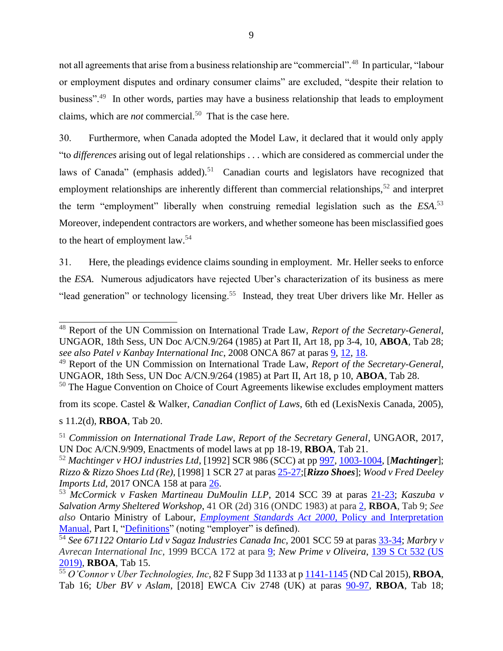not all agreements that arise from a business relationship are "commercial".<sup>48</sup> In particular, "labour or employment disputes and ordinary consumer claims" are excluded, "despite their relation to business".<sup>49</sup> In other words, parties may have a business relationship that leads to employment claims, which are *not* commercial.<sup>50</sup> That is the case here.

30. Furthermore, when Canada adopted the Model Law, it declared that it would only apply "to *differences* arising out of legal relationships . . . which are considered as commercial under the laws of Canada" (emphasis added).<sup>51</sup> Canadian courts and legislators have recognized that employment relationships are inherently different than commercial relationships,<sup>52</sup> and interpret the term "employment" liberally when construing remedial legislation such as the *ESA*. 53 Moreover, independent contractors are workers, and whether someone has been misclassified goes to the heart of employment law.<sup>54</sup>

31. Here, the pleadings evidence claims sounding in employment. Mr. Heller seeks to enforce the *ESA*. Numerous adjudicators have rejected Uber's characterization of its business as mere "lead generation" or technology licensing.<sup>55</sup> Instead, they treat Uber drivers like Mr. Heller as

<sup>49</sup> Report of the UN Commission on International Trade Law, *Report of the Secretary-General*, UNGAOR, 18th Sess, UN Doc A/CN.9/264 (1985) at Part II, Art 18, p 10, **ABOA**, Tab 28.

<sup>50</sup> The Hague Convention on Choice of Court Agreements likewise excludes employment matters

from its scope. Castel & Walker, *Canadian Conflict of Laws*, 6th ed (LexisNexis Canada, 2005), s 11.2(d), **RBOA**, Tab 20.

<sup>48</sup> Report of the UN Commission on International Trade Law, *Report of the Secretary-General*, UNGAOR, 18th Sess, UN Doc A/CN.9/264 (1985) at Part II, Art 18, pp 3-4, 10, **ABOA**, Tab 28; *see also Patel v Kanbay International Inc*, 2008 ONCA 867 at paras [9,](http://canlii.ca/t/220b1#par9) [12,](http://canlii.ca/t/220b1#par12) [18.](http://canlii.ca/t/220b1#par18)

<sup>51</sup> *Commission on International Trade Law, Report of the Secretary General*, UNGAOR, 2017, UN Doc A/CN.9/909, Enactments of model laws at pp 18-19, **RBOA**, Tab 21.

<sup>52</sup> *Machtinger v HOJ industries Ltd*, [1992] SCR 986 (SCC) at pp [997, 1003-1004,](https://decisions.scc-csc.ca/scc-csc/scc-csc/en/872/1/document.do) [*Machtinger*]; *Rizzo & Rizzo Shoes Ltd (Re),* [1998] 1 SCR 27 at paras [25-27;](http://canlii.ca/t/1fqwt#par25)[*Rizzo Shoes*]; *Wood v Fred Deeley Imports Ltd*, 2017 ONCA 158 at para [26.](http://canlii.ca/t/gxn69#par26)

<sup>53</sup> *McCormick v Fasken Martineau DuMoulin LLP*, 2014 SCC 39 at paras [21-23;](http://canlii.ca/t/g6xlp#par21) *Kaszuba v Salvation Army Sheltered Workshop*, 41 OR (2d) 316 (ONDC 1983) at para [2,](https://nextcanada.westlaw.com/Document/I10b717ccbcc763f0e0440003ba0d6c6d/View/FullText.html?originationContext=typeAhead&transitionType=Default&contextData=(sc.Default)) **RBOA**, Tab 9; *See also* Ontario Ministry of Labour, *Employment Standards Act 2000*[, Policy and Interpretation](https://www.ontario.ca/document/employment-standard-act-policy-and-interpretation-manual/part-iii-how-act-applies)  [Manual,](https://www.ontario.ca/document/employment-standard-act-policy-and-interpretation-manual/part-iii-how-act-applies) Part I, ["Definitions"](https://www.ontario.ca/document/employment-standard-act-policy-and-interpretation-manual/part-i-definitions#section-4) (noting "employer" is defined).

<sup>54</sup> *See 671122 Ontario Ltd v Sagaz Industries Canada Inc*, 2001 SCC 59 at paras [33-34;](http://canlii.ca/t/51z6#par33) *Marbry v Avrecan International Inc*, 1999 BCCA 172 at para [9;](http://canlii.ca/t/546j#par9) *New Prime v Oliveira*, [139 S Ct](https://www.supremecourt.gov/opinions/18pdf/17-340_o7kq.pdf) 532 (US [2019\),](https://www.supremecourt.gov/opinions/18pdf/17-340_o7kq.pdf) **RBOA**, Tab 15.

<sup>55</sup> *O'Connor v Uber Technologies, Inc*, 82 F Supp 3d 1133 at [p 1141-1145](https://www.leagle.com/decision/infdco20150312a51) (ND Cal 2015), **RBOA**, Tab 16; *Uber BV v Aslam*, [2018] EWCA Civ 2748 (UK) at paras [90-97,](https://www.judiciary.uk/wp-content/uploads/2018/12/uber-bv-ors-v-aslam-ors-judgment-19.12.18.pdf) **RBOA**, Tab 18;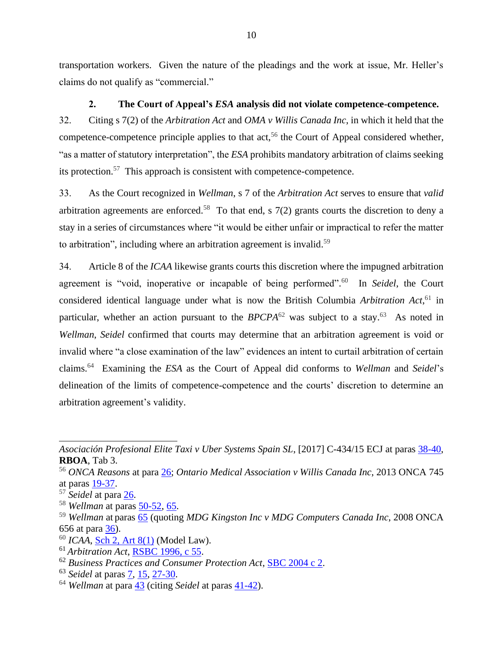transportation workers. Given the nature of the pleadings and the work at issue, Mr. Heller's claims do not qualify as "commercial."

## **2. The Court of Appeal's** *ESA* **analysis did not violate competence-competence.**

<span id="page-21-0"></span>32. Citing s 7(2) of the *Arbitration Act* and *OMA v Willis Canada Inc*, in which it held that the competence-competence principle applies to that  $act<sub>56</sub>$ , the Court of Appeal considered whether, "as a matter of statutory interpretation", the *ESA* prohibits mandatory arbitration of claims seeking its protection.<sup>57</sup> This approach is consistent with competence-competence.

33. As the Court recognized in *Wellman*, s 7 of the *Arbitration Act* serves to ensure that *valid* arbitration agreements are enforced.<sup>58</sup> To that end, s  $7(2)$  grants courts the discretion to deny a stay in a series of circumstances where "it would be either unfair or impractical to refer the matter to arbitration", including where an arbitration agreement is invalid.<sup>59</sup>

34. Article 8 of the *ICAA* likewise grants courts this discretion where the impugned arbitration agreement is "void, inoperative or incapable of being performed". 60 In *Seidel*, the Court considered identical language under what is now the British Columbia *Arbitration Act*, <sup>61</sup> in particular, whether an action pursuant to the  $BPCPA^{62}$  was subject to a stay.<sup>63</sup> As noted in *Wellman*, *Seidel* confirmed that courts may determine that an arbitration agreement is void or invalid where "a close examination of the law" evidences an intent to curtail arbitration of certain claims.<sup>64</sup> Examining the *ESA* as the Court of Appeal did conforms to *Wellman* and *Seidel*'s delineation of the limits of competence-competence and the courts' discretion to determine an arbitration agreement's validity.

*Asociación Profesional Elite Taxi v Uber Systems Spain SL*, [2017] C-434/15 ECJ at paras [38-40,](http://curia.europa.eu/juris/document/document.jsf;jsessionid=F921C735D4806283713B872A790D513E?text=&docid=190593&pageIndex=0&doclang=EN&mode=lst&dir=&occ=first&part=1&cid=4291906) **RBOA**, Tab 3.

<sup>56</sup> *ONCA Reasons* at para [26;](https://www.canlii.org/en/on/onca/doc/2019/2019onca1/2019onca1.html#par26) *Ontario Medical Association v Willis Canada Inc*, 2013 ONCA 745 at paras [19-37.](https://www.canlii.org/en/on/onca/doc/2013/2013onca745/2013onca745.html?autocompleteStr=2013%20onca%20745&autocompletePos=1#par19)

<sup>57</sup> *Seidel* at para [26.](http://canlii.ca/t/fkkkj#par26)

<sup>58</sup> *Wellman* at paras [50-52,](http://canlii.ca/t/hzjnp#par50) [65.](http://canlii.ca/t/hzjnp#par65)

<sup>59</sup> *Wellman* at paras [65](http://canlii.ca/t/hzjnp#par65) (quoting *MDG Kingston Inc v MDG Computers Canada Inc*, 2008 ONCA 656 at para [36\)](https://www.canlii.org/en/on/onca/doc/2008/2008onca656/2008onca656.html?autocompleteStr=2008%20onca%20656&autocompletePos=1#par36).

<sup>60</sup> *ICAA*, [Sch 2, Art 8\(1\)](https://www.ontario.ca/laws/statute/17i02b#BK16) (Model Law).

<sup>61</sup> *Arbitration Act*, [RSBC 1996, c 55.](http://www.bclaws.ca/civix/document/id/complete/statreg/96055_01)

<sup>62</sup> *Business Practices and Consumer Protection Act*, [SBC 2004 c 2.](http://www.bclaws.ca/civix/document/id/complete/statreg/04002_00)

<sup>63</sup> *Seidel* at paras [7,](https://www.canlii.org/en/ca/scc/doc/2011/2011scc15/2011scc15.html?autocompleteStr=2011%20scc%2015&autocompletePos=1#par7) [15,](https://www.canlii.org/en/ca/scc/doc/2011/2011scc15/2011scc15.html?autocompleteStr=2011%20scc%2015&autocompletePos=1#par15) [27-30.](https://www.canlii.org/en/ca/scc/doc/2011/2011scc15/2011scc15.html?autocompleteStr=2011%20scc%2015&autocompletePos=1#par27)

<sup>64</sup> *Wellman* at para [43](http://canlii.ca/t/hzjnp#par43) (citing *Seidel* at paras [41-42\)](http://canlii.ca/t/fkkkj#par41).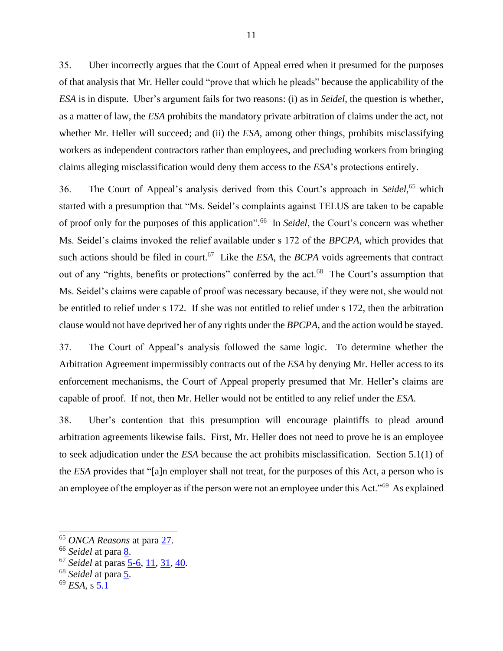35. Uber incorrectly argues that the Court of Appeal erred when it presumed for the purposes of that analysis that Mr. Heller could "prove that which he pleads" because the applicability of the *ESA* is in dispute. Uber's argument fails for two reasons: (i) as in *Seidel*, the question is whether, as a matter of law, the *ESA* prohibits the mandatory private arbitration of claims under the act, not whether Mr. Heller will succeed; and (ii) the *ESA*, among other things, prohibits misclassifying workers as independent contractors rather than employees, and precluding workers from bringing claims alleging misclassification would deny them access to the *ESA*'s protections entirely.

36. The Court of Appeal's analysis derived from this Court's approach in *Seidel*, <sup>65</sup> which started with a presumption that "Ms. Seidel's complaints against TELUS are taken to be capable of proof only for the purposes of this application". 66 In *Seidel*, the Court's concern was whether Ms. Seidel's claims invoked the relief available under s 172 of the *BPCPA*, which provides that such actions should be filed in court.<sup>67</sup> Like the *ESA*, the *BCPA* voids agreements that contract out of any "rights, benefits or protections" conferred by the act.<sup>68</sup> The Court's assumption that Ms. Seidel's claims were capable of proof was necessary because, if they were not, she would not be entitled to relief under s 172. If she was not entitled to relief under s 172, then the arbitration clause would not have deprived her of any rights under the *BPCPA*, and the action would be stayed.

37. The Court of Appeal's analysis followed the same logic. To determine whether the Arbitration Agreement impermissibly contracts out of the *ESA* by denying Mr. Heller access to its enforcement mechanisms, the Court of Appeal properly presumed that Mr. Heller's claims are capable of proof. If not, then Mr. Heller would not be entitled to any relief under the *ESA*.

38. Uber's contention that this presumption will encourage plaintiffs to plead around arbitration agreements likewise fails. First, Mr. Heller does not need to prove he is an employee to seek adjudication under the *ESA* because the act prohibits misclassification. Section 5.1(1) of the *ESA* provides that "[a]n employer shall not treat, for the purposes of this Act, a person who is an employee of the employer as if the person were not an employee under this Act."<sup>69</sup> As explained

- <sup>67</sup> *Seidel* at paras [5-6,](http://canlii.ca/t/fkkkj#par5) [11,](http://canlii.ca/t/fkkkj#par11) [31,](http://canlii.ca/t/fkkkj#par31) [40.](http://canlii.ca/t/fkkkj#par40)
- <sup>68</sup> *Seidel* at para [5.](http://canlii.ca/t/fkkkj#par5)
- <sup>69</sup> *ESA*, s [5.1](https://www.ontario.ca/laws/statute/00e41#BK9)

<sup>65</sup> *ONCA Reasons* at para [27.](http://canlii.ca/t/hwqzt#par27)

<sup>&</sup>lt;sup>66</sup> *Seidel* at para <u>8</u>.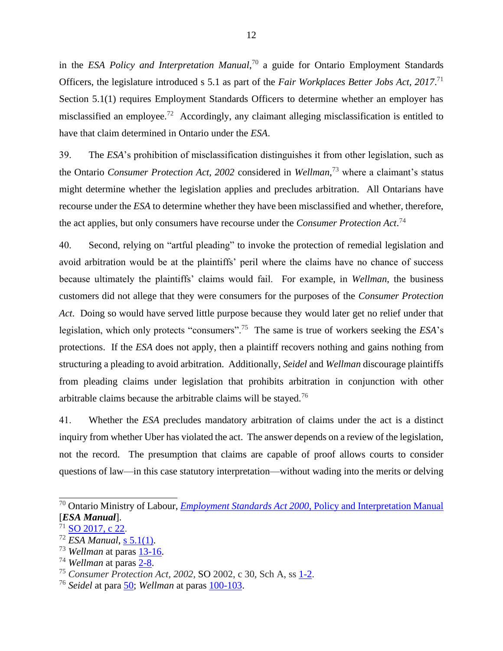in the *ESA Policy and Interpretation Manual*, <sup>70</sup> a guide for Ontario Employment Standards Officers, the legislature introduced s 5.1 as part of the *Fair Workplaces Better Jobs Act, 2017*. 71 Section 5.1(1) requires Employment Standards Officers to determine whether an employer has misclassified an employee.<sup>72</sup> Accordingly, any claimant alleging misclassification is entitled to have that claim determined in Ontario under the *ESA*.

39. The *ESA*'s prohibition of misclassification distinguishes it from other legislation, such as the Ontario *Consumer Protection Act, 2002* considered in *Wellman*, <sup>73</sup> where a claimant's status might determine whether the legislation applies and precludes arbitration. All Ontarians have recourse under the *ESA* to determine whether they have been misclassified and whether, therefore, the act applies, but only consumers have recourse under the *Consumer Protection Act*. 74

40. Second, relying on "artful pleading" to invoke the protection of remedial legislation and avoid arbitration would be at the plaintiffs' peril where the claims have no chance of success because ultimately the plaintiffs' claims would fail. For example, in *Wellman*, the business customers did not allege that they were consumers for the purposes of the *Consumer Protection Act*. Doing so would have served little purpose because they would later get no relief under that legislation, which only protects "consumers".<sup>75</sup> The same is true of workers seeking the *ESA*'s protections. If the *ESA* does not apply, then a plaintiff recovers nothing and gains nothing from structuring a pleading to avoid arbitration. Additionally, *Seidel* and *Wellman* discourage plaintiffs from pleading claims under legislation that prohibits arbitration in conjunction with other arbitrable claims because the arbitrable claims will be stayed.<sup>76</sup>

41. Whether the *ESA* precludes mandatory arbitration of claims under the act is a distinct inquiry from whether Uber has violated the act. The answer depends on a review of the legislation, not the record. The presumption that claims are capable of proof allows courts to consider questions of law—in this case statutory interpretation—without wading into the merits or delving

<sup>70</sup> Ontario Ministry of Labour, *Employment Standards Act 2000*[, Policy and Interpretation Manual](https://www.ontario.ca/document/employment-standard-act-policy-and-interpretation-manual/part-iii-how-act-applies) [*ESA Manual*].

 $71$  SO [2017, c 22.](https://www.ontario.ca/laws/statute/s17022)

<sup>72</sup> *ESA Manual*, [s 5.1\(1\).](https://www.ontario.ca/document/employment-standard-act-policy-and-interpretation-manual/part-iii-how-act-applies#section-4)

<sup>73</sup> *Wellman* at paras [13-16.](http://canlii.ca/t/hzjnp#par13)

<sup>74</sup> *Wellman* at paras [2-8.](http://canlii.ca/t/hzjnp#par2)

<sup>75</sup> *Consumer Protection Act*, *2002*, SO 2002, c 30, Sch A, ss [1-2.](https://www.ontario.ca/laws/statute/02c30#BK1)

<sup>76</sup> *Seidel* at para [50;](http://canlii.ca/t/fkkkj#par50) *Wellman* at paras [100-103.](http://canlii.ca/t/hzjnp#par100)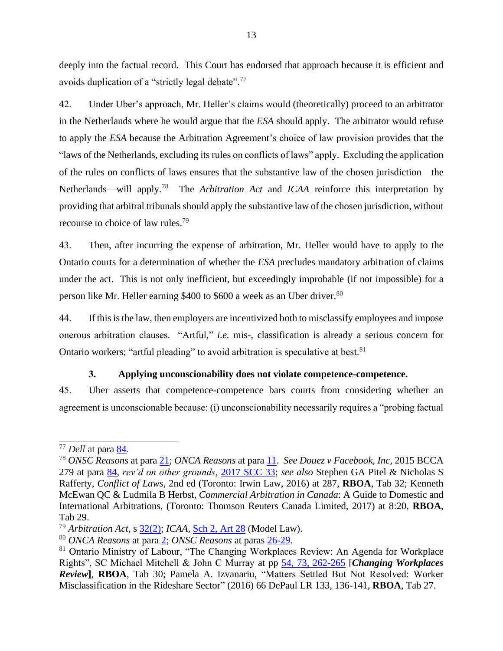deeply into the factual record. This Court has endorsed that approach because it is efficient and avoids duplication of a "strictly legal debate".<sup>77</sup>

42. Under Uber's approach, Mr. Heller's claims would (theoretically) proceed to an arbitrator in the Netherlands where he would argue that the *ESA* should apply. The arbitrator would refuse to apply the *ESA* because the Arbitration Agreement's choice of law provision provides that the "laws of the Netherlands, excluding its rules on conflicts of laws" apply. Excluding the application of the rules on conflicts of laws ensures that the substantive law of the chosen jurisdiction—the Netherlands—will apply.<sup>78</sup> The *Arbitration Act* and *ICAA* reinforce this interpretation by providing that arbitral tribunals should apply the substantive law of the chosen jurisdiction, without recourse to choice of law rules.<sup>79</sup>

43. Then, after incurring the expense of arbitration, Mr. Heller would have to apply to the Ontario courts for a determination of whether the *ESA* precludes mandatory arbitration of claims under the act. This is not only inefficient, but exceedingly improbable (if not impossible) for a person like Mr. Heller earning \$400 to \$600 a week as an Uber driver.<sup>80</sup>

44. If this is the law, then employers are incentivized both to misclassify employees and impose onerous arbitration clauses. "Artful," *i.e.* mis-, classification is already a serious concern for Ontario workers; "artful pleading" to avoid arbitration is speculative at best.<sup>81</sup>

#### **3. Applying unconscionability does not violate competence-competence.**

<span id="page-24-0"></span>45. Uber asserts that competence-competence bars courts from considering whether an agreement is unconscionable because: (i) unconscionability necessarily requires a "probing factual

<sup>77</sup> *Dell* at para [84.](https://www.canlii.org/en/ca/scc/doc/2007/2007scc34/2007scc34.html#par84)

<sup>78</sup> *ONSC Reasons* at para [21;](http://canlii.ca/t/hq4hk#par21) *ONCA Reasons* at para [11.](http://canlii.ca/t/hwqzt#par11) *See Douez v Facebook, Inc*, 2015 BCCA 279 at para [84,](https://www.canlii.org/en/bc/bcca/doc/2015/2015bcca279/2015bcca279.html#par84) *rev'd on other grounds*, [2017 SCC 33;](https://www.canlii.org/en/ca/scc/doc/2017/2017scc33/2017scc33.html?resultIndex=1) *see also* Stephen GA Pitel & Nicholas S Rafferty*, Conflict of Laws*, 2nd ed (Toronto: Irwin Law, 2016) at 287, **RBOA**, Tab 32; Kenneth McEwan QC & Ludmila B Herbst, *Commercial Arbitration in Canada*: A Guide to Domestic and International Arbitrations, (Toronto: Thomson Reuters Canada Limited, 2017) at 8:20, **RBOA**, Tab 29.

<sup>79</sup> *Arbitration Act*, s [32\(2\);](https://www.ontario.ca/laws/statute/91a17?search=arbitration#BK39) *ICAA*, [Sch 2, Art 28](https://www.ontario.ca/laws/statute/17i02b#BK16) (Model Law).

<sup>80</sup> *ONCA Reasons* at para [2;](https://www.canlii.org/en/on/onca/doc/2019/2019onca1/2019onca1.html?autocompleteStr=2019%20onca%201&autocompletePos=1#par2) *ONSC Reasons* at paras [26-29.](http://canlii.ca/t/hq4hk#par26)

<sup>&</sup>lt;sup>81</sup> Ontario Ministry of Labour, "The Changing Workplaces Review: An Agenda for Workplace Rights", SC Michael Mitchell & John C Murray at pp [54, 73, 262-265](https://files.ontario.ca/books/mol_changing_workplace_report_eng_2_0.pdf) [*Changing Workplaces Review***]**, **RBOA**, Tab 30; Pamela A. Izvanariu, "Matters Settled But Not Resolved: Worker Misclassification in the Rideshare Sector" (2016) 66 DePaul LR 133, 136-141, **RBOA**, Tab 27.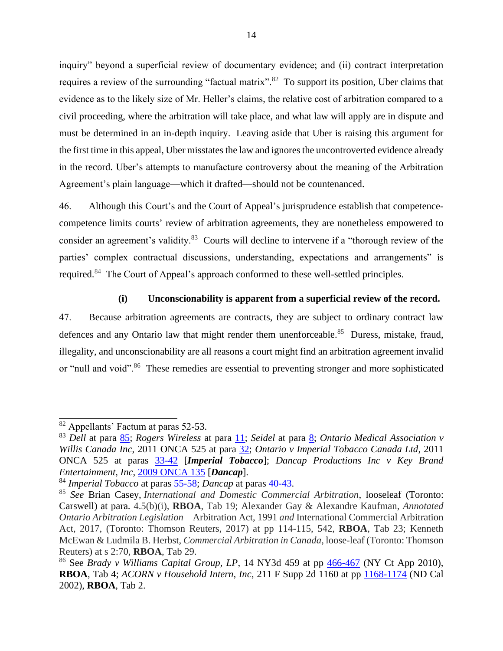inquiry" beyond a superficial review of documentary evidence; and (ii) contract interpretation requires a review of the surrounding "factual matrix".<sup>82</sup> To support its position, Uber claims that evidence as to the likely size of Mr. Heller's claims, the relative cost of arbitration compared to a civil proceeding, where the arbitration will take place, and what law will apply are in dispute and must be determined in an in-depth inquiry. Leaving aside that Uber is raising this argument for the first time in this appeal, Uber misstates the law and ignores the uncontroverted evidence already in the record. Uber's attempts to manufacture controversy about the meaning of the Arbitration Agreement's plain language—which it drafted—should not be countenanced.

46. Although this Court's and the Court of Appeal's jurisprudence establish that competencecompetence limits courts' review of arbitration agreements, they are nonetheless empowered to consider an agreement's validity.<sup>83</sup> Courts will decline to intervene if a "thorough review of the parties' complex contractual discussions, understanding, expectations and arrangements" is required.<sup>84</sup> The Court of Appeal's approach conformed to these well-settled principles.

#### **(i) Unconscionability is apparent from a superficial review of the record.**

47. Because arbitration agreements are contracts, they are subject to ordinary contract law defences and any Ontario law that might render them unenforceable.<sup>85</sup> Duress, mistake, fraud, illegality, and unconscionability are all reasons a court might find an arbitration agreement invalid or "null and void".<sup>86</sup> These remedies are essential to preventing stronger and more sophisticated

<sup>82</sup> Appellants' Factum at paras 52-53.

<sup>83</sup> *Dell* at para [85;](https://www.canlii.org/en/ca/scc/doc/2007/2007scc34/2007scc34.html#par85) *Rogers Wireless* at para [11;](https://www.canlii.org/en/ca/scc/doc/2007/2007scc35/2007scc35.html#par11) *Seidel* at para [8;](https://www.canlii.org/en/ca/scc/doc/2011/2011scc15/2011scc15.html?autocompleteStr=2011%20scc%2015&autocompletePos=1#par8) *Ontario Medical Association v Willis Canada Inc*, 2011 ONCA 525 at para [32;](https://www.canlii.org/en/on/onca/doc/2011/2011onca525/2011onca525.html#par32) *Ontario v Imperial Tobacco Canada Ltd*, 2011 ONCA 525 at paras [33-42](https://www.canlii.org/en/on/onca/doc/2011/2011onca525/2011onca525.html?autocompleteStr=2011%20onca%20525&autocompletePos=1#par33) [*Imperial Tobacco*]; *Dancap Productions Inc v Key Brand Entertainment, Inc*, [2009 ONCA 135](https://www.canlii.org/en/on/onca/doc/2009/2009onca135/2009onca135.pdf) [*Dancap*].

<sup>84</sup> *Imperial Tobacco* at paras [55-58;](https://www.canlii.org/en/on/onca/doc/2011/2011onca525/2011onca525.html?autocompleteStr=2011%20onca%20525&autocompletePos=1#par55) *Dancap* at paras [40-43.](https://www.canlii.org/en/on/onca/doc/2009/2009onca135/2009onca135.html?autocompleteStr=2009%20onca%20135&autocompletePos=1#par40)

<sup>85</sup> *See* Brian Casey, *International and Domestic Commercial Arbitration*, looseleaf (Toronto: Carswell) at para. 4.5(b)(i), **RBOA**, Tab 19; Alexander Gay & Alexandre Kaufman, *Annotated Ontario Arbitration Legislation –* Arbitration Act, 1991 *and* International Commercial Arbitration Act, 2017, (Toronto: Thomson Reuters, 2017) at pp 114-115, 542, **RBOA**, Tab 23; Kenneth McEwan & Ludmila B. Herbst, *Commercial Arbitration in Canada*, loose-leaf (Toronto: Thomson Reuters) at s 2:70, **RBOA**, Tab 29.

<sup>&</sup>lt;sup>86</sup> See *Brady v Williams Capital Group, LP*, 14 NY3d 459 at pp  $\frac{466-467}{40}$  (NY Ct App 2010), **RBOA**, Tab 4; *ACORN v Household Intern, Inc*, 211 F Supp 2d 1160 at pp [1168-1174](https://www.leagle.com/decision/20021371211fsupp2d116011261) (ND Cal 2002), **RBOA**, Tab 2.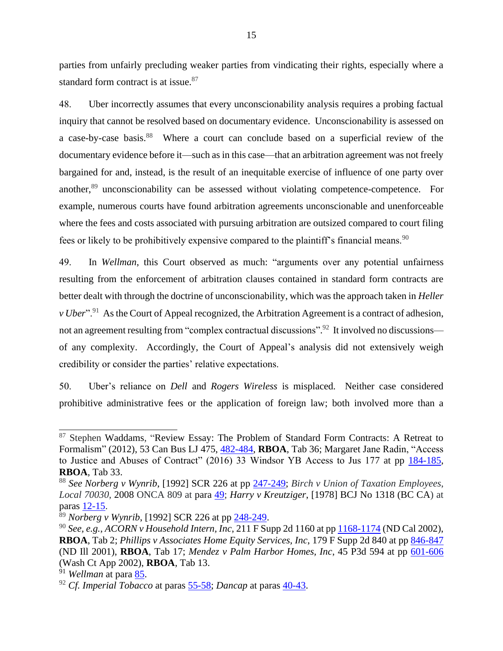parties from unfairly precluding weaker parties from vindicating their rights, especially where a standard form contract is at issue.<sup>87</sup>

48. Uber incorrectly assumes that every unconscionability analysis requires a probing factual inquiry that cannot be resolved based on documentary evidence. Unconscionability is assessed on a case-by-case basis.<sup>88</sup> Where a court can conclude based on a superficial review of the documentary evidence before it—such as in this case—that an arbitration agreement was not freely bargained for and, instead, is the result of an inequitable exercise of influence of one party over another,<sup>89</sup> unconscionability can be assessed without violating competence-competence. For example, numerous courts have found arbitration agreements unconscionable and unenforceable where the fees and costs associated with pursuing arbitration are outsized compared to court filing fees or likely to be prohibitively expensive compared to the plaintiff's financial means.<sup>90</sup>

49. In *Wellman*, this Court observed as much: "arguments over any potential unfairness resulting from the enforcement of arbitration clauses contained in standard form contracts are better dealt with through the doctrine of unconscionability, which was the approach taken in *Heller v Uber*".<sup>91</sup> As the Court of Appeal recognized, the Arbitration Agreement is a contract of adhesion, not an agreement resulting from "complex contractual discussions".<sup>92</sup> It involved no discussions of any complexity. Accordingly, the Court of Appeal's analysis did not extensively weigh credibility or consider the parties' relative expectations.

50. Uber's reliance on *Dell* and *Rogers Wireless* is misplaced. Neither case considered prohibitive administrative fees or the application of foreign law; both involved more than a

<sup>&</sup>lt;sup>87</sup> Stephen Waddams, "Review Essay: The Problem of Standard Form Contracts: A Retreat to Formalism" (2012), 53 Can Bus LJ 475, [482-484,](https://nextcanada.westlaw.com/Link/Document/FullText?findType=Y&serNum=0440985358&pubNum=0100238&originatingDoc=I52a200e7e34021e7e0540021280d7cce&refType=LR&originationContext=document&transitionType=DocumentItem&contextData=(sc.History*oc.Search)) **RBOA**, Tab 36; Margaret Jane Radin, "Access to Justice and Abuses of Contract" (2016) 33 Windsor YB Access to Jus 177 at pp [184-185,](https://nextcanada.westlaw.com/Document/I2eeb9ea2055211e798dc8b09b4f043e0/View/FullText.html?navigationPath=%2FFoldering%2Fv1%2Fdstampley%3D40wrighthenry.ca%2Fcontainers%2Fuser%2Fa698530dedd3491c83c9b76705e87481%2Fcontents%2FdocumentNavigation%2F5263f75f-f41a-45c9-8504-deca97fd7777%2FI2eeb9ea2055211e798dc8b09b4f043e0%3FcontainerType%3Dfolder&listSource=Foldering&list=folderContents&rank=1&sessionScopeId=445ccb057e902830e4a2c8584430d06a11d2e0422d452c3bf5ccd4eb75c45c27&rulebookMode=false&fcid=09f94a5cd9494da1bd9bc5c5a64b932b&transitionType=FolderItem&contextData=%28cid.09f94a5cd9494da1bd9bc5c5a64b932b*oc.Search%29) **RBOA**, Tab 33.

<sup>88</sup> *See Norberg v Wynrib*, [1992] SCR 226 at pp [247-249;](https://www.canlii.org/en/ca/scc/doc/1992/1992canlii65/1992canlii65.pdf) *Birch v Union of Taxation Employees*, *Local 70030*, 2008 ONCA 809 at para [49;](https://www.canlii.org/en/on/onca/doc/2008/2008onca809/2008onca809.html#par49) *Harry v Kreutziger*, [1978] BCJ No 1318 (BC CA) at paras [12-15.](https://www.canlii.org/en/bc/bcca/doc/1978/1978canlii393/1978canlii393.html#par12)

<sup>89</sup> *Norberg v Wynrib*, [1992] SCR 226 at pp [248-249.](https://www.canlii.org/en/ca/scc/doc/1992/1992canlii65/1992canlii65.pdf)

<sup>90</sup> *See, e.g.*, *ACORN v Household Intern, Inc*, 211 F Supp 2d 1160 at pp [1168-1174](https://www.leagle.com/decision/20021371211fsupp2d116011261) (ND Cal 2002), **RBOA**, Tab 2; *Phillips v Associates Home Equity Services, Inc*, 179 F Supp 2d 840 at pp [846-847](https://law.justia.com/cases/federal/district-courts/FSupp2/179/840/2485101/) (ND Ill 2001), **RBOA**, Tab 17; *Mendez v Palm Harbor Homes, Inc*, 45 P3d 594 at pp [601-606](https://www.courtlistener.com/opinion/2271747/mendez-v-palm-harbor-homes-inc/) (Wash Ct App 2002), **RBOA**, Tab 13.

<sup>91</sup> *Wellman* at para [85.](https://www.canlii.org/en/ca/scc/doc/2019/2019scc19/2019scc19.html?autocompleteStr=2019%20scc%2019&autocompletePos=1#par85)

<sup>92</sup> *Cf. Imperial Tobacco* at paras [55-58;](https://www.canlii.org/en/on/onca/doc/2011/2011onca525/2011onca525.html?autocompleteStr=2011%20onca%20525&autocompletePos=1#par55) *Dancap* at paras [40-43.](https://www.canlii.org/en/on/onca/doc/2009/2009onca135/2009onca135.html?autocompleteStr=2009%20onca%20135&autocompletePos=1#par40)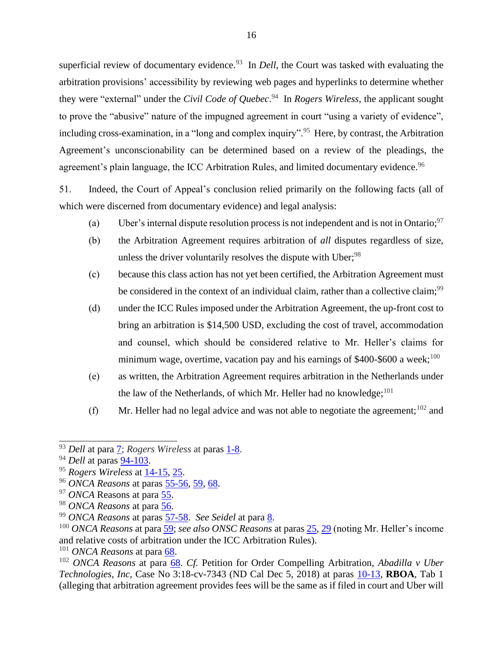superficial review of documentary evidence.<sup>93</sup> In *Dell*, the Court was tasked with evaluating the arbitration provisions' accessibility by reviewing web pages and hyperlinks to determine whether they were "external" under the *Civil Code of Quebec*. <sup>94</sup> In *Rogers Wireless*, the applicant sought to prove the "abusive" nature of the impugned agreement in court "using a variety of evidence", including cross-examination, in a "long and complex inquiry".<sup>95</sup> Here, by contrast, the Arbitration Agreement's unconscionability can be determined based on a review of the pleadings, the agreement's plain language, the ICC Arbitration Rules, and limited documentary evidence.<sup>96</sup>

51. Indeed, the Court of Appeal's conclusion relied primarily on the following facts (all of which were discerned from documentary evidence) and legal analysis:

- (a) Uber's internal dispute resolution process is not independent and is not in Ontario;  $97$
- (b) the Arbitration Agreement requires arbitration of *all* disputes regardless of size, unless the driver voluntarily resolves the dispute with Uber;  $98$
- (c) because this class action has not yet been certified, the Arbitration Agreement must be considered in the context of an individual claim, rather than a collective claim;<sup>99</sup>
- (d) under the ICC Rules imposed under the Arbitration Agreement, the up-front cost to bring an arbitration is \$14,500 USD, excluding the cost of travel, accommodation and counsel, which should be considered relative to Mr. Heller's claims for minimum wage, overtime, vacation pay and his earnings of  $$400-$600$  a week;<sup>100</sup>
- (e) as written, the Arbitration Agreement requires arbitration in the Netherlands under the law of the Netherlands, of which Mr. Heller had no knowledge; $^{101}$
- (f) Mr. Heller had no legal advice and was not able to negotiate the agreement;  $102$  and

<sup>101</sup> *ONCA Reasons* at para [68.](http://canlii.ca/t/hwqzt#par68)

<sup>93</sup> *Dell* at para [7;](https://www.canlii.org/en/ca/scc/doc/2007/2007scc34/2007scc34.html#par7) *Rogers Wireless* at paras [1-8.](https://www.canlii.org/en/ca/scc/doc/2007/2007scc35/2007scc35.html#par1)

<sup>&</sup>lt;sup>94</sup> *Dell* at paras <u>94-103</u>.

<sup>95</sup> *Rogers Wireless* at [14-15,](https://www.canlii.org/en/ca/scc/doc/2007/2007scc35/2007scc35.html#par14) [25.](https://www.canlii.org/en/ca/scc/doc/2007/2007scc35/2007scc35.html#par25)

<sup>96</sup> *ONCA Reasons* at paras [55-56,](http://canlii.ca/t/hwqzt#par55) [59,](http://canlii.ca/t/hwqzt#par59) [68.](http://canlii.ca/t/hwqzt#par69)

<sup>97</sup> *ONCA* Reasons at para [55.](http://canlii.ca/t/hwqzt#par55)

<sup>98</sup> *ONCA Reasons* at para [56.](http://canlii.ca/t/hwqzt#par56)

<sup>99</sup> *ONCA Reasons* at paras [57-58.](http://canlii.ca/t/hwqzt#par57) *See Seidel* at para [8.](http://canlii.ca/t/fkkkj#par8)

<sup>100</sup> *ONCA Reasons* at para [59;](http://canlii.ca/t/hwqzt#par59) *see also ONSC Reasons* at paras [25,](http://canlii.ca/t/hq4hk#par25) [29](http://canlii.ca/t/hq4hk#par29) (noting Mr. Heller's income and relative costs of arbitration under the ICC Arbitration Rules).

<sup>102</sup> *ONCA Reasons* at para [68.](http://canlii.ca/t/hwqzt#par68) *Cf.* Petition for Order Compelling Arbitration, *Abadilla v Uber Technologies, Inc*, Case No 3:18-cv-7343 (ND Cal Dec 5, 2018) at paras [10-13,](https://www.courtlistener.com/recap/gov.uscourts.cand.335603/gov.uscourts.cand.335603.1.0_1.pdf) **RBOA**, Tab 1 (alleging that arbitration agreement provides fees will be the same as if filed in court and Uber will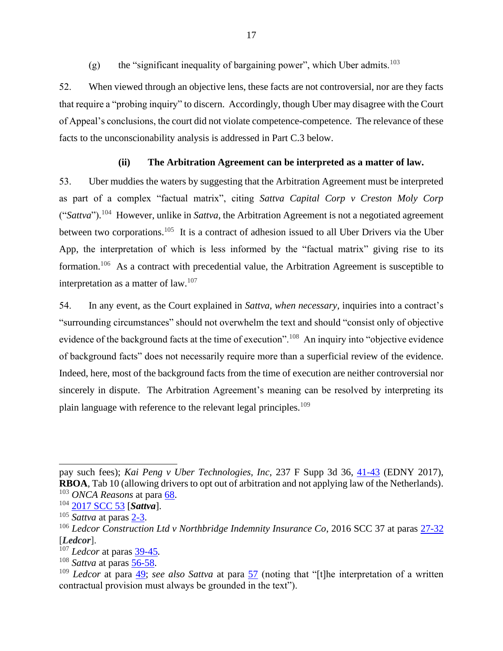(g) the "significant inequality of bargaining power", which Uber admits.<sup>103</sup>

52. When viewed through an objective lens, these facts are not controversial, nor are they facts that require a "probing inquiry" to discern. Accordingly, though Uber may disagree with the Court of Appeal's conclusions, the court did not violate competence-competence. The relevance of these facts to the unconscionability analysis is addressed in Part C.3 below.

# **(ii) The Arbitration Agreement can be interpreted as a matter of law.**

53. Uber muddies the waters by suggesting that the Arbitration Agreement must be interpreted as part of a complex "factual matrix", citing *Sattva Capital Corp v Creston Moly Corp*  ("*Sattva*"). 104 However, unlike in *Sattva*, the Arbitration Agreement is not a negotiated agreement between two corporations.<sup>105</sup> It is a contract of adhesion issued to all Uber Drivers via the Uber App, the interpretation of which is less informed by the "factual matrix" giving rise to its formation.<sup>106</sup> As a contract with precedential value, the Arbitration Agreement is susceptible to interpretation as a matter of law. $107$ 

54. In any event, as the Court explained in *Sattva*, *when necessary*, inquiries into a contract's "surrounding circumstances" should not overwhelm the text and should "consist only of objective evidence of the background facts at the time of execution".<sup>108</sup> An inquiry into "objective evidence of background facts" does not necessarily require more than a superficial review of the evidence. Indeed, here, most of the background facts from the time of execution are neither controversial nor sincerely in dispute. The Arbitration Agreement's meaning can be resolved by interpreting its plain language with reference to the relevant legal principles.<sup>109</sup>

pay such fees); *Kai Peng v Uber Technologies, Inc*, 237 F Supp 3d 36, [41-43](https://casetext.com/case/peng-v-uber-techs-inc) (EDNY 2017), **RBOA**, Tab 10 (allowing drivers to opt out of arbitration and not applying law of the Netherlands). <sup>103</sup> *ONCA Reasons* at para [68.](http://canlii.ca/t/hwqzt#par68)

<sup>104</sup> [2017 SCC 53](https://www.canlii.org/en/ca/scc/doc/2014/2014scc53/2014scc53.html?resultIndex=1) [*Sattva*].

<sup>105</sup> *Sattva* at paras [2-3.](https://www.canlii.org/en/ca/scc/doc/2014/2014scc53/2014scc53.html#par2)

<sup>&</sup>lt;sup>106</sup> *Ledcor Construction Ltd v Northbridge Indemnity Insurance Co*, 2016 SCC 37 at paras [27-32](https://www.canlii.org/en/ca/scc/doc/2016/2016scc37/2016scc37.html#par27) [*Ledcor*].

<sup>107</sup> *Ledcor* at paras [39-45](https://www.canlii.org/en/ca/scc/doc/2016/2016scc37/2016scc37.html#par39)*.*

<sup>108</sup> *Sattva* at paras [56-58.](https://www.canlii.org/en/ca/scc/doc/2014/2014scc53/2014scc53.html#par56)

<sup>109</sup> *Ledcor* at para [49;](https://www.canlii.org/en/ca/scc/doc/2016/2016scc37/2016scc37.html#par49) *see also Sattva* at para [57](https://www.canlii.org/en/ca/scc/doc/2014/2014scc53/2014scc53.html#par57) (noting that "[t]he interpretation of a written contractual provision must always be grounded in the text").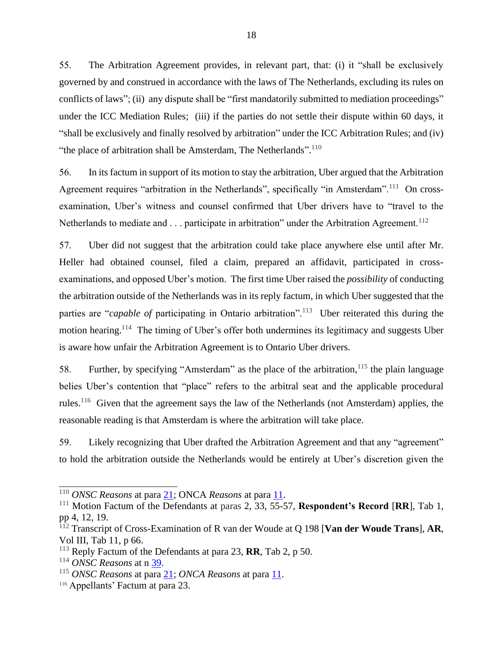55. The Arbitration Agreement provides, in relevant part, that: (i) it "shall be exclusively governed by and construed in accordance with the laws of The Netherlands, excluding its rules on conflicts of laws"; (ii) any dispute shall be "first mandatorily submitted to mediation proceedings" under the ICC Mediation Rules; (iii) if the parties do not settle their dispute within 60 days, it "shall be exclusively and finally resolved by arbitration" under the ICC Arbitration Rules; and (iv) "the place of arbitration shall be Amsterdam, The Netherlands". $^{110}$ 

56. In its factum in support of its motion to stay the arbitration, Uber argued that the Arbitration Agreement requires "arbitration in the Netherlands", specifically "in Amsterdam".<sup>111</sup> On crossexamination, Uber's witness and counsel confirmed that Uber drivers have to "travel to the Netherlands to mediate and  $\ldots$  participate in arbitration" under the Arbitration Agreement.<sup>112</sup>

57. Uber did not suggest that the arbitration could take place anywhere else until after Mr. Heller had obtained counsel, filed a claim, prepared an affidavit, participated in crossexaminations, and opposed Uber's motion. The first time Uber raised the *possibility* of conducting the arbitration outside of the Netherlands was in its reply factum, in which Uber suggested that the parties are "*capable of* participating in Ontario arbitration".<sup>113</sup> Uber reiterated this during the motion hearing.<sup>114</sup> The timing of Uber's offer both undermines its legitimacy and suggests Uber is aware how unfair the Arbitration Agreement is to Ontario Uber drivers.

58. Further, by specifying "Amsterdam" as the place of the arbitration,<sup>115</sup> the plain language belies Uber's contention that "place" refers to the arbitral seat and the applicable procedural rules.<sup>116</sup> Given that the agreement says the law of the Netherlands (not Amsterdam) applies, the reasonable reading is that Amsterdam is where the arbitration will take place.

59. Likely recognizing that Uber drafted the Arbitration Agreement and that any "agreement" to hold the arbitration outside the Netherlands would be entirely at Uber's discretion given the

<sup>110</sup> *ONSC Reasons* at para [21;](http://canlii.ca/t/hq4hk#par21) ONCA *Reasons* at para [11.](http://canlii.ca/t/hwqzt#par11)

<sup>111</sup> Motion Factum of the Defendants at paras 2, 33, 55-57, **Respondent's Record** [**RR**], Tab 1, pp 4, 12, 19.

<sup>112</sup> Transcript of Cross-Examination of R van der Woude at Q 198 [**Van der Woude Trans**], **AR**, Vol III, Tab 11, p 66.

<sup>113</sup> Reply Factum of the Defendants at para 23, **RR**, Tab 2, p 50.

<sup>114</sup> *ONSC Reasons* at n [39.](http://canlii.ca/t/hq4hk#par71)

<sup>115</sup> *ONSC Reasons* at para [21;](http://canlii.ca/t/hq4hk#par21) *ONCA Reasons* at para [11.](http://canlii.ca/t/hq4hk#par11)

<sup>116</sup> Appellants' Factum at para 23.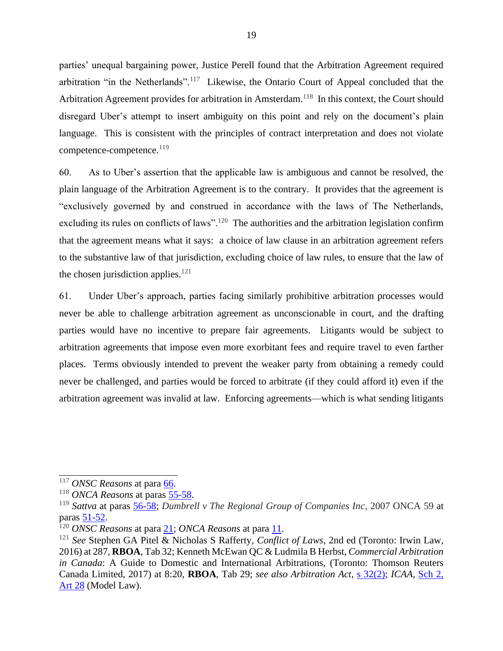parties' unequal bargaining power, Justice Perell found that the Arbitration Agreement required arbitration "in the Netherlands".<sup>117</sup> Likewise, the Ontario Court of Appeal concluded that the Arbitration Agreement provides for arbitration in Amsterdam.<sup>118</sup> In this context, the Court should disregard Uber's attempt to insert ambiguity on this point and rely on the document's plain language. This is consistent with the principles of contract interpretation and does not violate competence-competence.<sup>119</sup>

60. As to Uber's assertion that the applicable law is ambiguous and cannot be resolved, the plain language of the Arbitration Agreement is to the contrary. It provides that the agreement is "exclusively governed by and construed in accordance with the laws of The Netherlands, excluding its rules on conflicts of laws".<sup>120</sup> The authorities and the arbitration legislation confirm that the agreement means what it says: a choice of law clause in an arbitration agreement refers to the substantive law of that jurisdiction, excluding choice of law rules, to ensure that the law of the chosen jurisdiction applies. $121$ 

61. Under Uber's approach, parties facing similarly prohibitive arbitration processes would never be able to challenge arbitration agreement as unconscionable in court, and the drafting parties would have no incentive to prepare fair agreements. Litigants would be subject to arbitration agreements that impose even more exorbitant fees and require travel to even farther places. Terms obviously intended to prevent the weaker party from obtaining a remedy could never be challenged, and parties would be forced to arbitrate (if they could afford it) even if the arbitration agreement was invalid at law. Enforcing agreements—which is what sending litigants

<sup>&</sup>lt;sup>117</sup> *ONSC Reasons* at para [66.](http://canlii.ca/t/hq4hk#par66)

<sup>118</sup> *ONCA Reasons* at paras [55-58.](http://canlii.ca/t/hwqzt#par55)

<sup>119</sup> *Sattva* at paras [56-58;](https://www.canlii.org/en/ca/scc/doc/2014/2014scc53/2014scc53.html#par56) *Dumbrell v The Regional Group of Companies Inc*, 2007 ONCA 59 at paras [51-52.](https://www.canlii.org/en/on/onca/doc/2007/2007onca59/2007onca59.html#par51)

<sup>120</sup> *ONSC Reasons* at para [21;](http://canlii.ca/t/hq4hk#par21) *ONCA Reasons* at para [11.](http://canlii.ca/t/hwqzt#par11)

<sup>121</sup> *See* Stephen GA Pitel & Nicholas S Rafferty*, Conflict of Laws*, 2nd ed (Toronto: Irwin Law, 2016) at 287, **RBOA**, Tab 32; Kenneth McEwan QC & Ludmila B Herbst, *Commercial Arbitration in Canada*: A Guide to Domestic and International Arbitrations, (Toronto: Thomson Reuters Canada Limited, 2017) at 8:20, **RBOA**, Tab 29; *see also Arbitration Act*, [s 32\(2\);](https://www.ontario.ca/laws/statute/91a17?search=arbitration#BK39) *ICAA*, [Sch 2,](https://www.ontario.ca/laws/statute/17i02b#BK16)  [Art 28](https://www.ontario.ca/laws/statute/17i02b#BK16) (Model Law).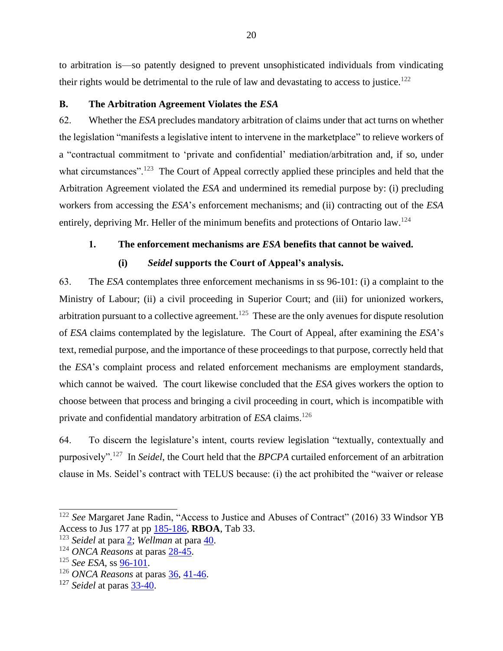to arbitration is—so patently designed to prevent unsophisticated individuals from vindicating their rights would be detrimental to the rule of law and devastating to access to justice.<sup>122</sup>

#### <span id="page-31-0"></span>**B. The Arbitration Agreement Violates the** *ESA*

62. Whether the *ESA* precludes mandatory arbitration of claims under that act turns on whether the legislation "manifests a legislative intent to intervene in the marketplace" to relieve workers of a "contractual commitment to 'private and confidential' mediation/arbitration and, if so, under what circumstances".<sup>123</sup> The Court of Appeal correctly applied these principles and held that the Arbitration Agreement violated the *ESA* and undermined its remedial purpose by: (i) precluding workers from accessing the *ESA*'s enforcement mechanisms; and (ii) contracting out of the *ESA* entirely, depriving Mr. Heller of the minimum benefits and protections of Ontario law.<sup>124</sup>

# <span id="page-31-1"></span>**1. The enforcement mechanisms are** *ESA* **benefits that cannot be waived.**

# **(i)** *Seidel* **supports the Court of Appeal's analysis.**

63. The *ESA* contemplates three enforcement mechanisms in ss 96-101: (i) a complaint to the Ministry of Labour; (ii) a civil proceeding in Superior Court; and (iii) for unionized workers, arbitration pursuant to a collective agreement.<sup>125</sup> These are the only avenues for dispute resolution of *ESA* claims contemplated by the legislature. The Court of Appeal, after examining the *ESA*'s text, remedial purpose, and the importance of these proceedings to that purpose, correctly held that the *ESA*'s complaint process and related enforcement mechanisms are employment standards, which cannot be waived. The court likewise concluded that the *ESA* gives workers the option to choose between that process and bringing a civil proceeding in court, which is incompatible with private and confidential mandatory arbitration of *ESA* claims. 126

64. To discern the legislature's intent, courts review legislation "textually, contextually and purposively".<sup>127</sup> In *Seidel*, the Court held that the *BPCPA* curtailed enforcement of an arbitration clause in Ms. Seidel's contract with TELUS because: (i) the act prohibited the "waiver or release

<sup>&</sup>lt;sup>122</sup> See Margaret Jane Radin, "Access to Justice and Abuses of Contract" (2016) 33 Windsor YB Access to Jus 177 at pp [185-186,](https://nextcanada.westlaw.com/Document/I2eeb9ea2055211e798dc8b09b4f043e0/View/FullText.html?navigationPath=Search%2Fv1%2Fresults%2Fnavigation%2Fi0ad7140a0000016d87d2bd37b90781d7%3FNav%3DCAN_JOURNALS%26fragmentIdentifier%3DI37597d31ee6911dbacd6b4db45fd6021%26startIndex%3D1%26contextData%3D%2528sc.Search%2529%26transitionType%3DSearchItem&listSource=Search&list=CAN_JOURNALS&rank=2&grading=na&sessionScopeId=4d7d594efc083cc4bec62ddc82925020f726fbf5f1d0da51a902b428fbcb226c&originationContext=previousnextdocument&transitionType=SearchItem&contextData=%28sc.Search%29&listPageSource=0b0a0e18279cbce025e3b2cc60a99258) **RBOA**, Tab 33.

<sup>123</sup> *Seidel* at para [2;](https://www.canlii.org/en/ca/scc/doc/2011/2011scc15/2011scc15.html?autocompleteStr=2011%20scc%2015&autocompletePos=1#par2) *Wellman* at para [40.](http://canlii.ca/t/fkkkj#par40)

<sup>124</sup> *ONCA Reasons* at paras [28-45.](http://canlii.ca/t/hwqzt#par28)

<sup>125</sup> *See ESA*, ss [96-101.](https://www.ontario.ca/laws/statute/00e41#BK200)

<sup>126</sup> *ONCA Reasons* at paras [36,](http://canlii.ca/t/hwqzt#par36) [41-46.](http://canlii.ca/t/hwqzt#par41)

<sup>127</sup> *Seidel* at paras [33-40.](https://www.canlii.org/en/ca/scc/doc/2011/2011scc15/2011scc15.html?autocompleteStr=2011%20scc%2015&autocompletePos=1#par33)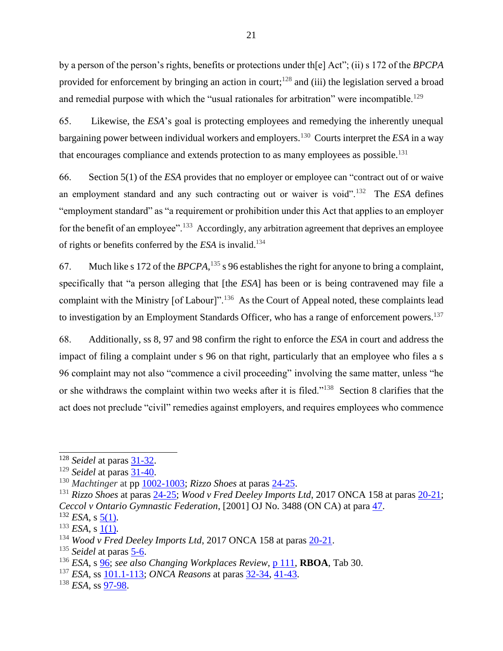by a person of the person's rights, benefits or protections under th[e] Act"; (ii) s 172 of the *BPCPA*  provided for enforcement by bringing an action in court;<sup>128</sup> and (iii) the legislation served a broad and remedial purpose with which the "usual rationales for arbitration" were incompatible.<sup>129</sup>

65. Likewise, the *ESA*'s goal is protecting employees and remedying the inherently unequal bargaining power between individual workers and employers.<sup>130</sup> Courts interpret the *ESA* in a way that encourages compliance and extends protection to as many employees as possible.<sup>131</sup>

66. Section 5(1) of the *ESA* provides that no employer or employee can "contract out of or waive an employment standard and any such contracting out or waiver is void".<sup>132</sup> The *ESA* defines "employment standard" as "a requirement or prohibition under this Act that applies to an employer for the benefit of an employee".<sup>133</sup> Accordingly, any arbitration agreement that deprives an employee of rights or benefits conferred by the *ESA* is invalid.<sup>134</sup>

67. Much like s 172 of the *BPCPA*, <sup>135</sup> s 96 establishes the right for anyone to bring a complaint, specifically that "a person alleging that [the *ESA*] has been or is being contravened may file a complaint with the Ministry [of Labour]".<sup>136</sup> As the Court of Appeal noted, these complaints lead to investigation by an Employment Standards Officer, who has a range of enforcement powers.<sup>137</sup>

68. Additionally, ss 8, 97 and 98 confirm the right to enforce the *ESA* in court and address the impact of filing a complaint under s 96 on that right, particularly that an employee who files a s 96 complaint may not also "commence a civil proceeding" involving the same matter, unless "he or she withdraws the complaint within two weeks after it is filed."<sup>138</sup> Section 8 clarifies that the act does not preclude "civil" remedies against employers, and requires employees who commence

<sup>&</sup>lt;sup>128</sup> *Seidel* at paras <u>31-32</u>.

<sup>129</sup> *Seidel* at paras [31-40.](https://www.canlii.org/en/ca/scc/doc/2011/2011scc15/2011scc15.html?autocompleteStr=2011%20scc%2015&autocompletePos=1#par31)

<sup>130</sup> *Machtinger* at pp [1002-1003;](https://decisions.scc-csc.ca/scc-csc/scc-csc/en/872/1/document.do) *Rizzo Shoes* at paras [24-25.](https://www.canlii.org/en/ca/scc/doc/1998/1998canlii837/1998canlii837.html#par24)

<sup>131</sup> *Rizzo Shoes* at paras [24-25;](https://www.canlii.org/en/ca/scc/doc/1998/1998canlii837/1998canlii837.html#par24) *Wood v Fred Deeley Imports Ltd*, 2017 ONCA 158 at para[s 20-21;](http://canlii.ca/t/gxn69#par20) *Ceccol v Ontario Gymnastic Federation*, [2001] OJ No. 3488 (ON CA) at para [47.](https://www.canlii.org/en/on/onca/doc/2001/2001canlii8589/2001canlii8589.html#par47)

 $132$  *ESA*, s [5\(1\).](https://www.ontario.ca/laws/statute/00e41#BK8)

 $133$  *ESA*, s [1\(1\).](https://www.ontario.ca/laws/statute/00e41#BK1)

<sup>134</sup> *Wood v Fred Deeley Imports Ltd*, 2017 ONCA 158 at paras [20-21.](http://canlii.ca/t/gxn69#par20)

<sup>135</sup> *Seidel* at paras [5-6.](http://canlii.ca/t/fkkkj#par5)

<sup>136</sup> *ESA*, s [96;](https://www.ontario.ca/laws/statute/00e41#BK200) *see also Changing Workplaces Review*, [p 111,](https://files.ontario.ca/books/mol_changing_workplace_report_eng_2_0.pdf) **RBOA**, Tab 30.

<sup>137</sup> *ESA*, ss [101.1-113;](https://www.ontario.ca/laws/statute/00e41#BK208) *ONCA Reasons* at paras [32-34,](http://canlii.ca/t/hwqzt#par32) [41-43.](http://canlii.ca/t/hwqzt#par41)

<sup>138</sup> *ESA*, ss [97-98.](https://www.ontario.ca/laws/statute/00e41#BK201)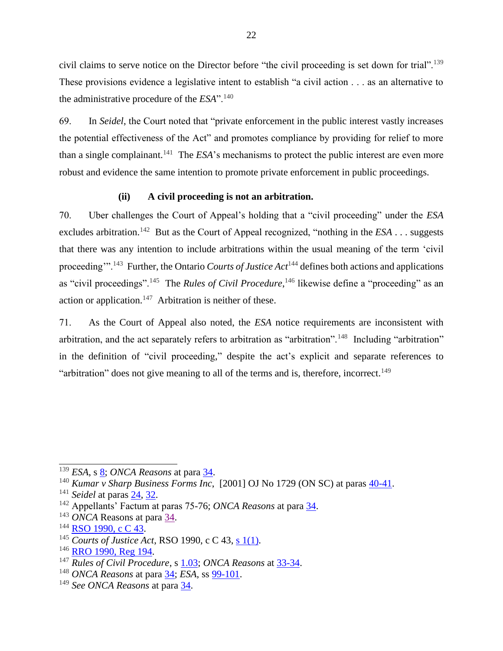civil claims to serve notice on the Director before "the civil proceeding is set down for trial".<sup>139</sup> These provisions evidence a legislative intent to establish "a civil action . . . as an alternative to the administrative procedure of the *ESA*".<sup>140</sup>

69. In *Seidel*, the Court noted that "private enforcement in the public interest vastly increases the potential effectiveness of the Act" and promotes compliance by providing for relief to more than a single complainant.<sup>141</sup> The *ESA*'s mechanisms to protect the public interest are even more robust and evidence the same intention to promote private enforcement in public proceedings.

## **(ii) A civil proceeding is not an arbitration.**

70. Uber challenges the Court of Appeal's holding that a "civil proceeding" under the *ESA* excludes arbitration.<sup>142</sup> But as the Court of Appeal recognized, "nothing in the *ESA* . . . suggests that there was any intention to include arbitrations within the usual meaning of the term 'civil proceeding"<sup>143</sup> Further, the Ontario *Courts of Justice Act*<sup>144</sup> defines both actions and applications as "civil proceedings".<sup>145</sup> The *Rules of Civil Procedure*,<sup>146</sup> likewise define a "proceeding" as an action or application.<sup>147</sup> Arbitration is neither of these.

71. As the Court of Appeal also noted, the *ESA* notice requirements are inconsistent with arbitration, and the act separately refers to arbitration as "arbitration".<sup>148</sup> Including "arbitration" in the definition of "civil proceeding," despite the act's explicit and separate references to "arbitration" does not give meaning to all of the terms and is, therefore, incorrect.<sup>149</sup>

<sup>&</sup>lt;sup>139</sup> *ESA*, s <u>8</u>; *ONCA Reasons* at para [34.](http://canlii.ca/t/hwqzt#par34)

<sup>140</sup> *Kumar v Sharp Business Forms Inc*, [2001] OJ No 1729 (ON SC) at paras [40-41.](https://www.canlii.org/en/on/onsc/doc/2001/2001canlii28301/2001canlii28301.html?autocompleteStr=kumar%20v%20sharp&autocompletePos=1)

<sup>141</sup> *Seidel* at paras [24,](http://canlii.ca/t/fkkkj#par24) [32.](http://canlii.ca/t/fkkkj#par32)

<sup>142</sup> Appellants' Factum at paras 75-76; *ONCA Reasons* at para [34.](http://canlii.ca/t/hwqzt#par34)

<sup>143</sup> *ONCA* Reasons at para [34.](http://canlii.ca/t/hwqzt#par34)

<sup>&</sup>lt;sup>144</sup> [RSO 1990, c C 43.](https://www.ontario.ca/laws/statute/90c43?search=8-07)

<sup>145</sup> *Courts of Justice Act*, RSO 1990, c C 43, [s 1\(1\).](https://www.ontario.ca/laws/statute/90c43?search=8-07)

 $146$  [RRO 1990, Reg 194.](https://www.ontario.ca/laws/regulation/900194)

<sup>147</sup> *Rules of Civil Procedure*, s [1.03;](https://www.ontario.ca/laws/regulation/900194) *ONCA Reasons* at [33-34.](http://canlii.ca/t/hwqzt#par33)

<sup>148</sup> *ONCA Reasons* at para [34;](http://canlii.ca/t/hwqzt#par34) *ESA*, ss [99-101.](https://www.ontario.ca/laws/statute/00e41#BK204)

<sup>149</sup> *See ONCA Reasons* at para [34.](http://canlii.ca/t/hwqzt#par34)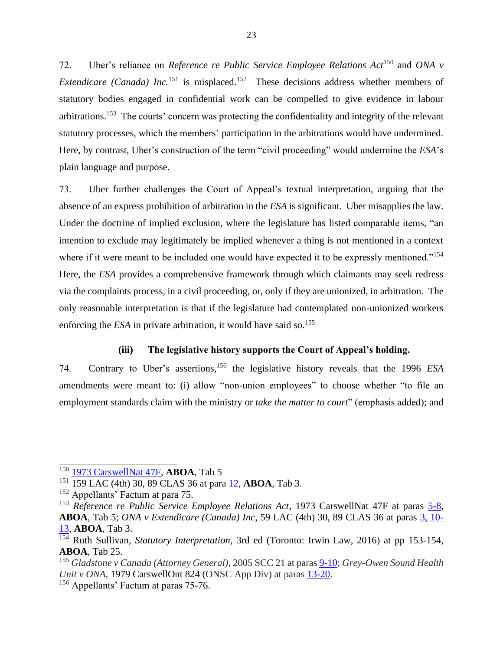72. Uber's reliance on *Reference re Public Service Employee Relations Act*<sup>150</sup> and *ONA v Extendicare (Canada) Inc.*<sup>151</sup> is misplaced.<sup>152</sup> These decisions address whether members of statutory bodies engaged in confidential work can be compelled to give evidence in labour arbitrations.<sup>153</sup> The courts' concern was protecting the confidentiality and integrity of the relevant statutory processes, which the members' participation in the arbitrations would have undermined. Here, by contrast, Uber's construction of the term "civil proceeding" would undermine the *ESA*'s plain language and purpose.

73. Uber further challenges the Court of Appeal's textual interpretation, arguing that the absence of an express prohibition of arbitration in the *ESA* is significant. Uber misapplies the law. Under the doctrine of implied exclusion, where the legislature has listed comparable items, "an intention to exclude may legitimately be implied whenever a thing is not mentioned in a context where if it were meant to be included one would have expected it to be expressly mentioned."<sup>154</sup> Here, the *ESA* provides a comprehensive framework through which claimants may seek redress via the complaints process, in a civil proceeding, or, only if they are unionized, in arbitration. The only reasonable interpretation is that if the legislature had contemplated non-unionized workers enforcing the  $ESA$  in private arbitration, it would have said so.<sup>155</sup>

#### **(iii) The legislative history supports the Court of Appeal's holding.**

74. Contrary to Uber's assertions, <sup>156</sup> the legislative history reveals that the 1996 *ESA* amendments were meant to: (i) allow "non-union employees" to choose whether "to file an employment standards claim with the ministry or *take the matter to court*" (emphasis added); and

<sup>150</sup> [1973 CarswellNat 47F,](https://nextcanada.westlaw.com/Document/I10b717d2339c63f0e0440003ba0d6c6d/View/FullText.html?listSource=Foldering&originationContext=clientid&transitionType=MyResearchHistoryItem&contextData=%28oc.Default%29&VR=3.0&RS=WLCA1.0) **ABOA**, Tab 5

<sup>151</sup> 159 LAC (4th) 30, 89 CLAS 36 at para [12,](https://nextcanada.westlaw.com/Document/I359685fd060b4a28e0440003ba0d6c6d/View/FullText.html?firstPage=true&transitionType=Default&contextData=%28sc.Default%29) **ABOA**, Tab 3.

<sup>&</sup>lt;sup>152</sup> Appellants' Factum at para 75.

<sup>153</sup> *Reference re Public Service Employee Relations Act*, 1973 CarswellNat 47F at paras [5-8,](https://nextcanada.westlaw.com/Document/I10b717d2339c63f0e0440003ba0d6c6d/View/FullText.html?listSource=Foldering&originationContext=clientid&transitionType=MyResearchHistoryItem&contextData=%28oc.Default%29&VR=3.0&RS=WLCA1.0) **ABOA**, Tab 5; *ONA v Extendicare (Canada) Inc*, 59 LAC (4th) 30, 89 CLAS 36 at paras [3, 10-](https://nextcanada.westlaw.com/Document/I359685fd060b4a28e0440003ba0d6c6d/View/FullText.html?firstPage=true&transitionType=Default&contextData=%28sc.Default%29) [13,](https://nextcanada.westlaw.com/Document/I359685fd060b4a28e0440003ba0d6c6d/View/FullText.html?firstPage=true&transitionType=Default&contextData=%28sc.Default%29) **ABOA**, Tab 3.

<sup>154</sup> Ruth Sullivan, *Statutory Interpretation*, 3rd ed (Toronto: Irwin Law, 2016) at pp 153-154, **ABOA**, Tab 25.

<sup>155</sup> *Gladstone v Canada (Attorney General)*, 2005 SCC 21 at para[s 9-10;](http://canlii.ca/t/1k6jl#par9) *Grey-Owen Sound Health Unit v ONA*, 1979 CarswellOnt 824 (ONSC App Div) at paras [13-20.](https://nextcanada.westlaw.com/Document/I10b717cf82c663f0e0440003ba0d6c6d/View/FullText.html?transitionType=UniqueDocItem&contextData=(sc.Default)&userEnteredCitation=1979+CarswellOnt+824)

<sup>&</sup>lt;sup>156</sup> Appellants' Factum at paras 75-76.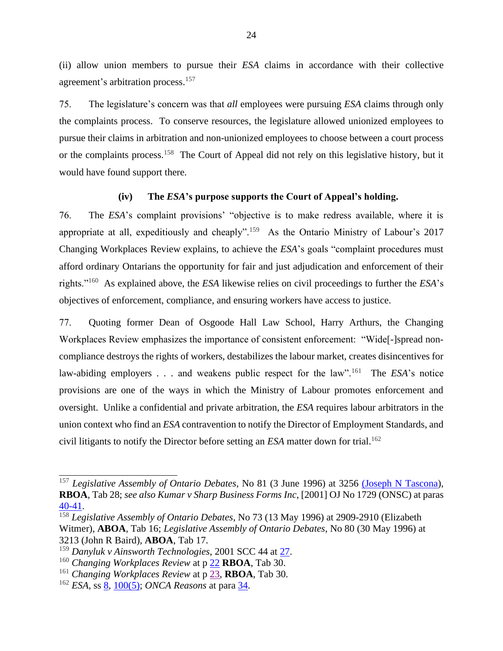(ii) allow union members to pursue their *ESA* claims in accordance with their collective agreement's arbitration process. 157

75. The legislature's concern was that *all* employees were pursuing *ESA* claims through only the complaints process. To conserve resources, the legislature allowed unionized employees to pursue their claims in arbitration and non-unionized employees to choose between a court process or the complaints process.<sup>158</sup> The Court of Appeal did not rely on this legislative history, but it would have found support there.

#### **(iv) The** *ESA***'s purpose supports the Court of Appeal's holding.**

76. The *ESA*'s complaint provisions' "objective is to make redress available, where it is appropriate at all, expeditiously and cheaply".<sup>159</sup> As the Ontario Ministry of Labour's 2017 Changing Workplaces Review explains, to achieve the *ESA*'s goals "complaint procedures must afford ordinary Ontarians the opportunity for fair and just adjudication and enforcement of their rights."<sup>160</sup> As explained above, the *ESA* likewise relies on civil proceedings to further the *ESA*'s objectives of enforcement, compliance, and ensuring workers have access to justice.

77. Quoting former Dean of Osgoode Hall Law School, Harry Arthurs, the Changing Workplaces Review emphasizes the importance of consistent enforcement: "Wide[-]spread noncompliance destroys the rights of workers, destabilizes the labour market, creates disincentives for law-abiding employers . . . and weakens public respect for the law".<sup>161</sup> The *ESA*'s notice provisions are one of the ways in which the Ministry of Labour promotes enforcement and oversight. Unlike a confidential and private arbitration, the *ESA* requires labour arbitrators in the union context who find an *ESA* contravention to notify the Director of Employment Standards, and civil litigants to notify the Director before setting an *ESA* matter down for trial.<sup>162</sup>

<sup>157</sup> *Legislative Assembly of Ontario Debates*, No 81 (3 June 1996) at 3256 [\(Joseph N](https://www.ola.org/en/legislative-business/house-documents/parliament-36/session-1/1996-06-03/hansard) Tascona), **RBOA**, Tab 28; *see also Kumar v Sharp Business Forms Inc*, [2001] OJ No 1729 (ONSC) at paras [40-41.](https://www.canlii.org/en/on/onsc/doc/2001/2001canlii28301/2001canlii28301.html?autocompleteStr=kumar%20v%20sharp&autocompletePos=1)

<sup>158</sup> *Legislative Assembly of Ontario Debates*, No 73 (13 May 1996) at 2909-2910 (Elizabeth Witmer), **ABOA**, Tab 16; *Legislative Assembly of Ontario Debates*, No 80 (30 May 1996) at 3213 (John R Baird), **ABOA**, Tab 17.

<sup>159</sup> *Danyluk v Ainsworth Technologies*, 2001 SCC 44 at [27.](https://www.canlii.org/en/ca/scc/doc/2001/2001scc44/2001scc44.html#par27)

<sup>160</sup> *Changing Workplaces Review* at p [22](https://files.ontario.ca/books/mol_changing_workplace_report_eng_2_0.pdf) **RBOA**, Tab 30.

<sup>161</sup> *Changing Workplaces Review* at p [23,](https://files.ontario.ca/books/mol_changing_workplace_report_eng_2_0.pdf) **RBOA**, Tab 30.

<sup>162</sup> *ESA*, ss [8,](https://www.ontario.ca/laws/statute/00e41#BK12) [100\(5\);](https://www.ontario.ca/laws/statute/00e41#BK205) *ONCA Reasons* at para [34.](http://canlii.ca/t/hwqzt#par34)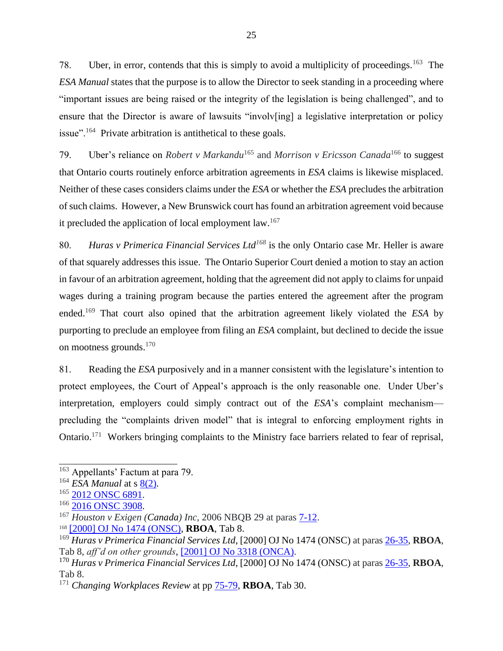78. Uber, in error, contends that this is simply to avoid a multiplicity of proceedings.<sup>163</sup> The *ESA Manual* states that the purpose is to allow the Director to seek standing in a proceeding where "important issues are being raised or the integrity of the legislation is being challenged", and to ensure that the Director is aware of lawsuits "involv[ing] a legislative interpretation or policy issue".<sup>164</sup> Private arbitration is antithetical to these goals.

79. Uber's reliance on *Robert v Markandu*<sup>165</sup> and *Morrison v Ericsson Canada*<sup>166</sup> to suggest that Ontario courts routinely enforce arbitration agreements in *ESA* claims is likewise misplaced. Neither of these cases considers claims under the *ESA* or whether the *ESA* precludes the arbitration of such claims. However, a New Brunswick court has found an arbitration agreement void because it precluded the application of local employment law.<sup>167</sup>

80. *Huras v Primerica Financial Services Ltd<sup>168</sup>* is the only Ontario case Mr. Heller is aware of that squarely addresses this issue. The Ontario Superior Court denied a motion to stay an action in favour of an arbitration agreement, holding that the agreement did not apply to claims for unpaid wages during a training program because the parties entered the agreement after the program ended.<sup>169</sup> That court also opined that the arbitration agreement likely violated the *ESA* by purporting to preclude an employee from filing an *ESA* complaint, but declined to decide the issue on mootness grounds.<sup>170</sup>

81. Reading the *ESA* purposively and in a manner consistent with the legislature's intention to protect employees, the Court of Appeal's approach is the only reasonable one. Under Uber's interpretation, employers could simply contract out of the *ESA*'s complaint mechanism precluding the "complaints driven model" that is integral to enforcing employment rights in Ontario.<sup>171</sup> Workers bringing complaints to the Ministry face barriers related to fear of reprisal,

<sup>163</sup> Appellants' Factum at para 79.

<sup>&</sup>lt;sup>164</sup> *ESA Manual* at s [8\(2\).](https://www.ontario.ca/document/employment-standard-act-policy-and-interpretation-manual/part-iii-how-act-applies#section-7)

<sup>&</sup>lt;sup>165</sup> [2012 ONSC 6891.](https://www.canlii.org/en/on/onsc/doc/2012/2012onsc6891/2012onsc6891.html?resultIndex=1)

<sup>&</sup>lt;sup>166</sup> [2016 ONSC 3908.](https://www.canlii.org/en/on/onsc/doc/2016/2016onsc3908/2016onsc3908.html?resultIndex=1)

<sup>167</sup> *Houston v Exigen (Canada) Inc*, 2006 NBQB 29 at paras [7-12.](https://www.canlii.org/en/nb/nbqb/doc/2006/2006nbqb29/2006nbqb29.html#par7)

<sup>168</sup> [\[2000\] OJ No 1474 \(ONSC\),](https://nextcanada.westlaw.com/Document/I10b717d2c33063f0e0440003ba0d6c6d/View/FullText.html?originationContext=typeAhead&transitionType=Default&contextData=(sc.Default)) **RBOA**, Tab 8.

<sup>169</sup> *Huras v Primerica Financial Services Ltd*, [2000] OJ No 1474 (ONSC) at para[s 26-35,](https://nextcanada.westlaw.com/Document/I10b717d2c33063f0e0440003ba0d6c6d/View/FullText.html?originationContext=typeAhead&transitionType=Default&contextData=(sc.Default)) **RBOA**, Tab 8, *aff'd on other grounds*, [\[2001\] OJ No 3318 \(ONCA\).](https://www.canlii.org/en/on/onca/doc/2001/2001canlii17321/2001canlii17321.html?autocompleteStr=huras%20v&autocompletePos=2)

<sup>170</sup> *Huras v Primerica Financial Services Ltd*, [2000] OJ No 1474 (ONSC) at para[s 26-35,](https://nextcanada.westlaw.com/Document/I10b717d2c33063f0e0440003ba0d6c6d/View/FullText.html?originationContext=typeAhead&transitionType=Default&contextData=(sc.Default)) **RBOA**, Tab 8.

<sup>171</sup> *Changing Workplaces Review* at pp [75-79,](https://files.ontario.ca/books/mol_changing_workplace_report_eng_2_0.pdf) **RBOA**, Tab 30.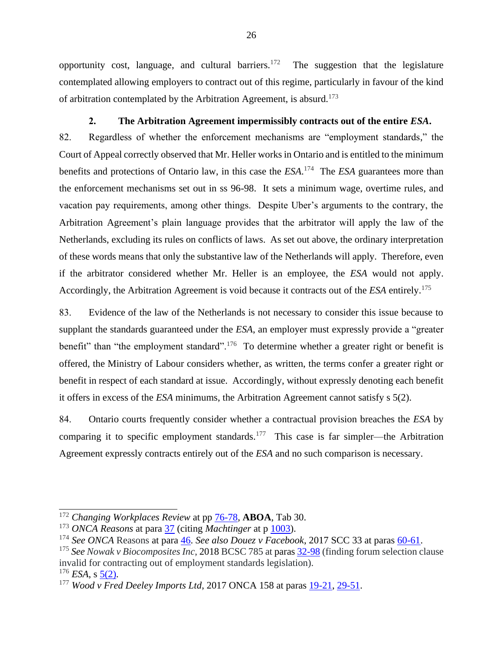opportunity cost, language, and cultural barriers. $172$  The suggestion that the legislature contemplated allowing employers to contract out of this regime, particularly in favour of the kind of arbitration contemplated by the Arbitration Agreement, is absurd.<sup>173</sup>

#### **2. The Arbitration Agreement impermissibly contracts out of the entire** *ESA***.**

<span id="page-37-0"></span>82. Regardless of whether the enforcement mechanisms are "employment standards," the Court of Appeal correctly observed that Mr. Heller works in Ontario and is entitled to the minimum benefits and protections of Ontario law, in this case the *ESA*. 174 The *ESA* guarantees more than the enforcement mechanisms set out in ss 96-98. It sets a minimum wage, overtime rules, and vacation pay requirements, among other things. Despite Uber's arguments to the contrary, the Arbitration Agreement's plain language provides that the arbitrator will apply the law of the Netherlands, excluding its rules on conflicts of laws. As set out above, the ordinary interpretation of these words means that only the substantive law of the Netherlands will apply. Therefore, even if the arbitrator considered whether Mr. Heller is an employee, the *ESA* would not apply. Accordingly, the Arbitration Agreement is void because it contracts out of the *ESA* entirely.<sup>175</sup>

83. Evidence of the law of the Netherlands is not necessary to consider this issue because to supplant the standards guaranteed under the *ESA*, an employer must expressly provide a "greater benefit" than "the employment standard".<sup>176</sup> To determine whether a greater right or benefit is offered, the Ministry of Labour considers whether, as written, the terms confer a greater right or benefit in respect of each standard at issue. Accordingly, without expressly denoting each benefit it offers in excess of the *ESA* minimums, the Arbitration Agreement cannot satisfy s 5(2).

84. Ontario courts frequently consider whether a contractual provision breaches the *ESA* by comparing it to specific employment standards.<sup>177</sup> This case is far simpler—the Arbitration Agreement expressly contracts entirely out of the *ESA* and no such comparison is necessary.

<sup>172</sup> *Changing Workplaces Review* at pp [76-78,](https://files.ontario.ca/books/mol_changing_workplace_report_eng_2_0.pdf) **ABOA**, Tab 30.

<sup>173</sup> *ONCA Reasons* at para [37](http://canlii.ca/t/hwqzt#par37) (citing *Machtinger* at p [1003\)](https://decisions.scc-csc.ca/scc-csc/scc-csc/en/872/1/document.do).

<sup>174</sup> *See ONCA* Reasons at para [46.](http://canlii.ca/t/hwqzt#par46) *See also Douez v Facebook*, 2017 SCC 33 at paras [60-61.](https://www.canlii.org/en/ca/scc/doc/2017/2017scc33/2017scc33.html#par60)

<sup>&</sup>lt;sup>175</sup> See Nowak v Biocomposites Inc, 2018 BCSC 785 at paras [32-98](https://www.canlii.org/en/bc/bcsc/doc/2018/2018bcsc785/2018bcsc785.html#par32) (finding forum selection clause invalid for contracting out of employment standards legislation).

 $176$  *ESA*, s  $5(2)$ .

<sup>177</sup> *Wood v Fred Deeley Imports Ltd*, 2017 ONCA 158 at paras [19-21,](http://canlii.ca/t/gxn69#par19) [29-51.](http://canlii.ca/t/gxn69#par29)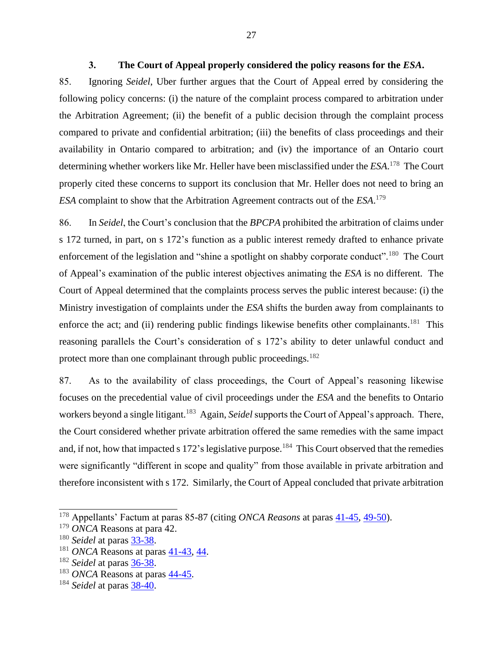#### **3. The Court of Appeal properly considered the policy reasons for the** *ESA***.**

<span id="page-38-0"></span>85. Ignoring *Seidel*, Uber further argues that the Court of Appeal erred by considering the following policy concerns: (i) the nature of the complaint process compared to arbitration under the Arbitration Agreement; (ii) the benefit of a public decision through the complaint process compared to private and confidential arbitration; (iii) the benefits of class proceedings and their availability in Ontario compared to arbitration; and (iv) the importance of an Ontario court determining whether workers like Mr. Heller have been misclassified under the *ESA*. 178 The Court properly cited these concerns to support its conclusion that Mr. Heller does not need to bring an *ESA* complaint to show that the Arbitration Agreement contracts out of the *ESA*. 179

86. In *Seidel*, the Court's conclusion that the *BPCPA* prohibited the arbitration of claims under s 172 turned, in part, on s 172's function as a public interest remedy drafted to enhance private enforcement of the legislation and "shine a spotlight on shabby corporate conduct".<sup>180</sup> The Court of Appeal's examination of the public interest objectives animating the *ESA* is no different. The Court of Appeal determined that the complaints process serves the public interest because: (i) the Ministry investigation of complaints under the *ESA* shifts the burden away from complainants to enforce the act; and (ii) rendering public findings likewise benefits other complainants.<sup>181</sup> This reasoning parallels the Court's consideration of s 172's ability to deter unlawful conduct and protect more than one complainant through public proceedings.<sup>182</sup>

87. As to the availability of class proceedings, the Court of Appeal's reasoning likewise focuses on the precedential value of civil proceedings under the *ESA* and the benefits to Ontario workers beyond a single litigant.<sup>183</sup> Again, *Seidel* supports the Court of Appeal's approach. There, the Court considered whether private arbitration offered the same remedies with the same impact and, if not, how that impacted s 172's legislative purpose.<sup>184</sup> This Court observed that the remedies were significantly "different in scope and quality" from those available in private arbitration and therefore inconsistent with s 172. Similarly, the Court of Appeal concluded that private arbitration

<sup>&</sup>lt;sup>178</sup> Appellants' Factum at paras 85-87 (citing *ONCA Reasons* at paras  $41-45$ ,  $49-50$ ).

<sup>179</sup> *ONCA* Reasons at para 42.

<sup>180</sup> *Seidel* at paras [33-38.](http://canlii.ca/t/fkkkj#par33)

 $181$  *ONCA* Reasons at paras  $41-43$ ,  $44$ .

<sup>182</sup> *Seidel* at paras [36-38.](http://canlii.ca/t/fkkkj#par36)

<sup>183</sup> *ONCA* Reasons at paras [44-45.](http://canlii.ca/t/hwqzt#par44)

<sup>184</sup> *Seidel* at paras [38-40.](http://canlii.ca/t/fkkkj#par38)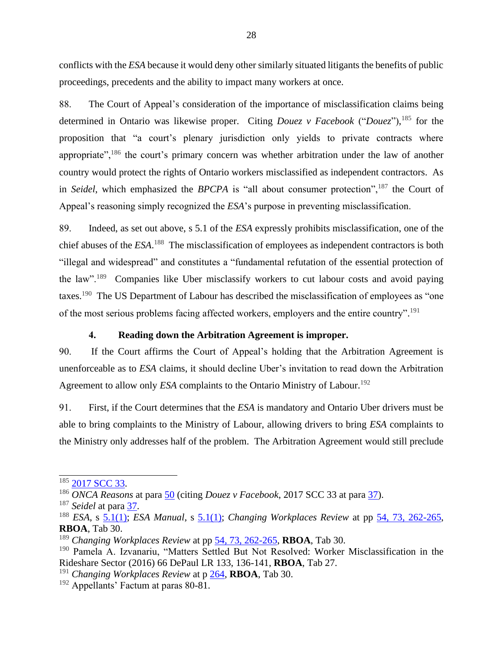conflicts with the *ESA* because it would deny other similarly situated litigants the benefits of public proceedings, precedents and the ability to impact many workers at once.

88. The Court of Appeal's consideration of the importance of misclassification claims being determined in Ontario was likewise proper. Citing *Douez v Facebook* ("*Douez*"), <sup>185</sup> for the proposition that "a court's plenary jurisdiction only yields to private contracts where appropriate", $186$  the court's primary concern was whether arbitration under the law of another country would protect the rights of Ontario workers misclassified as independent contractors. As in *Seidel*, which emphasized the *BPCPA* is "all about consumer protection",<sup>187</sup> the Court of Appeal's reasoning simply recognized the *ESA*'s purpose in preventing misclassification.

89. Indeed, as set out above, s 5.1 of the *ESA* expressly prohibits misclassification, one of the chief abuses of the *ESA*. 188 The misclassification of employees as independent contractors is both "illegal and widespread" and constitutes a "fundamental refutation of the essential protection of the law".<sup>189</sup> Companies like Uber misclassify workers to cut labour costs and avoid paying taxes.<sup>190</sup> The US Department of Labour has described the misclassification of employees as "one of the most serious problems facing affected workers, employers and the entire country".<sup>191</sup>

# **4. Reading down the Arbitration Agreement is improper.**

<span id="page-39-0"></span>90. If the Court affirms the Court of Appeal's holding that the Arbitration Agreement is unenforceable as to *ESA* claims, it should decline Uber's invitation to read down the Arbitration Agreement to allow only *ESA* complaints to the Ontario Ministry of Labour. 192

91. First, if the Court determines that the *ESA* is mandatory and Ontario Uber drivers must be able to bring complaints to the Ministry of Labour, allowing drivers to bring *ESA* complaints to the Ministry only addresses half of the problem. The Arbitration Agreement would still preclude

<sup>&</sup>lt;sup>185</sup> [2017 SCC 33.](https://www.canlii.org/en/ca/scc/doc/2017/2017scc33/2017scc33.html?resultIndex=1)

<sup>186</sup> *ONCA Reasons* at para [50](http://canlii.ca/t/hwqzt#par50) (citing *Douez v Facebook*, 2017 SCC 33 at para [37\)](https://www.canlii.org/en/ca/scc/doc/2017/2017scc33/2017scc33.html#par37).

<sup>187</sup> *Seidel* at para [37.](http://canlii.ca/t/fkkkj#par37)

<sup>188</sup> *ESA*, s [5.1\(1\);](https://www.ontario.ca/laws/statute/00e41#BK9) *ESA Manual*, s [5.1\(1\);](https://www.ontario.ca/document/employment-standard-act-policy-and-interpretation-manual/part-iii-how-act-applies#section-4) *Changing Workplaces Review* at pp [54, 73, 262-265,](https://files.ontario.ca/books/mol_changing_workplace_report_eng_2_0.pdf) **RBOA**, Tab 30.

<sup>189</sup> *Changing Workplaces Review* at pp [54, 73, 262-265,](https://files.ontario.ca/books/mol_changing_workplace_report_eng_2_0.pdf) **RBOA**, Tab 30.

<sup>190</sup> Pamela A. Izvanariu, "Matters Settled But Not Resolved: Worker Misclassification in the Rideshare Sector (2016) 66 DePaul LR 133, 136-141, **RBOA**, Tab 27.

<sup>191</sup> *Changing Workplaces Review* at p [264,](https://files.ontario.ca/books/mol_changing_workplace_report_eng_2_0.pdf) **RBOA**, Tab 30.

 $192$  Appellants' Factum at paras 80-81.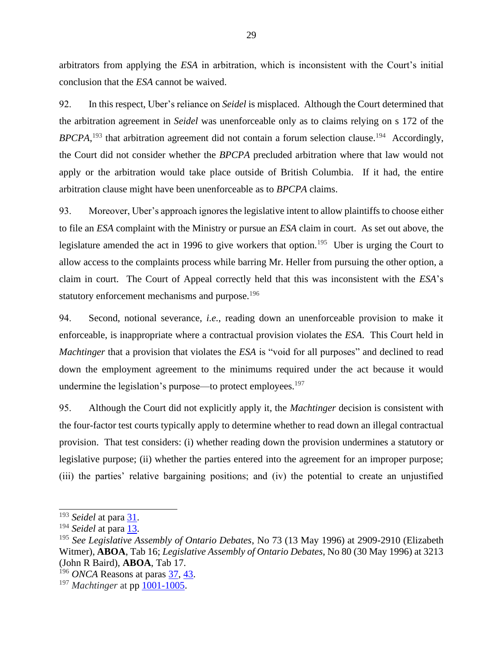arbitrators from applying the *ESA* in arbitration, which is inconsistent with the Court's initial conclusion that the *ESA* cannot be waived.

92. In this respect, Uber's reliance on *Seidel* is misplaced. Although the Court determined that the arbitration agreement in *Seidel* was unenforceable only as to claims relying on s 172 of the  $BPCPA$ , <sup>193</sup> that arbitration agreement did not contain a forum selection clause.<sup>194</sup> Accordingly, the Court did not consider whether the *BPCPA* precluded arbitration where that law would not apply or the arbitration would take place outside of British Columbia. If it had, the entire arbitration clause might have been unenforceable as to *BPCPA* claims.

93. Moreover, Uber's approach ignores the legislative intent to allow plaintiffs to choose either to file an *ESA* complaint with the Ministry or pursue an *ESA* claim in court. As set out above, the legislature amended the act in 1996 to give workers that option.<sup>195</sup> Uber is urging the Court to allow access to the complaints process while barring Mr. Heller from pursuing the other option, a claim in court. The Court of Appeal correctly held that this was inconsistent with the *ESA*'s statutory enforcement mechanisms and purpose.<sup>196</sup>

94. Second, notional severance, *i.e.*, reading down an unenforceable provision to make it enforceable, is inappropriate where a contractual provision violates the *ESA*. This Court held in *Machtinger* that a provision that violates the *ESA* is "void for all purposes" and declined to read down the employment agreement to the minimums required under the act because it would undermine the legislation's purpose—to protect employees.<sup>197</sup>

95. Although the Court did not explicitly apply it, the *Machtinger* decision is consistent with the four-factor test courts typically apply to determine whether to read down an illegal contractual provision. That test considers: (i) whether reading down the provision undermines a statutory or legislative purpose; (ii) whether the parties entered into the agreement for an improper purpose; (iii) the parties' relative bargaining positions; and (iv) the potential to create an unjustified

<sup>&</sup>lt;sup>193</sup> *Seidel* at para  $\frac{31}{1}$ .

<sup>&</sup>lt;sup>194</sup> *Seidel* at para <u>13</u>.

<sup>195</sup> *See Legislative Assembly of Ontario Debates*, No 73 (13 May 1996) at 2909-2910 (Elizabeth Witmer), **ABOA**, Tab 16; *Legislative Assembly of Ontario Debates*, No 80 (30 May 1996) at 3213 (John R Baird), **ABOA**, Tab 17.

<sup>196</sup> *ONCA* Reasons at paras [37,](https://www.canlii.org/en/on/onca/doc/2019/2019onca1/2019onca1.html#par37) [43.](https://www.canlii.org/en/on/onca/doc/2019/2019onca1/2019onca1.html#par43)

<sup>197</sup> *Machtinger* at pp [1001-1005.](https://decisions.scc-csc.ca/scc-csc/scc-csc/en/872/1/document.do)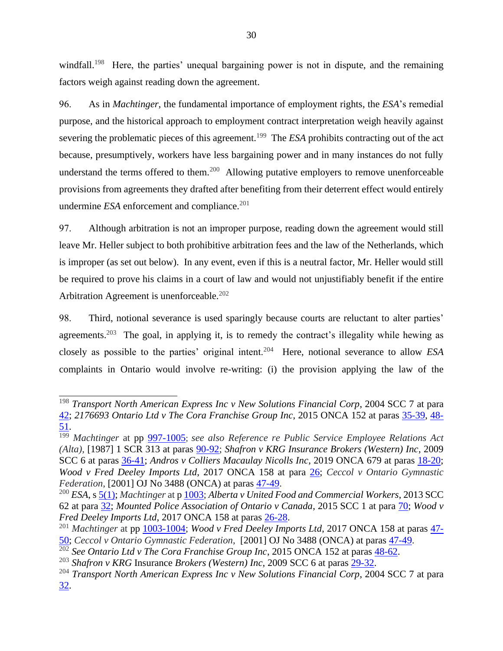windfall.<sup>198</sup> Here, the parties' unequal bargaining power is not in dispute, and the remaining factors weigh against reading down the agreement.

96. As in *Machtinger*, the fundamental importance of employment rights, the *ESA*'s remedial purpose, and the historical approach to employment contract interpretation weigh heavily against severing the problematic pieces of this agreement.<sup>199</sup> The *ESA* prohibits contracting out of the act because, presumptively, workers have less bargaining power and in many instances do not fully understand the terms offered to them.<sup>200</sup> Allowing putative employers to remove unenforceable provisions from agreements they drafted after benefiting from their deterrent effect would entirely undermine *ESA* enforcement and compliance.<sup>201</sup>

97. Although arbitration is not an improper purpose, reading down the agreement would still leave Mr. Heller subject to both prohibitive arbitration fees and the law of the Netherlands, which is improper (as set out below). In any event, even if this is a neutral factor, Mr. Heller would still be required to prove his claims in a court of law and would not unjustifiably benefit if the entire Arbitration Agreement is unenforceable.<sup>202</sup>

98. Third, notional severance is used sparingly because courts are reluctant to alter parties' agreements.<sup>203</sup> The goal, in applying it, is to remedy the contract's illegality while hewing as closely as possible to the parties' original intent.<sup>204</sup> Here, notional severance to allow *ESA* complaints in Ontario would involve re-writing: (i) the provision applying the law of the

<sup>198</sup> *Transport North American Express Inc v New Solutions Financial Corp*, 2004 SCC 7 at para [42;](https://www.canlii.org/en/ca/scc/doc/2004/2004scc7/2004scc7.html#par42) *2176693 Ontario Ltd v The Cora Franchise Group Inc*, 2015 ONCA 152 at paras [35-39,](https://www.canlii.org/en/on/onca/doc/2015/2015onca152/2015onca152.html#par35) [48-](https://www.canlii.org/en/on/onca/doc/2015/2015onca152/2015onca152.html#par48) [51.](https://www.canlii.org/en/on/onca/doc/2015/2015onca152/2015onca152.html#par48)

<sup>199</sup> *Machtinger* at pp [997-1005](https://decisions.scc-csc.ca/scc-csc/scc-csc/en/872/1/document.do); *see also Reference re Public Service Employee Relations Act (Alta)*, [1987] 1 SCR 313 at paras [90-92;](https://www.canlii.org/en/ca/scc/doc/1987/1987canlii88/1987canlii88.html#par90) *Shafron v KRG Insurance Brokers (Western) Inc*, 2009 SCC 6 at paras [36-41;](https://www.canlii.org/en/ca/scc/doc/2009/2009scc6/2009scc6.html#par36) *Andros v Colliers Macaulay Nicolls Inc*, 2019 ONCA 679 at paras [18-20;](https://www.canlii.org/en/on/onca/doc/2019/2019onca679/2019onca679.html#par18) *Wood v Fred Deeley Imports Ltd*, 2017 ONCA 158 at para [26;](http://canlii.ca/t/gxn69#par26) *Ceccol v Ontario Gymnastic Federation*, [2001] OJ No 3488 (ONCA) at paras [47-49.](https://www.canlii.org/en/on/onca/doc/2001/2001canlii8589/2001canlii8589.html#par47)

<sup>200</sup> *ESA*, [s 5\(1\);](https://www.ontario.ca/laws/statute/00e41#BK8) *Machtinger* at [p 1003;](https://decisions.scc-csc.ca/scc-csc/scc-csc/en/872/1/document.do) *Alberta v United Food and Commercial Workers*, 2013 SCC 62 at para [32;](https://www.canlii.org/en/ca/scc/doc/2013/2013scc62/2013scc62.html#par32) *Mounted Police Association of Ontario v Canada*, 2015 SCC 1 at para [70;](https://www.canlii.org/en/ca/scc/doc/2015/2015scc1/2015scc1.html#par70) *Wood v Fred Deeley Imports Ltd*, 2017 ONCA 158 at paras [26-28.](https://www.canlii.org/en/on/onca/doc/2017/2017onca158/2017onca158.html#par26)

<sup>201</sup> *Machtinger* at pp [1003-1004;](https://decisions.scc-csc.ca/scc-csc/scc-csc/en/872/1/document.do) *Wood v Fred Deeley Imports Ltd*, 2017 ONCA 158 at paras [47-](http://canlii.ca/t/gxn69#par47) [50;](http://canlii.ca/t/gxn69#par47) *Ceccol v Ontario Gymnastic Federation*, [2001] OJ No 3488 (ONCA) at paras [47-49.](https://www.canlii.org/en/on/onca/doc/2001/2001canlii8589/2001canlii8589.html#par47)

<sup>&</sup>lt;sup>202</sup> See Ontario Ltd v The Cora Franchise Group Inc. 2015 ONCA 152 at paras <u>48-62</u>.

<sup>203</sup> *Shafron v KRG* Insurance *Brokers (Western) Inc*, 2009 SCC 6 at paras [29-32.](https://www.canlii.org/en/ca/scc/doc/2009/2009scc6/2009scc6.html#par29)

<sup>204</sup> *Transport North American Express Inc v New Solutions Financial Corp*, 2004 SCC 7 at para [32.](https://www.canlii.org/en/ca/scc/doc/2004/2004scc7/2004scc7.html#par32)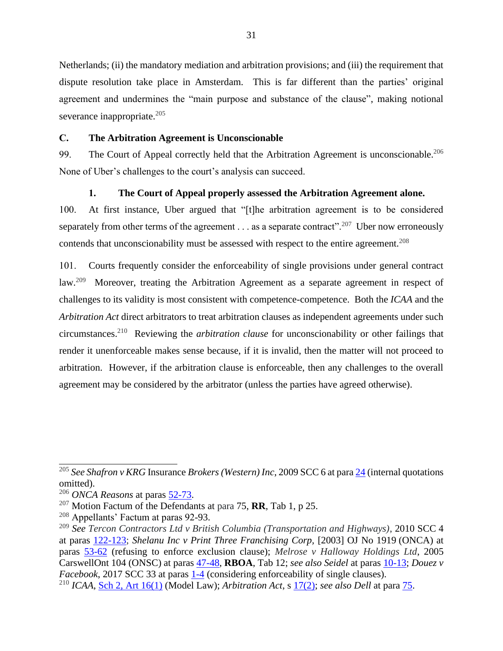Netherlands; (ii) the mandatory mediation and arbitration provisions; and (iii) the requirement that dispute resolution take place in Amsterdam. This is far different than the parties' original agreement and undermines the "main purpose and substance of the clause", making notional severance inappropriate. $205$ 

#### <span id="page-42-0"></span>**C. The Arbitration Agreement is Unconscionable**

99. The Court of Appeal correctly held that the Arbitration Agreement is unconscionable.<sup>206</sup> None of Uber's challenges to the court's analysis can succeed.

#### **1. The Court of Appeal properly assessed the Arbitration Agreement alone.**

<span id="page-42-1"></span>100. At first instance, Uber argued that "[t]he arbitration agreement is to be considered separately from other terms of the agreement  $\dots$  as a separate contract".<sup>207</sup> Uber now erroneously contends that unconscionability must be assessed with respect to the entire agreement.<sup>208</sup>

101. Courts frequently consider the enforceability of single provisions under general contract law.<sup>209</sup> Moreover, treating the Arbitration Agreement as a separate agreement in respect of challenges to its validity is most consistent with competence-competence. Both the *ICAA* and the *Arbitration Act* direct arbitrators to treat arbitration clauses as independent agreements under such circumstances. 210 Reviewing the *arbitration clause* for unconscionability or other failings that render it unenforceable makes sense because, if it is invalid, then the matter will not proceed to arbitration. However, if the arbitration clause is enforceable, then any challenges to the overall agreement may be considered by the arbitrator (unless the parties have agreed otherwise).

<sup>205</sup> *See Shafron v KRG* Insurance *Brokers (Western) Inc*, 2009 SCC 6 at par[a 24](https://www.canlii.org/en/ca/scc/doc/2009/2009scc6/2009scc6.html#par24) (internal quotations omitted).

<sup>206</sup> *ONCA Reasons* at paras [52-73.](http://canlii.ca/t/hwqzt#par52)

<sup>207</sup> Motion Factum of the Defendants at para 75, **RR**, Tab 1, p 25.

 $208$  Appellants' Factum at paras 92-93.

<sup>209</sup> *See Tercon Contractors Ltd v British Columbia (Transportation and Highways)*, 2010 SCC 4 at paras [122-123;](http://canlii.ca/t/27zz2#par122) *Shelanu Inc v Print Three Franchising Corp,* [2003] OJ No 1919 (ONCA) at paras [53-62](http://canlii.ca/t/624n#par53) (refusing to enforce exclusion clause); *Melrose v Halloway Holdings Ltd*, 2005 CarswellOnt 104 (ONSC) at paras [47-48,](https://nextcanada.westlaw.com/Link/Document/FullText?findType=Y&pubNum=6407&serNum=2005035123&originationContext=document&transitionType=DocumentItem&contextData=(sc.Search)) **RBOA**, Tab 12; *see also Seidel* at paras [10-13;](http://canlii.ca/t/fkkkj#par10) *Douez v Facebook*, 2017 SCC 33 at paras  $1-4$  (considering enforceability of single clauses).

<sup>210</sup> *ICAA*, [Sch 2, Art 16\(1\)](https://www.ontario.ca/laws/statute/17i02b#BK16) (Model Law); *Arbitration Act*, s [17\(2\);](https://www.ontario.ca/laws/statute/91a17?search=arbitration#BK22) *see also Dell* at para [75.](http://canlii.ca/t/1s2f2#par75)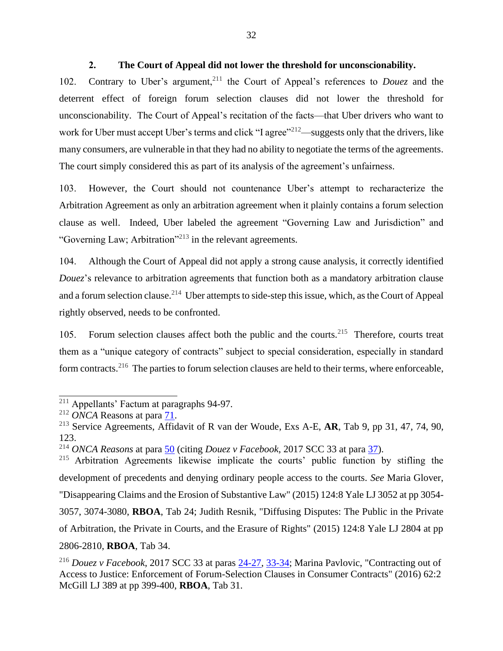# **2. The Court of Appeal did not lower the threshold for unconscionability.**

<span id="page-43-0"></span>102. Contrary to Uber's argument,<sup>211</sup> the Court of Appeal's references to *Douez* and the deterrent effect of foreign forum selection clauses did not lower the threshold for unconscionability. The Court of Appeal's recitation of the facts—that Uber drivers who want to work for Uber must accept Uber's terms and click "I agree"<sup>212</sup>—suggests only that the drivers, like many consumers, are vulnerable in that they had no ability to negotiate the terms of the agreements. The court simply considered this as part of its analysis of the agreement's unfairness.

103. However, the Court should not countenance Uber's attempt to recharacterize the Arbitration Agreement as only an arbitration agreement when it plainly contains a forum selection clause as well. Indeed, Uber labeled the agreement "Governing Law and Jurisdiction" and "Governing Law; Arbitration"<sup>213</sup> in the relevant agreements.

104. Although the Court of Appeal did not apply a strong cause analysis, it correctly identified *Douez's* relevance to arbitration agreements that function both as a mandatory arbitration clause and a forum selection clause.<sup>214</sup> Uber attempts to side-step this issue, which, as the Court of Appeal rightly observed, needs to be confronted.

105. Forum selection clauses affect both the public and the courts.<sup>215</sup> Therefore, courts treat them as a "unique category of contracts" subject to special consideration, especially in standard form contracts.<sup>216</sup> The parties to forum selection clauses are held to their terms, where enforceable,

<sup>211</sup> Appellants' Factum at paragraphs 94-97.

<sup>212</sup> *ONCA* Reasons at para [71.](http://canlii.ca/t/hwqzt#par71)

<sup>213</sup> Service Agreements, Affidavit of R van der Woude, Exs A-E, **AR**, Tab 9, pp 31, 47, 74, 90, 123.

<sup>214</sup> *ONCA Reasons* at para [50](http://canlii.ca/t/hwqzt#par50) (citing *Douez v Facebook*, 2017 SCC 33 at para [37\)](http://canlii.ca/t/h4g1b#par37).

<sup>&</sup>lt;sup>215</sup> Arbitration Agreements likewise implicate the courts' public function by stifling the development of precedents and denying ordinary people access to the courts. *See* Maria Glover, "Disappearing Claims and the Erosion of Substantive Law" (2015) 124:8 Yale LJ 3052 at pp 3054- 3057, 3074-3080, **RBOA**, Tab 24; Judith Resnik, "Diffusing Disputes: The Public in the Private of Arbitration, the Private in Courts, and the Erasure of Rights" (2015) 124:8 Yale LJ 2804 at pp 2806-2810, **RBOA**, Tab 34.

<sup>216</sup> *Douez v Facebook*, 2017 SCC 33 at paras [24-27,](http://canlii.ca/t/h4g1b#par24) [33-34;](http://canlii.ca/t/h4g1b#par33) Marina Pavlovic, "Contracting out of Access to Justice: Enforcement of Forum-Selection Clauses in Consumer Contracts" (2016) 62:2 McGill LJ 389 at pp 399-400, **RBOA**, Tab 31.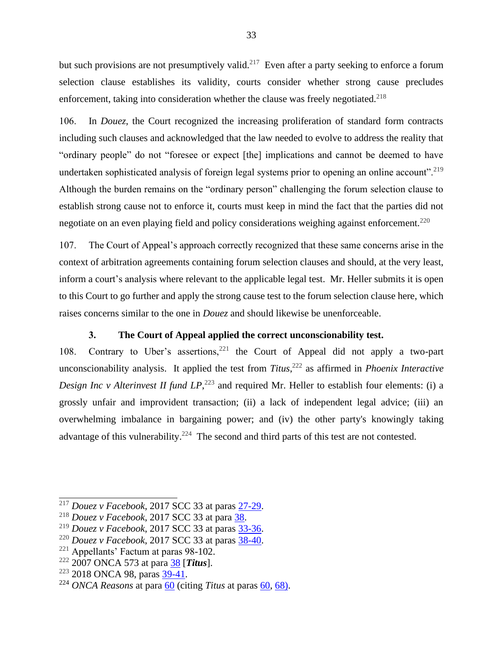but such provisions are not presumptively valid.<sup>217</sup> Even after a party seeking to enforce a forum selection clause establishes its validity, courts consider whether strong cause precludes enforcement, taking into consideration whether the clause was freely negotiated.<sup>218</sup>

106. In *Douez*, the Court recognized the increasing proliferation of standard form contracts including such clauses and acknowledged that the law needed to evolve to address the reality that "ordinary people" do not "foresee or expect [the] implications and cannot be deemed to have undertaken sophisticated analysis of foreign legal systems prior to opening an online account".<sup>219</sup> Although the burden remains on the "ordinary person" challenging the forum selection clause to establish strong cause not to enforce it, courts must keep in mind the fact that the parties did not negotiate on an even playing field and policy considerations weighing against enforcement.<sup>220</sup>

107. The Court of Appeal's approach correctly recognized that these same concerns arise in the context of arbitration agreements containing forum selection clauses and should, at the very least, inform a court's analysis where relevant to the applicable legal test. Mr. Heller submits it is open to this Court to go further and apply the strong cause test to the forum selection clause here, which raises concerns similar to the one in *Douez* and should likewise be unenforceable.

# **3. The Court of Appeal applied the correct unconscionability test.**

<span id="page-44-0"></span>108. Contrary to Uber's assertions,  $221$  the Court of Appeal did not apply a two-part unconscionability analysis. It applied the test from *Titus*, <sup>222</sup> as affirmed in *Phoenix Interactive*  Design Inc v Alterinvest II fund LP,<sup>223</sup> and required Mr. Heller to establish four elements: (i) a grossly unfair and improvident transaction; (ii) a lack of independent legal advice; (iii) an overwhelming imbalance in bargaining power; and (iv) the other party's knowingly taking advantage of this vulnerability.<sup>224</sup> The second and third parts of this test are not contested.

<sup>217</sup> *Douez v Facebook*, 2017 SCC 33 at paras [27-29.](http://canlii.ca/t/h4g1b#par27)

<sup>218</sup> *Douez v Facebook*, 2017 SCC 33 at para [38.](http://canlii.ca/t/h4g1b#par38)

<sup>219</sup> *Douez v Facebook*, 2017 SCC 33 at paras [33-36.](http://canlii.ca/t/h4g1b#par33)

<sup>220</sup> *Douez v Facebook*, 2017 SCC 33 at paras [38-40.](http://canlii.ca/t/h4g1b#par38)

 $221$  Appellants' Factum at paras 98-102.

<sup>222</sup> 2007 ONCA 573 at para [38](https://www.canlii.org/en/on/onca/doc/2007/2007onca573/2007onca573.html?autocompleteStr=2007%20onca%20573&autocompletePos=1#par38) [*Titus*].

 $223$  2018 ONCA 98, paras [39-41.](https://www.canlii.org/en/on/onca/doc/2018/2018onca98/2018onca98.html#par39)

<sup>224</sup> *ONCA Reasons* at para [60](http://canlii.ca/t/hwqzt#par60) (citing *Titus* at paras [60,](https://www.canlii.org/en/on/onca/doc/2007/2007onca573/2007onca573.html?autocompleteStr=2007%20onca%20573&autocompletePos=1#par60) [68\)](https://www.canlii.org/en/on/onca/doc/2007/2007onca573/2007onca573.html?autocompleteStr=2007%20onca%20573&autocompletePos=1#par68).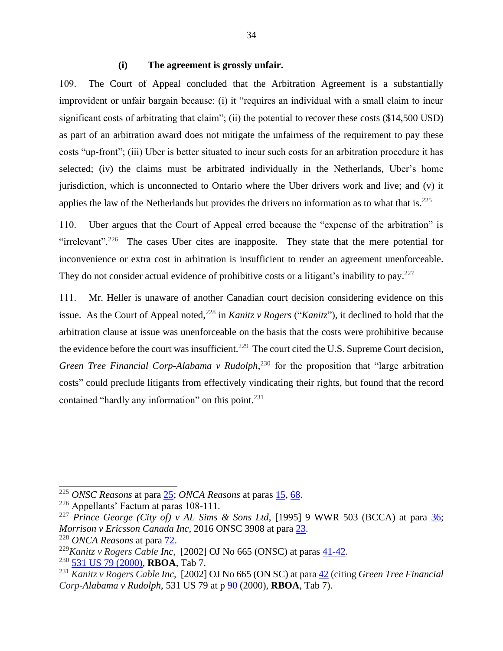#### **(i) The agreement is grossly unfair.**

109. The Court of Appeal concluded that the Arbitration Agreement is a substantially improvident or unfair bargain because: (i) it "requires an individual with a small claim to incur significant costs of arbitrating that claim"; (ii) the potential to recover these costs (\$14,500 USD) as part of an arbitration award does not mitigate the unfairness of the requirement to pay these costs "up-front"; (iii) Uber is better situated to incur such costs for an arbitration procedure it has selected; (iv) the claims must be arbitrated individually in the Netherlands, Uber's home jurisdiction, which is unconnected to Ontario where the Uber drivers work and live; and (v) it applies the law of the Netherlands but provides the drivers no information as to what that is. $225$ 

110. Uber argues that the Court of Appeal erred because the "expense of the arbitration" is "irrelevant".<sup>226</sup> The cases Uber cites are inapposite. They state that the mere potential for inconvenience or extra cost in arbitration is insufficient to render an agreement unenforceable. They do not consider actual evidence of prohibitive costs or a litigant's inability to pay.<sup>227</sup>

111. Mr. Heller is unaware of another Canadian court decision considering evidence on this issue. As the Court of Appeal noted,<sup>228</sup> in *Kanitz v Rogers* ("*Kanitz*"), it declined to hold that the arbitration clause at issue was unenforceable on the basis that the costs were prohibitive because the evidence before the court was insufficient.<sup>229</sup> The court cited the U.S. Supreme Court decision, Green Tree Financial Corp-Alabama v Rudolph,<sup>230</sup> for the proposition that "large arbitration costs" could preclude litigants from effectively vindicating their rights, but found that the record contained "hardly any information" on this point.<sup>231</sup>

<sup>225</sup> *ONSC Reasons* at para [25;](http://canlii.ca/t/hq4hk#par25) *ONCA Reasons* at paras [15,](http://canlii.ca/t/hwqzt#par15) [68.](http://canlii.ca/t/hwqzt#par68)

<sup>226</sup> Appellants' Factum at paras 108-111.

<sup>&</sup>lt;sup>227</sup> Prince George (City of) v AL Sims & Sons Ltd, [1995] 9 WWR 503 (BCCA) at para [36;](http://canlii.ca/t/1dd92#par36) *Morrison v Ericsson Canada Inc*, 2016 ONSC 3908 at para [23.](http://canlii.ca/t/gs7bz#par23)

<sup>228</sup> *ONCA Reasons* at para [72.](http://canlii.ca/t/hwqzt#par72)

<sup>229</sup>*Kanitz v Rogers Cable Inc*, [2002] OJ No 665 (ONSC) at paras [41-42.](https://www.canlii.org/en/on/onsc/doc/2002/2002canlii49415/2002canlii49415.html#par41)

<sup>230</sup> [531 US 79 \(2000\),](https://supreme.justia.com/cases/federal/us/531/79/#tab-opinion-1960859) **RBOA**, Tab 7.

<sup>231</sup> *Kanitz v Rogers Cable Inc*, [2002] OJ No 665 (ON SC) at par[a 42](https://www.canlii.org/en/on/onsc/doc/2002/2002canlii49415/2002canlii49415.html#par42) (citing *Green Tree Financial Corp-Alabama v Rudolph*, 531 US 79 at p [90](https://supreme.justia.com/cases/federal/us/531/79/#tab-opinion-1960859) (2000), **RBOA**, Tab 7).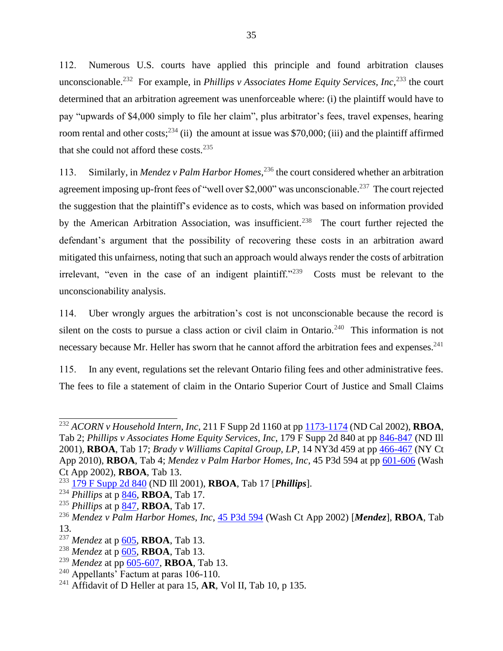112. Numerous U.S. courts have applied this principle and found arbitration clauses unconscionable.<sup>232</sup> For example, in *Phillips v Associates Home Equity Services, Inc*,<sup>233</sup> the court determined that an arbitration agreement was unenforceable where: (i) the plaintiff would have to pay "upwards of \$4,000 simply to file her claim", plus arbitrator's fees, travel expenses, hearing room rental and other costs;  $234$  (ii) the amount at issue was \$70,000; (iii) and the plaintiff affirmed that she could not afford these costs. $235$ 

113. Similarly, in *Mendez v Palm Harbor Homes*, <sup>236</sup> the court considered whether an arbitration agreement imposing up-front fees of "well over \$2,000" was unconscionable.<sup>237</sup> The court rejected the suggestion that the plaintiff's evidence as to costs, which was based on information provided by the American Arbitration Association, was insufficient.<sup>238</sup> The court further rejected the defendant's argument that the possibility of recovering these costs in an arbitration award mitigated this unfairness, noting that such an approach would always render the costs of arbitration irrelevant, "even in the case of an indigent plaintiff."<sup>239</sup> Costs must be relevant to the unconscionability analysis.

114. Uber wrongly argues the arbitration's cost is not unconscionable because the record is silent on the costs to pursue a class action or civil claim in Ontario.<sup>240</sup> This information is not necessary because Mr. Heller has sworn that he cannot afford the arbitration fees and expenses.<sup>241</sup>

115. In any event, regulations set the relevant Ontario filing fees and other administrative fees. The fees to file a statement of claim in the Ontario Superior Court of Justice and Small Claims

<sup>232</sup> *ACORN v Household Intern, Inc*, 211 F Supp 2d 1160 at pp [1173-1174](https://www.leagle.com/decision/20021371211fsupp2d116011261) (ND Cal 2002), **RBOA**, Tab 2; *Phillips v Associates Home Equity Services, Inc*, 179 F Supp 2d 840 at pp [846-847](https://law.justia.com/cases/federal/district-courts/FSupp2/179/840/2485101/) (ND Ill 2001), **RBOA**, Tab 17; *Brady v Williams Capital Group, LP*, 14 NY3d 459 at p[p 466-467](https://www.courtlistener.com/opinion/2077636/brady-v-williams-capital/) (NY Ct App 2010), **RBOA**, Tab 4; *Mendez v Palm Harbor Homes, Inc*, 45 P3d 594 at pp  $\frac{601 - 606}{1000}$  (Wash Ct App 2002), **RBOA**, Tab 13.

<sup>233</sup> [179 F Supp 2d 840](https://law.justia.com/cases/federal/district-courts/FSupp2/179/840/2485101/) (ND Ill 2001), **RBOA**, Tab 17 [*Phillips*].

<sup>234</sup> *Phillips* at p [846,](https://law.justia.com/cases/federal/district-courts/FSupp2/179/840/2485101/) **RBOA**, Tab 17.

<sup>235</sup> *Phillips* at p [847,](https://law.justia.com/cases/federal/district-courts/FSupp2/179/840/2485101/) **RBOA**, Tab 17.

<sup>236</sup> *Mendez v Palm Harbor Homes, Inc*, [45 P3d 594](https://www.courtlistener.com/opinion/2271747/mendez-v-palm-harbor-homes-inc/) (Wash Ct App 2002) [*Mendez*], **RBOA**, Tab 13.

<sup>237</sup> *Mendez* at p [605,](https://www.courtlistener.com/opinion/2271747/mendez-v-palm-harbor-homes-inc/) **RBOA**, Tab 13.

<sup>&</sup>lt;sup>238</sup> *Mendez* at p <u>605</u>, **RBOA**, Tab 13.

<sup>239</sup> *Mendez* at pp [605-](https://www.courtlistener.com/opinion/2271747/mendez-v-palm-harbor-homes-inc/)607, **RBOA**, Tab 13.

 $240$  Appellants' Factum at paras 106-110.

<sup>241</sup> Affidavit of D Heller at para 15, **AR**, Vol II, Tab 10, p 135.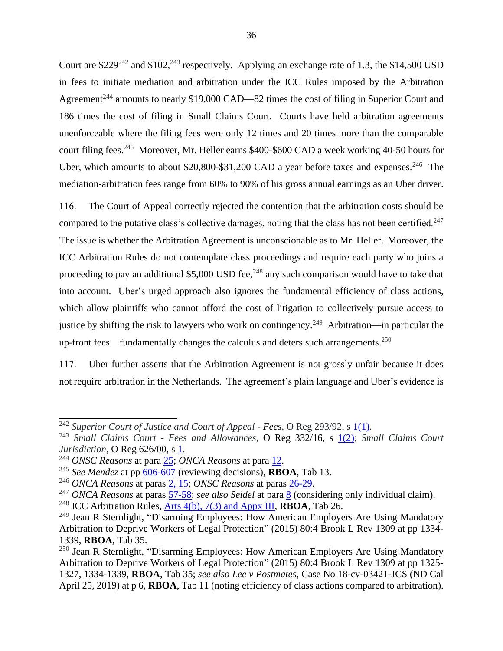Court are \$229<sup>242</sup> and \$102,<sup>243</sup> respectively. Applying an exchange rate of 1.3, the \$14,500 USD in fees to initiate mediation and arbitration under the ICC Rules imposed by the Arbitration Agreement<sup>244</sup> amounts to nearly \$19,000 CAD—82 times the cost of filing in Superior Court and 186 times the cost of filing in Small Claims Court. Courts have held arbitration agreements unenforceable where the filing fees were only 12 times and 20 times more than the comparable court filing fees.<sup>245</sup> Moreover, Mr. Heller earns \$400-\$600 CAD a week working 40-50 hours for Uber, which amounts to about \$20,800-\$31,200 CAD a year before taxes and expenses.<sup>246</sup> The mediation-arbitration fees range from 60% to 90% of his gross annual earnings as an Uber driver.

116. The Court of Appeal correctly rejected the contention that the arbitration costs should be compared to the putative class's collective damages, noting that the class has not been certified.<sup>247</sup> The issue is whether the Arbitration Agreement is unconscionable as to Mr. Heller. Moreover, the ICC Arbitration Rules do not contemplate class proceedings and require each party who joins a proceeding to pay an additional \$5,000 USD fee,<sup>248</sup> any such comparison would have to take that into account. Uber's urged approach also ignores the fundamental efficiency of class actions, which allow plaintiffs who cannot afford the cost of litigation to collectively pursue access to justice by shifting the risk to lawyers who work on contingency.<sup>249</sup> Arbitration—in particular the up-front fees—fundamentally changes the calculus and deters such arrangements.<sup>250</sup>

117. Uber further asserts that the Arbitration Agreement is not grossly unfair because it does not require arbitration in the Netherlands. The agreement's plain language and Uber's evidence is

<sup>&</sup>lt;sup>242</sup> Superior Court of Justice and Court of Appeal - Fees, O Reg 293/92, s <u>1(1)</u>.

<sup>243</sup> *Small Claims Court - Fees and Allowances*, O Reg 332/16, s [1\(2\);](https://www.ontario.ca/laws/regulation/160332?_ga=2.230429596.123726472.1568303664-748456058.1568057793) *Small Claims Court Jurisdiction*, O Reg 626/00, s [1.](https://www.ontario.ca/laws/regulation/000626)

<sup>244</sup> *ONSC Reasons* at para [25;](http://canlii.ca/t/hq4hk#par25) *ONCA Reasons* at para [12.](https://www.canlii.org/en/on/onca/doc/2019/2019onca1/2019onca1.html?autocompleteStr=2019%20onca%201&autocompletePos=1#par12)

<sup>245</sup> *See Mendez* at pp [606-](https://www.courtlistener.com/opinion/2271747/mendez-v-palm-harbor-homes-inc/)607 (reviewing decisions), **RBOA**, Tab 13.

<sup>246</sup> *ONCA Reasons* at paras [2,](https://www.canlii.org/en/on/onca/doc/2019/2019onca1/2019onca1.html?autocompleteStr=2019%20onca%201&autocompletePos=1#par2) [15;](https://www.canlii.org/en/on/onca/doc/2019/2019onca1/2019onca1.html?autocompleteStr=2019%20onca%201&autocompletePos=1#par15) *ONSC Reasons* at paras [26-29.](http://canlii.ca/t/hq4hk#par26)

<sup>247</sup> *ONCA Reasons* at paras [57-58;](https://www.canlii.org/en/on/onca/doc/2019/2019onca1/2019onca1.html?autocompleteStr=2019%20onca%201&autocompletePos=1#par57) *see also Seidel* at para [8](http://canlii.ca/t/fkkkj#par8) (considering only individual claim).

<sup>248</sup> ICC Arbitration Rules, [Arts 4\(b\), 7\(3\) and Appx III,](https://iccwbo.org/content/uploads/sites/3/2017/01/ICC-2017-Arbitration-and-2014-Mediation-Rules-english-version.pdf.pdf) **RBOA**, Tab 26.

<sup>&</sup>lt;sup>249</sup> Jean R Sternlight, "Disarming Employees: How American Employers Are Using Mandatory Arbitration to Deprive Workers of Legal Protection" (2015) 80:4 Brook L Rev 1309 at pp 1334- 1339, **RBOA**, Tab 35.

<sup>&</sup>lt;sup>250</sup> Jean R Sternlight, "Disarming Employees: How American Employers Are Using Mandatory Arbitration to Deprive Workers of Legal Protection" (2015) 80:4 Brook L Rev 1309 at pp 1325- 1327, 1334-1339, **RBOA**, Tab 35; *see also Lee v Postmates*, Case No 18-cv-03421-JCS (ND Cal April 25, 2019) at p 6, **RBOA**, Tab 11 (noting efficiency of class actions compared to arbitration).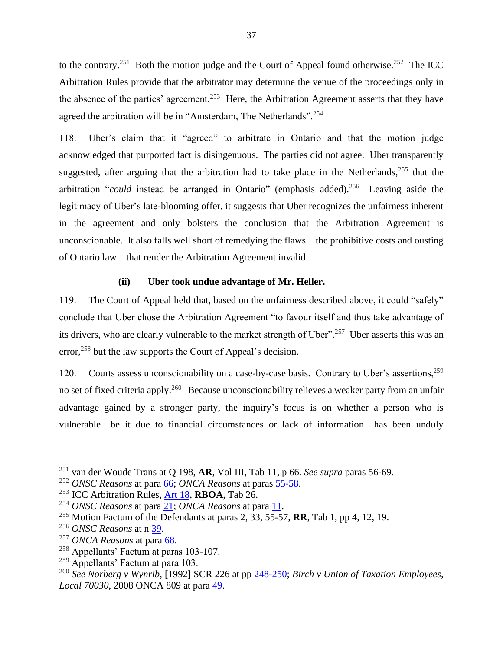to the contrary.<sup>251</sup> Both the motion judge and the Court of Appeal found otherwise.<sup>252</sup> The ICC Arbitration Rules provide that the arbitrator may determine the venue of the proceedings only in the absence of the parties' agreement.<sup>253</sup> Here, the Arbitration Agreement asserts that they have agreed the arbitration will be in "Amsterdam, The Netherlands".<sup>254</sup>

118. Uber's claim that it "agreed" to arbitrate in Ontario and that the motion judge acknowledged that purported fact is disingenuous. The parties did not agree. Uber transparently suggested, after arguing that the arbitration had to take place in the Netherlands, $255$  that the arbitration "*could* instead be arranged in Ontario" (emphasis added).<sup>256</sup> Leaving aside the legitimacy of Uber's late-blooming offer, it suggests that Uber recognizes the unfairness inherent in the agreement and only bolsters the conclusion that the Arbitration Agreement is unconscionable. It also falls well short of remedying the flaws—the prohibitive costs and ousting of Ontario law—that render the Arbitration Agreement invalid.

#### **(ii) Uber took undue advantage of Mr. Heller.**

119. The Court of Appeal held that, based on the unfairness described above, it could "safely" conclude that Uber chose the Arbitration Agreement "to favour itself and thus take advantage of its drivers, who are clearly vulnerable to the market strength of Uber"<sup>257</sup> Uber asserts this was an error,<sup>258</sup> but the law supports the Court of Appeal's decision.

120. Courts assess unconscionability on a case-by-case basis. Contrary to Uber's assertions.<sup>259</sup> no set of fixed criteria apply.<sup>260</sup> Because unconscionability relieves a weaker party from an unfair advantage gained by a stronger party, the inquiry's focus is on whether a person who is vulnerable—be it due to financial circumstances or lack of information—has been unduly

<sup>251</sup> van der Woude Trans at Q 198, **AR**, Vol III, Tab 11, p 66. *See supra* paras 56-69*.*

<sup>252</sup> *ONSC Reasons* at para [66;](http://canlii.ca/t/hq4hk#par66) *ONCA Reasons* at paras [55-58.](http://canlii.ca/t/hwqzt#par55)

<sup>253</sup> ICC Arbitration Rules, [Art 18,](https://iccwbo.org/content/uploads/sites/3/2017/01/ICC-2017-Arbitration-and-2014-Mediation-Rules-english-version.pdf.pdf) **RBOA**, Tab 26.

<sup>254</sup> *ONSC Reasons* at para [21;](http://canlii.ca/t/hq4hk#par21) *ONCA Reasons* at para [11.](http://canlii.ca/t/hwqzt#par11)

<sup>255</sup> Motion Factum of the Defendants at paras 2, 33, 55-57, **RR**, Tab 1, pp 4, 12, 19.

<sup>256</sup> *ONSC Reasons* at n [39.](http://canlii.ca/t/hq4hk#par71)

<sup>257</sup> *ONCA Reasons* at para [68.](http://canlii.ca/t/hwqzt#par68)

 $258$  Appellants' Factum at paras 103-107.

 $259$  Appellants' Factum at para 103.

<sup>260</sup> *See Norberg v Wynrib*, [1992] SCR 226 at pp [248-250;](https://www.canlii.org/en/ca/scc/doc/1992/1992canlii65/1992canlii65.pdf) *Birch v Union of Taxation Employees, Local 70030*, 2008 ONCA 809 at para [49.](http://canlii.ca/t/21ptp#par49)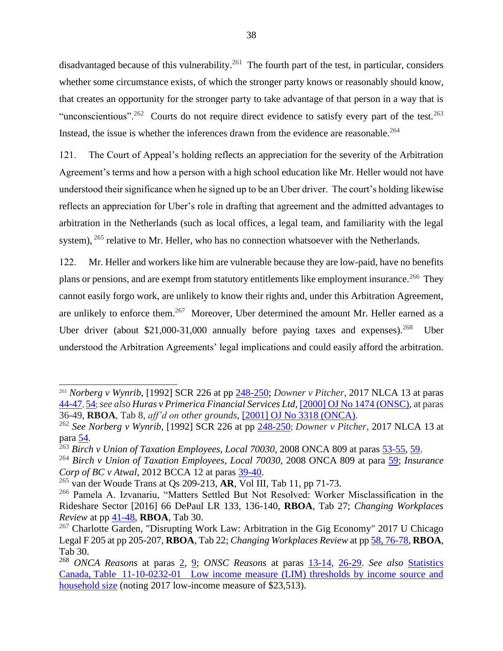disadvantaged because of this vulnerability.<sup>261</sup> The fourth part of the test, in particular, considers whether some circumstance exists, of which the stronger party knows or reasonably should know, that creates an opportunity for the stronger party to take advantage of that person in a way that is "unconscientious".<sup>262</sup> Courts do not require direct evidence to satisfy every part of the test.<sup>263</sup> Instead, the issue is whether the inferences drawn from the evidence are reasonable.<sup>264</sup>

121. The Court of Appeal's holding reflects an appreciation for the severity of the Arbitration Agreement's terms and how a person with a high school education like Mr. Heller would not have understood their significance when he signed up to be an Uber driver. The court's holding likewise reflects an appreciation for Uber's role in drafting that agreement and the admitted advantages to arbitration in the Netherlands (such as local offices, a legal team, and familiarity with the legal system), <sup>265</sup> relative to Mr. Heller, who has no connection whatsoever with the Netherlands.

122. Mr. Heller and workers like him are vulnerable because they are low-paid, have no benefits plans or pensions, and are exempt from statutory entitlements like employment insurance.<sup>266</sup> They cannot easily forgo work, are unlikely to know their rights and, under this Arbitration Agreement, are unlikely to enforce them.<sup>267</sup> Moreover, Uber determined the amount Mr. Heller earned as a Uber driver (about \$21,000-31,000 annually before paying taxes and expenses).<sup>268</sup> Uber understood the Arbitration Agreements' legal implications and could easily afford the arbitration.

<sup>261</sup> *Norberg v Wynrib*, [1992] SCR 226 at pp [248-250;](https://www.canlii.org/en/ca/scc/doc/1992/1992canlii65/1992canlii65.pdf) *Downer v Pitcher*, 2017 NLCA 13 at paras [44-47](https://www.canlii.org/en/nl/nlca/doc/2017/2017nlca13/2017nlca13.html#par44), [54](https://www.canlii.org/en/nl/nlca/doc/2017/2017nlca13/2017nlca13.html#par54); *see also Huras v Primerica Financial Services Ltd*, [\[2000\] OJ No 1474 \(ONSC\),](https://nextcanada.westlaw.com/Document/I10b717d2c33063f0e0440003ba0d6c6d/View/FullText.html?originationContext=typeAhead&transitionType=Default&contextData=(sc.Default)) at paras 36-49, **RBOA**, Tab 8, *aff'd on other grounds*, [\[2001\] OJ No 3318 \(ONCA\).](https://www.canlii.org/en/on/onca/doc/2001/2001canlii17321/2001canlii17321.html?autocompleteStr=huras%20v&autocompletePos=2)

<sup>262</sup> *See Norberg v Wynrib*, [1992] SCR 226 at pp [248-250](https://www.canlii.org/en/ca/scc/doc/1992/1992canlii65/1992canlii65.pdf); *Downer v Pitcher*, 2017 NLCA 13 at para [54.](https://www.canlii.org/en/nl/nlca/doc/2017/2017nlca13/2017nlca13.html#par54)

<sup>263</sup> *Birch v Union of Taxation Employees*, *Local 70030*, 2008 ONCA 809 at paras [53-55,](http://canlii.ca/t/21ptp#par53) [59.](http://canlii.ca/t/21ptp#par59)

<sup>264</sup> *Birch v Union of Taxation Employees*, *Local 70030*, 2008 ONCA 809 at para [59;](http://canlii.ca/t/21ptp#par59) *Insurance Corp of BC v Atwal*, 2012 BCCA 12 at paras [39-40.](https://www.canlii.org/en/bc/bcca/doc/2012/2012bcca12/2012bcca12.html#par39)

<sup>265</sup> van der Woude Trans at Qs 209-213, **AR**, Vol III, Tab 11, pp 71-73.

<sup>266</sup> Pamela A. Izvanariu, "Matters Settled But Not Resolved: Worker Misclassification in the Rideshare Sector [2016] 66 DePaul LR 133, 136-140, **RBOA**, Tab 27; *Changing Workplaces Review* at pp [41-48,](https://files.ontario.ca/books/mol_changing_workplace_report_eng_2_0.pdf) **RBOA**, Tab 30.

<sup>&</sup>lt;sup>267</sup> Charlotte Garden, "Disrupting Work Law: Arbitration in the Gig Economy" 2017 U Chicago Legal F 205 at pp 205-207, **RBOA**, Tab 22; *Changing Workplaces Review* at p[p 58, 76-78,](https://files.ontario.ca/books/mol_changing_workplace_report_eng_2_0.pdf) **RBOA**, Tab 30.

<sup>268</sup> *ONCA Reasons* at paras [2,](https://www.canlii.org/en/on/onca/doc/2019/2019onca1/2019onca1.html?autocompleteStr=2019%20onca%201&autocompletePos=1#par2) [9;](http://canlii.ca/t/hq4hk#par9) *ONSC Reasons* at paras [13-14,](http://canlii.ca/t/hq4hk#par13) [26-29.](http://canlii.ca/t/hq4hk#par26) *See also* [Statistics](https://www150.statcan.gc.ca/t1/tbl1/en/tv.action?pid=1110023201)  Canada, Table [11-10-0232-01 Low income measure \(LIM\) thresholds by income source and](https://www150.statcan.gc.ca/t1/tbl1/en/tv.action?pid=1110023201)  [household size](https://www150.statcan.gc.ca/t1/tbl1/en/tv.action?pid=1110023201) (noting 2017 low-income measure of \$23,513).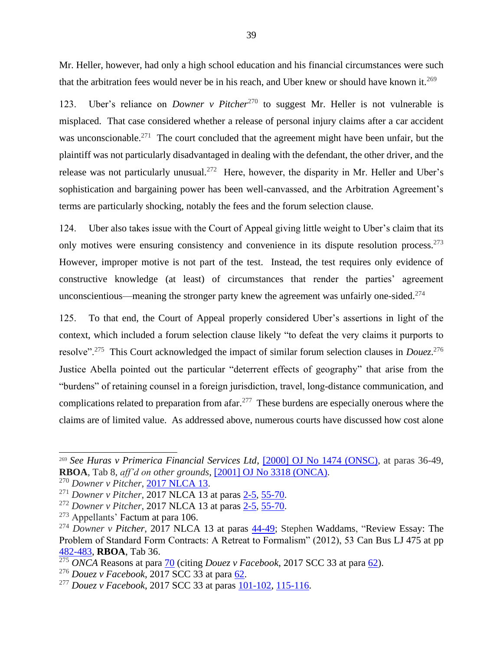Mr. Heller, however, had only a high school education and his financial circumstances were such that the arbitration fees would never be in his reach, and Uber knew or should have known it.<sup>269</sup>

123. Uber's reliance on *Downer v Pitcher*<sup>270</sup> to suggest Mr. Heller is not vulnerable is misplaced. That case considered whether a release of personal injury claims after a car accident was unconscionable.<sup>271</sup> The court concluded that the agreement might have been unfair, but the plaintiff was not particularly disadvantaged in dealing with the defendant, the other driver, and the release was not particularly unusual.<sup>272</sup> Here, however, the disparity in Mr. Heller and Uber's sophistication and bargaining power has been well-canvassed, and the Arbitration Agreement's terms are particularly shocking, notably the fees and the forum selection clause.

124. Uber also takes issue with the Court of Appeal giving little weight to Uber's claim that its only motives were ensuring consistency and convenience in its dispute resolution process.<sup>273</sup> However, improper motive is not part of the test. Instead, the test requires only evidence of constructive knowledge (at least) of circumstances that render the parties' agreement unconscientious—meaning the stronger party knew the agreement was unfairly one-sided. $274$ 

125. To that end, the Court of Appeal properly considered Uber's assertions in light of the context, which included a forum selection clause likely "to defeat the very claims it purports to resolve"<sup>275</sup> This Court acknowledged the impact of similar forum selection clauses in *Douez*.<sup>276</sup> Justice Abella pointed out the particular "deterrent effects of geography" that arise from the "burdens" of retaining counsel in a foreign jurisdiction, travel, long-distance communication, and complications related to preparation from a far.<sup>277</sup> These burdens are especially onerous where the claims are of limited value. As addressed above, numerous courts have discussed how cost alone

<sup>269</sup> *See Huras v Primerica Financial Services Ltd*, [\[2000\] OJ No 1474 \(ONSC\),](https://nextcanada.westlaw.com/Document/I10b717d2c33063f0e0440003ba0d6c6d/View/FullText.html?originationContext=typeAhead&transitionType=Default&contextData=(sc.Default)) at paras 36-49, **RBOA**, Tab 8, *aff'd on other grounds*, [\[2001\] OJ No 3318 \(ONCA\).](https://www.canlii.org/en/on/onca/doc/2001/2001canlii17321/2001canlii17321.html?autocompleteStr=huras%20v&autocompletePos=2)

<sup>270</sup> *Downer v Pitcher*, [2017 NLCA 13.](https://www.canlii.org/en/nl/nlca/doc/2017/2017nlca13/2017nlca13.html)

<sup>271</sup> *Downer v Pitcher*, 2017 NLCA 13 at paras [2-5,](https://www.canlii.org/en/nl/nlca/doc/2017/2017nlca13/2017nlca13.html#par2) [55-70.](https://www.canlii.org/en/nl/nlca/doc/2017/2017nlca13/2017nlca13.html#par55)

<sup>272</sup> *Downer v Pitcher*, 2017 NLCA 13 at paras [2-5,](https://www.canlii.org/en/nl/nlca/doc/2017/2017nlca13/2017nlca13.html#par2) [55-70.](https://www.canlii.org/en/nl/nlca/doc/2017/2017nlca13/2017nlca13.html#par55)

 $273$  Appellants' Factum at para 106.

<sup>&</sup>lt;sup>274</sup> *Downer v Pitcher*, 2017 NLCA 13 at paras [44-49;](https://www.canlii.org/en/nl/nlca/doc/2017/2017nlca13/2017nlca13.html#par44) Stephen Waddams, "Review Essay: The Problem of Standard Form Contracts: A Retreat to Formalism" (2012), 53 Can Bus LJ 475 at pp [482-483,](https://nextcanada.westlaw.com/Link/Document/FullText?findType=Y&serNum=0440985358&pubNum=0100238&originatingDoc=I52a200e7e34021e7e0540021280d7cce&refType=LR&originationContext=document&transitionType=DocumentItem&contextData=(sc.History*oc.Search)) **RBOA**, Tab 36.

<sup>275</sup> *ONCA* Reasons at para [70](http://canlii.ca/t/hwqzt#par70) (citing *Douez v Facebook*, 2017 SCC 33 at para [62\)](http://canlii.ca/t/h4g1b#par62).

<sup>276</sup> *Douez v Facebook*, 2017 SCC 33 at para [62.](http://canlii.ca/t/h4g1b#par62)

<sup>277</sup> *Douez v Facebook*, 2017 SCC 33 at paras [101-102,](http://canlii.ca/t/h4g1b#par101) [115-116.](http://canlii.ca/t/h4g1b#par115)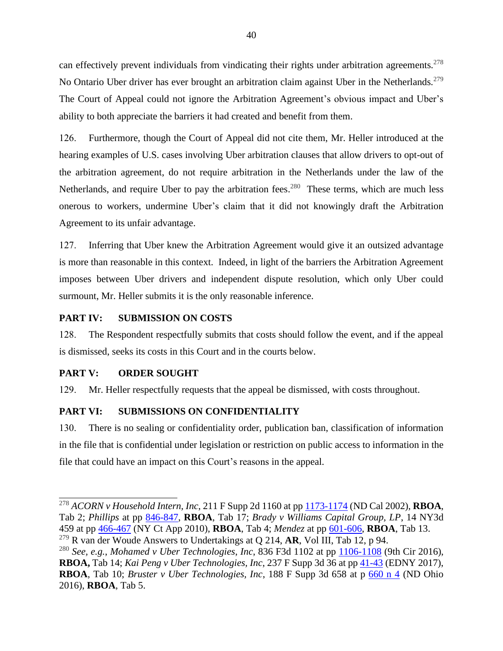can effectively prevent individuals from vindicating their rights under arbitration agreements.<sup>278</sup> No Ontario Uber driver has ever brought an arbitration claim against Uber in the Netherlands.<sup>279</sup> The Court of Appeal could not ignore the Arbitration Agreement's obvious impact and Uber's ability to both appreciate the barriers it had created and benefit from them.

126. Furthermore, though the Court of Appeal did not cite them, Mr. Heller introduced at the hearing examples of U.S. cases involving Uber arbitration clauses that allow drivers to opt-out of the arbitration agreement, do not require arbitration in the Netherlands under the law of the Netherlands, and require Uber to pay the arbitration fees.<sup>280</sup> These terms, which are much less onerous to workers, undermine Uber's claim that it did not knowingly draft the Arbitration Agreement to its unfair advantage.

127. Inferring that Uber knew the Arbitration Agreement would give it an outsized advantage is more than reasonable in this context. Indeed, in light of the barriers the Arbitration Agreement imposes between Uber drivers and independent dispute resolution, which only Uber could surmount, Mr. Heller submits it is the only reasonable inference.

## <span id="page-51-0"></span>**PART IV: SUBMISSION ON COSTS**

128. The Respondent respectfully submits that costs should follow the event, and if the appeal is dismissed, seeks its costs in this Court and in the courts below.

# <span id="page-51-1"></span>**PART V: ORDER SOUGHT**

129. Mr. Heller respectfully requests that the appeal be dismissed, with costs throughout.

# <span id="page-51-2"></span>**PART VI: SUBMISSIONS ON CONFIDENTIALITY**

130. There is no sealing or confidentiality order, publication ban, classification of information in the file that is confidential under legislation or restriction on public access to information in the file that could have an impact on this Court's reasons in the appeal.

<sup>278</sup> *ACORN v Household Intern, Inc*, 211 F Supp 2d 1160 at pp [1173-1174](https://www.leagle.com/decision/20021371211fsupp2d116011261) (ND Cal 2002), **RBOA**, Tab 2; *Phillips* at pp [846-847,](https://law.justia.com/cases/federal/district-courts/FSupp2/179/840/2485101/) **RBOA**, Tab 17; *Brady v Williams Capital Group, LP*, 14 NY3d 459 at pp [466-467](https://www.courtlistener.com/opinion/2077636/brady-v-williams-capital/) (NY Ct App 2010), **RBOA**, Tab 4; *Mendez* at pp [601-606,](https://www.courtlistener.com/opinion/2271747/mendez-v-palm-harbor-homes-inc/) **RBOA**, Tab 13. <sup>279</sup> R van der Woude Answers to Undertakings at Q 214, **AR**, Vol III, Tab 12, p 94.

<sup>280</sup> *See, e.g.*, *Mohamed v Uber Technologies*, *Inc*, 836 F3d 1102 at pp [1106-1108](https://casetext.com/case/mohamed-v-uber-techs-inc-1) (9th Cir 2016), **RBOA,** Tab 14; *Kai Peng v Uber Technologies, Inc*, 237 F Supp 3d 36 at pp [41-43](https://casetext.com/case/peng-v-uber-techs-inc) (EDNY 2017), **RBOA**, Tab 10; *Bruster v Uber Technologies, Inc*, 188 F Supp 3d 658 at p [660 n 4](https://www.leagle.com/decision/infdco20160524c14) (ND Ohio 2016), **RBOA**, Tab 5.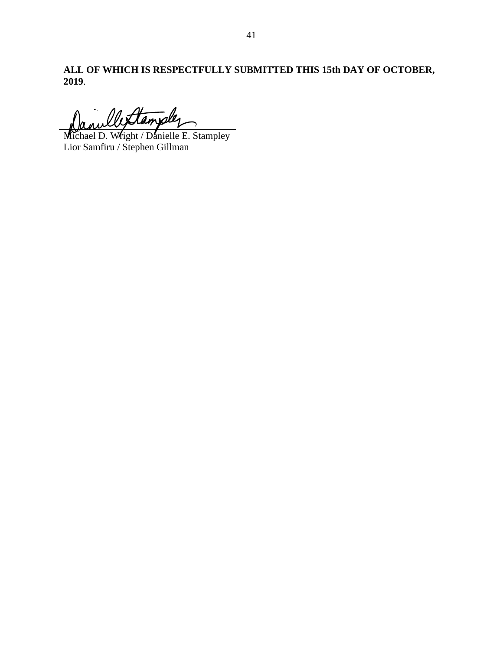**ALL OF WHICH IS RESPECTFULLY SUBMITTED THIS 15th DAY OF OCTOBER, 2019**.

Mettamples

Michael D. Wright / Danielle E. Stampley Lior Samfiru / Stephen Gillman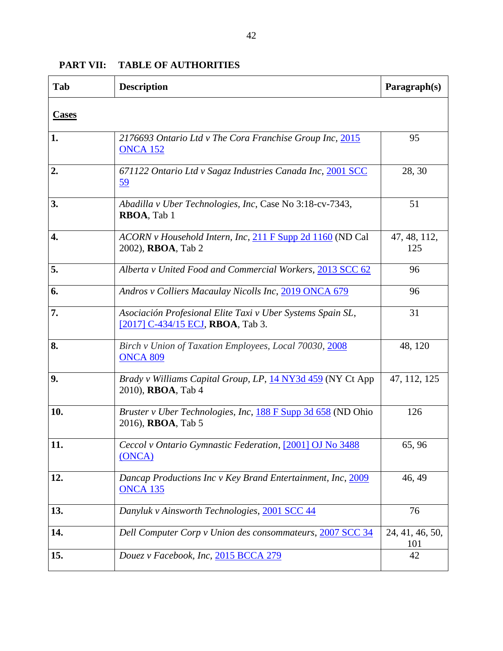| Tab                | <b>Description</b>                                                                              | Paragraph(s)           |
|--------------------|-------------------------------------------------------------------------------------------------|------------------------|
| <b>Cases</b>       |                                                                                                 |                        |
| 1.                 | 2176693 Ontario Ltd v The Cora Franchise Group Inc, 2015<br><b>ONCA 152</b>                     | 95                     |
| 2.                 | 671122 Ontario Ltd v Sagaz Industries Canada Inc, 2001 SCC<br><u>59</u>                         | 28, 30                 |
| 3.                 | Abadilla v Uber Technologies, Inc, Case No 3:18-cv-7343,<br>RBOA, Tab 1                         | 51                     |
| $\boldsymbol{4}$ . | ACORN v Household Intern, Inc, 211 F Supp 2d 1160 (ND Cal<br>2002), <b>RBOA</b> , Tab 2         | 47, 48, 112,<br>125    |
| 5.                 | Alberta v United Food and Commercial Workers, 2013 SCC 62                                       | 96                     |
| 6.                 | Andros v Colliers Macaulay Nicolls Inc, 2019 ONCA 679                                           | 96                     |
| 7.                 | Asociación Profesional Elite Taxi v Uber Systems Spain SL,<br>[2017] C-434/15 ECJ, RBOA, Tab 3. | 31                     |
| 8.                 | Birch v Union of Taxation Employees, Local 70030, 2008<br><b>ONCA 809</b>                       | 48, 120                |
| 9.                 | Brady v Williams Capital Group, LP, 14 NY3d 459 (NY Ct App<br>2010), <b>RBOA</b> , Tab 4        | 47, 112, 125           |
| 10.                | Bruster v Uber Technologies, Inc, 188 F Supp 3d 658 (ND Ohio<br>2016), <b>RBOA</b> , Tab 5      | 126                    |
| 11.                | Ceccol v Ontario Gymnastic Federation, [2001] OJ No 3488<br>(ONCA)                              | 65, 96                 |
| 12.                | Dancap Productions Inc v Key Brand Entertainment, Inc, 2009<br><b>ONCA 135</b>                  | 46, 49                 |
| 13.                | Danyluk v Ainsworth Technologies, 2001 SCC 44                                                   | 76                     |
| 14.                | Dell Computer Corp v Union des consommateurs, 2007 SCC 34                                       | 24, 41, 46, 50,<br>101 |
| 15.                | Douez v Facebook, Inc, 2015 BCCA 279                                                            | 42                     |

# <span id="page-53-0"></span>**PART VII: TABLE OF AUTHORITIES**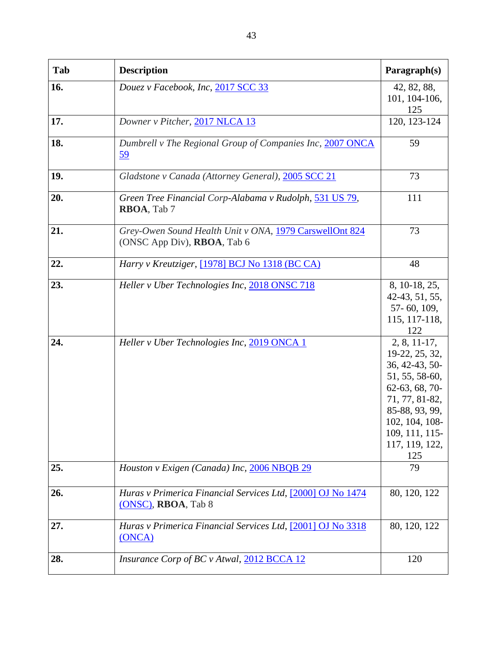| Tab | <b>Description</b>                                                                     | Paragraph(s)                                                                                                                                                                            |
|-----|----------------------------------------------------------------------------------------|-----------------------------------------------------------------------------------------------------------------------------------------------------------------------------------------|
| 16. | Douez v Facebook, Inc, 2017 SCC 33                                                     | 42, 82, 88,<br>101, 104-106,<br>125                                                                                                                                                     |
| 17. | Downer v Pitcher, 2017 NLCA 13                                                         | 120, 123-124                                                                                                                                                                            |
| 18. | Dumbrell v The Regional Group of Companies Inc, 2007 ONCA<br><u>59</u>                 | 59                                                                                                                                                                                      |
| 19. | Gladstone v Canada (Attorney General), 2005 SCC 21                                     | 73                                                                                                                                                                                      |
| 20. | Green Tree Financial Corp-Alabama v Rudolph, 531 US 79,<br>RBOA, Tab 7                 | 111                                                                                                                                                                                     |
| 21. | Grey-Owen Sound Health Unit v ONA, 1979 CarswellOnt 824<br>(ONSC App Div), RBOA, Tab 6 | 73                                                                                                                                                                                      |
| 22. | Harry v Kreutziger, [1978] BCJ No 1318 (BC CA)                                         | 48                                                                                                                                                                                      |
| 23. | Heller v Uber Technologies Inc, 2018 ONSC 718                                          | 8, 10-18, 25,<br>42-43, 51, 55,<br>57-60, 109,<br>115, 117-118,<br>122                                                                                                                  |
| 24. | Heller v Uber Technologies Inc, 2019 ONCA 1                                            | $2, 8, 11-17,$<br>19-22, 25, 32,<br>36, 42-43, 50-<br>51, 55, 58-60,<br>62-63, 68, 70-<br>71, 77, 81-82,<br>85-88, 93, 99,<br>102, 104, 108-<br>109, 111, 115-<br>117, 119, 122,<br>125 |
| 25. | Houston v Exigen (Canada) Inc, 2006 NBQB 29                                            | 79                                                                                                                                                                                      |
| 26. | Huras v Primerica Financial Services Ltd, [2000] OJ No 1474<br>(ONSC), RBOA, Tab 8     | 80, 120, 122                                                                                                                                                                            |
| 27. | Huras v Primerica Financial Services Ltd, [2001] OJ No 3318<br>(ONCA)                  | 80, 120, 122                                                                                                                                                                            |
| 28. | Insurance Corp of BC v Atwal, 2012 BCCA 12                                             | 120                                                                                                                                                                                     |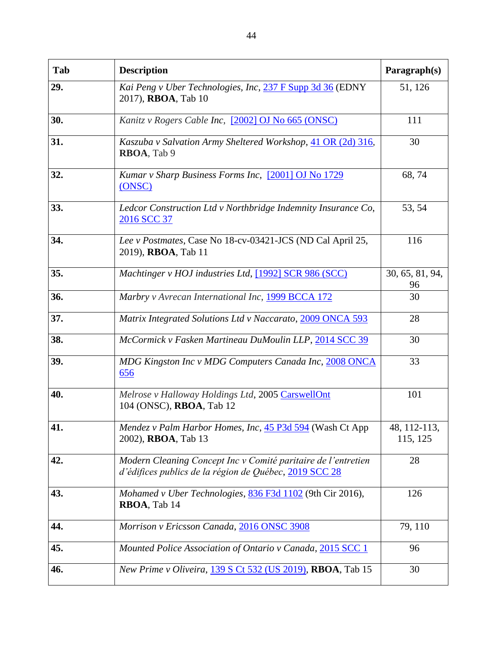| Tab | <b>Description</b>                                                                                                      | Paragraph(s)             |
|-----|-------------------------------------------------------------------------------------------------------------------------|--------------------------|
| 29. | Kai Peng v Uber Technologies, Inc, 237 F Supp 3d 36 (EDNY<br>2017), RBOA, Tab 10                                        | 51, 126                  |
| 30. | Kanitz v Rogers Cable Inc, [2002] OJ No 665 (ONSC)                                                                      | 111                      |
| 31. | Kaszuba v Salvation Army Sheltered Workshop, 41 OR (2d) 316,<br>RBOA, Tab 9                                             | 30                       |
| 32. | Kumar v Sharp Business Forms Inc, [2001] OJ No 1729<br>(ONSC)                                                           | 68,74                    |
| 33. | Ledcor Construction Ltd v Northbridge Indemnity Insurance Co,<br>2016 SCC 37                                            | 53, 54                   |
| 34. | Lee v Postmates, Case No 18-cv-03421-JCS (ND Cal April 25,<br>2019), RBOA, Tab 11                                       | 116                      |
| 35. | Machtinger v HOJ industries Ltd, [1992] SCR 986 (SCC)                                                                   | 30, 65, 81, 94,<br>96    |
| 36. | Marbry v Avrecan International Inc, 1999 BCCA 172                                                                       | 30                       |
| 37. | Matrix Integrated Solutions Ltd v Naccarato, 2009 ONCA 593                                                              | 28                       |
| 38. | McCormick v Fasken Martineau DuMoulin LLP, 2014 SCC 39                                                                  | 30                       |
| 39. | MDG Kingston Inc v MDG Computers Canada Inc, 2008 ONCA<br>656                                                           | 33                       |
| 40. | Melrose v Halloway Holdings Ltd, 2005 CarswellOnt<br>104 (ONSC), RBOA, Tab 12                                           | 101                      |
| 41. | Mendez v Palm Harbor Homes, Inc, 45 P3d 594 (Wash Ct App<br>2002), <b>RBOA</b> , Tab 13                                 | 48, 112-113,<br>115, 125 |
| 42. | Modern Cleaning Concept Inc v Comité paritaire de l'entretien<br>d'édifices publics de la région de Québec, 2019 SCC 28 | 28                       |
| 43. | Mohamed v Uber Technologies, 836 F3d 1102 (9th Cir 2016),<br>RBOA, Tab 14                                               | 126                      |
| 44. | Morrison v Ericsson Canada, 2016 ONSC 3908                                                                              | 79, 110                  |
| 45. | Mounted Police Association of Ontario v Canada, 2015 SCC 1                                                              | 96                       |
| 46. | New Prime v Oliveira, 139 S Ct 532 (US 2019), RBOA, Tab 15                                                              | 30                       |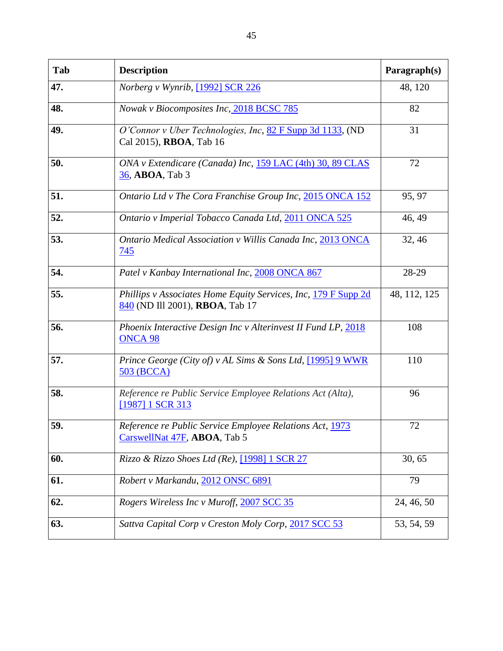| Tab | <b>Description</b>                                                                                | Paragraph(s) |
|-----|---------------------------------------------------------------------------------------------------|--------------|
| 47. | Norberg v Wynrib, [1992] SCR 226                                                                  | 48, 120      |
| 48. | Nowak v Biocomposites Inc, 2018 BCSC 785                                                          | 82           |
| 49. | O'Connor v Uber Technologies, Inc, 82 F Supp 3d 1133, (ND<br>Cal 2015), RBOA, Tab 16              | 31           |
| 50. | ONA v Extendicare (Canada) Inc, 159 LAC (4th) 30, 89 CLAS<br>36, ABOA, Tab 3                      | 72           |
| 51. | Ontario Ltd v The Cora Franchise Group Inc, 2015 ONCA 152                                         | 95, 97       |
| 52. | Ontario v Imperial Tobacco Canada Ltd, 2011 ONCA 525                                              | 46, 49       |
| 53. | Ontario Medical Association v Willis Canada Inc, 2013 ONCA<br>745                                 | 32, 46       |
| 54. | Patel v Kanbay International Inc, 2008 ONCA 867                                                   | 28-29        |
| 55. | Phillips v Associates Home Equity Services, Inc, 179 F Supp 2d<br>840 (ND Ill 2001), RBOA, Tab 17 | 48, 112, 125 |
| 56. | Phoenix Interactive Design Inc v Alterinvest II Fund LP, 2018<br>ONCA <sub>98</sub>               | 108          |
| 57. | Prince George (City of) v AL Sims & Sons Ltd, [1995] 9 WWR<br>503 (BCCA)                          | 110          |
| 58. | Reference re Public Service Employee Relations Act (Alta),<br>[1987] 1 SCR 313                    | 96           |
| 59. | Reference re Public Service Employee Relations Act, 1973<br>CarswellNat 47F, ABOA, Tab 5          | 72           |
| 60. | Rizzo & Rizzo Shoes Ltd (Re), [1998] 1 SCR 27                                                     | 30, 65       |
| 61. | Robert v Markandu, 2012 ONSC 6891                                                                 | 79           |
| 62. | Rogers Wireless Inc v Muroff, 2007 SCC 35                                                         | 24, 46, 50   |
| 63. | Sattva Capital Corp v Creston Moly Corp, 2017 SCC 53                                              | 53, 54, 59   |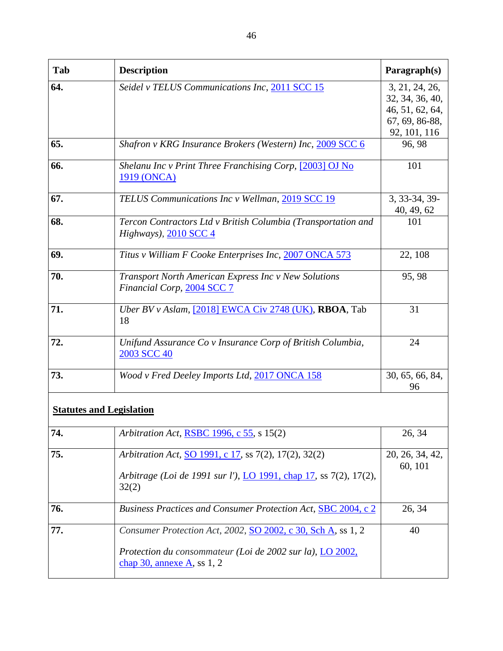| Tab | <b>Description</b>                                                                                                                  | Paragraph(s)                                                                           |  |
|-----|-------------------------------------------------------------------------------------------------------------------------------------|----------------------------------------------------------------------------------------|--|
| 64. | Seidel v TELUS Communications Inc, 2011 SCC 15                                                                                      | 3, 21, 24, 26,<br>32, 34, 36, 40,<br>46, 51, 62, 64,<br>67, 69, 86-88,<br>92, 101, 116 |  |
| 65. | Shafron v KRG Insurance Brokers (Western) Inc, 2009 SCC 6                                                                           | 96, 98                                                                                 |  |
| 66. | Shelanu Inc v Print Three Franchising Corp, [2003] OJ No<br>1919 (ONCA)                                                             | 101                                                                                    |  |
| 67. | TELUS Communications Inc v Wellman, 2019 SCC 19                                                                                     | 3, 33-34, 39-<br>40, 49, 62                                                            |  |
| 68. | Tercon Contractors Ltd v British Columbia (Transportation and<br>Highways), 2010 SCC 4                                              | 101                                                                                    |  |
| 69. | Titus v William F Cooke Enterprises Inc, 2007 ONCA 573                                                                              | 22, 108                                                                                |  |
| 70. | Transport North American Express Inc v New Solutions<br>Financial Corp, 2004 SCC 7                                                  | 95, 98                                                                                 |  |
| 71. | Uber BV v Aslam, [2018] EWCA Civ 2748 (UK), RBOA, Tab<br>18                                                                         | 31                                                                                     |  |
| 72. | Unifund Assurance Co v Insurance Corp of British Columbia,<br>2003 SCC 40                                                           | 24                                                                                     |  |
| 73. | Wood v Fred Deeley Imports Ltd, 2017 ONCA 158                                                                                       | 30, 65, 66, 84,<br>96                                                                  |  |
|     | <b>Statutes and Legislation</b>                                                                                                     |                                                                                        |  |
| 74. | Arbitration Act, RSBC 1996, c 55, s 15(2)                                                                                           | 26, 34                                                                                 |  |
| 75. | Arbitration Act, SO 1991, c 17, ss 7(2), 17(2), 32(2)<br>Arbitrage (Loi de 1991 sur l'), LO 1991, chap 17, ss 7(2), 17(2),<br>32(2) | 20, 26, 34, 42,<br>60, 101                                                             |  |
| 76. | Business Practices and Consumer Protection Act, SBC 2004, c 2                                                                       | 26, 34                                                                                 |  |
| 77. | Consumer Protection Act, 2002, SO 2002, c 30, Sch A, ss 1, 2                                                                        | 40                                                                                     |  |
|     | Protection du consommateur (Loi de 2002 sur la), LO 2002,<br>chap $30$ , annexe A, ss 1, 2                                          |                                                                                        |  |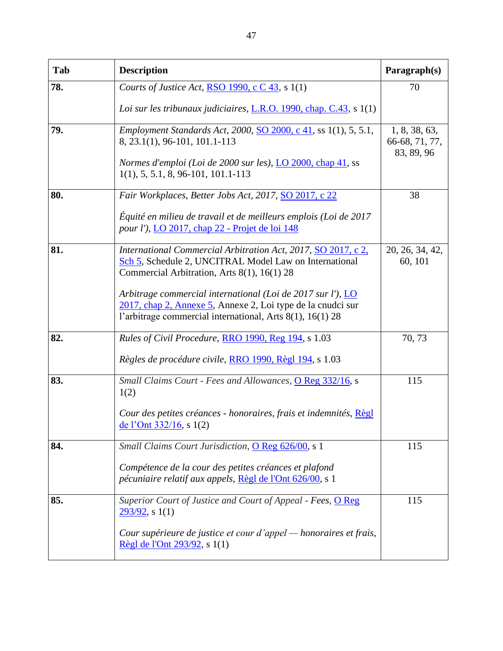| Tab | <b>Description</b>                                                                                                                                                                      | Paragraph(s)                                  |
|-----|-----------------------------------------------------------------------------------------------------------------------------------------------------------------------------------------|-----------------------------------------------|
| 78. | Courts of Justice Act, RSO 1990, c C 43, s 1(1)                                                                                                                                         | 70                                            |
|     | Loi sur les tribunaux judiciaires, L.R.O. 1990, chap. C.43, s 1(1)                                                                                                                      |                                               |
| 79. | Employment Standards Act, 2000, SO 2000, c 41, ss 1(1), 5, 5.1,<br>8, 23.1(1), 96-101, 101.1-113                                                                                        | 1, 8, 38, 63,<br>66-68, 71, 77,<br>83, 89, 96 |
|     | Normes d'emploi (Loi de 2000 sur les), LO 2000, chap 41, ss<br>$1(1), 5, 5.1, 8, 96-101, 101.1-113$                                                                                     |                                               |
| 80. | Fair Workplaces, Better Jobs Act, 2017, SO 2017, c 22                                                                                                                                   | 38                                            |
|     | Équité en milieu de travail et de meilleurs emplois (Loi de 2017<br><i>pour l')</i> , <i>LO</i> 2017, <i>chap</i> 22 - Projet de loi 148                                                |                                               |
| 81. | International Commercial Arbitration Act, 2017, SO 2017, c 2,<br>Sch 5, Schedule 2, UNCITRAL Model Law on International<br>Commercial Arbitration, Arts 8(1), 16(1) 28                  | 20, 26, 34, 42,<br>60, 101                    |
|     | Arbitrage commercial international (Loi de 2017 sur l'), LO<br>2017, chap 2, Annexe 5, Annexe 2, Loi type de la cnudci sur<br>l'arbitrage commercial international, Arts 8(1), 16(1) 28 |                                               |
| 82. | Rules of Civil Procedure, RRO 1990, Reg 194, s 1.03                                                                                                                                     | 70, 73                                        |
|     | Règles de procédure civile, RRO 1990, Règl 194, s 1.03                                                                                                                                  |                                               |
| 83. | Small Claims Court - Fees and Allowances, O Reg 332/16, s<br>1(2)                                                                                                                       | 115                                           |
|     | Cour des petites créances - honoraires, frais et indemnités, Règl<br>de l'Ont $332/16$ , s $1(2)$                                                                                       |                                               |
| 84. | Small Claims Court Jurisdiction, O Reg 626/00, s 1                                                                                                                                      | 115                                           |
|     | Compétence de la cour des petites créances et plafond<br>pécuniaire relatif aux appels, Règl de l'Ont 626/00, s 1                                                                       |                                               |
| 85. | Superior Court of Justice and Court of Appeal - Fees, O Reg<br>$293/92$ , s 1(1)                                                                                                        | 115                                           |
|     | Cour supérieure de justice et cour d'appel — honoraires et frais,<br>Règl de l'Ont 293/92, s 1(1)                                                                                       |                                               |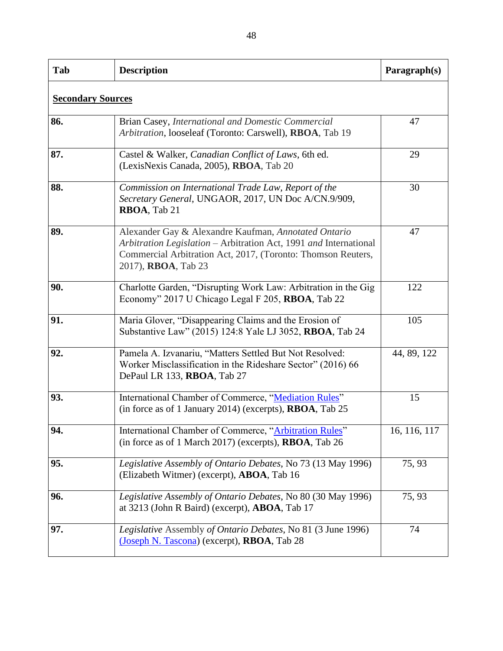| Tab                      | <b>Description</b>                                                                                                                                                                                               | Paragraph(s) |
|--------------------------|------------------------------------------------------------------------------------------------------------------------------------------------------------------------------------------------------------------|--------------|
| <b>Secondary Sources</b> |                                                                                                                                                                                                                  |              |
| 86.                      | Brian Casey, International and Domestic Commercial<br>Arbitration, looseleaf (Toronto: Carswell), RBOA, Tab 19                                                                                                   | 47           |
| 87.                      | Castel & Walker, Canadian Conflict of Laws, 6th ed.<br>(LexisNexis Canada, 2005), RBOA, Tab 20                                                                                                                   | 29           |
| 88.                      | Commission on International Trade Law, Report of the<br>Secretary General, UNGAOR, 2017, UN Doc A/CN.9/909,<br>RBOA, Tab 21                                                                                      | 30           |
| 89.                      | Alexander Gay & Alexandre Kaufman, Annotated Ontario<br>Arbitration Legislation – Arbitration Act, 1991 and International<br>Commercial Arbitration Act, 2017, (Toronto: Thomson Reuters,<br>2017), RBOA, Tab 23 | 47           |
| 90.                      | Charlotte Garden, "Disrupting Work Law: Arbitration in the Gig<br>Economy" 2017 U Chicago Legal F 205, RBOA, Tab 22                                                                                              | 122          |
| 91.                      | Maria Glover, "Disappearing Claims and the Erosion of<br>Substantive Law" (2015) 124:8 Yale LJ 3052, RBOA, Tab 24                                                                                                | 105          |
| 92.                      | Pamela A. Izvanariu, "Matters Settled But Not Resolved:<br>Worker Misclassification in the Rideshare Sector" (2016) 66<br>DePaul LR 133, RBOA, Tab 27                                                            | 44, 89, 122  |
| 93.                      | International Chamber of Commerce, "Mediation Rules"<br>(in force as of 1 January 2014) (excerpts), <b>RBOA</b> , Tab 25                                                                                         | 15           |
| 94.                      | International Chamber of Commerce, "Arbitration Rules"<br>(in force as of 1 March 2017) (excerpts), RBOA, Tab 26                                                                                                 | 16, 116, 117 |
| 95.                      | Legislative Assembly of Ontario Debates, No 73 (13 May 1996)<br>(Elizabeth Witmer) (excerpt), <b>ABOA</b> , Tab 16                                                                                               | 75, 93       |
| 96.                      | Legislative Assembly of Ontario Debates, No 80 (30 May 1996)<br>at 3213 (John R Baird) (excerpt), <b>ABOA</b> , Tab 17                                                                                           | 75, 93       |
| 97.                      | Legislative Assembly of Ontario Debates, No 81 (3 June 1996)<br>(Joseph N. Tascona) (excerpt), RBOA, Tab 28                                                                                                      | 74           |